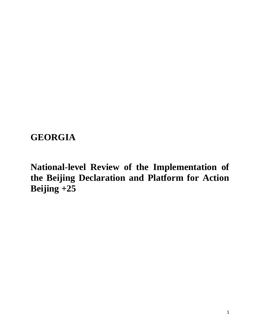# **GEORGIA**

**National-level Review of the Implementation of the Beijing Declaration and Platform for Action Beijing +25**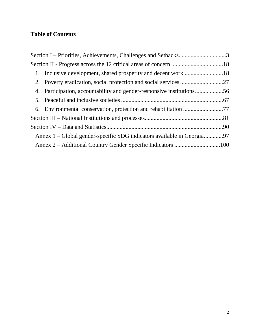### **Table of Contents**

| 6. Environmental conservation, protection and rehabilitation 77        |  |
|------------------------------------------------------------------------|--|
|                                                                        |  |
|                                                                        |  |
| Annex 1 – Global gender-specific SDG indicators available in Georgia97 |  |
|                                                                        |  |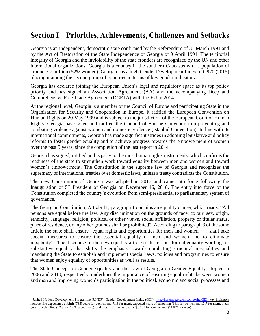## <span id="page-2-0"></span>**Section I – Priorities, Achievements, Challenges and Setbacks**

Georgia is an independent, democratic state confirmed by the Referendum of 31 March 1991 and by the Act of Restoration of the State Independence of Georgia of 9 April 1991. The territorial integrity of Georgia and the inviolability of the state frontiers are recognized by the UN and other international organizations. Georgia is a country in the southern Caucasus with a population of around 3.7 million (52% women). Georgia has a high Gender Development Index of 0.970 (2015) placing it among the second group of countries in terms of key gender indicators.<sup>1</sup>

Georgia has declared joining the European Union's legal and regulatory space as its top policy priority and has signed an Association Agreement (AA) and the accompanying Deep and Comprehensive Free Trade Agreement (DCFTA) with the EU in 2014.

At the regional level, Georgia is a member of the Council of Europe and participating State in the Organisation for Security and Cooperation in Europe. It ratified the European Convention on Human Rights on 20 May 1999 and is subject to the jurisdiction of the European Court of Human Rights. Georgia has signed and ratified the Council of Europe Convention on preventing and combating violence against women and domestic violence (Istanbul Convention). In line with its international commitments, Georgia has made significant strides in adopting legislative and policy reforms to foster gender equality and to achieve progress towards the empowerment of women over the past 5 years, since the completion of the last report in 2014.

Georgia has signed, ratified and is party to the most human rights instruments, which confirms the readiness of the state to strengthen work toward equality between men and women and toward women's empowerment. The Constitution is the supreme law of Georgia and recognizes the supremacy of international treaties over domestic laws, unless a treaty contradicts the Constitution.

The new Constitution of Georgia was adopted in 2017 and came into force following the Inauguration of  $5<sup>th</sup>$  President of Georgia on December 16, 2018. The entry into force of the Constitution completed the country's evolution from semi-presidential to parliamentary system of governance.

The Georgian Constitution, Article 11, paragraph 1 contains an equality clause, which reads: "All persons are equal before the law. Any discrimination on the grounds of race, colour, sex, origin, ethnicity, language, religion, political or other views, social affiliation, property or titular status, place of residence, or any other grounds shall be prohibited". According to paragraph 3 of the same article the state shall ensure "equal rights and opportunities for men and women . . . shall take special measures to ensure the essential equality of men and women and to eliminate inequality". The discourse of the new equality article trades earlier formal equality wording for substantive equality that shifts the emphasis towards combating structural inequalities and mandating the State to establish and implement special laws, policies and programmes to ensure that women enjoy equality of opportunities as well as results.

The State Concept on Gender Equality and the Law of Georgia on Gender Equality adopted in 2006 and 2010, respectively, underlines the importance of ensuring equal rights between women and men and improving women's participation in the political, economic and social processes and

 $\overline{a}$ 

<sup>&</sup>lt;sup>1</sup> United Nations Development Programme (UNDP): Gender Development Index (GDI). [http://hdr.undp.org/en/composite/GDI;](http://hdr.undp.org/en/composite/GDI) key indicators include: life expectancy at birth (78.5 years for women and 71.3 for men), expected years of schooling (14.1 for women and 13.7 for men), mean years of schooling (12.3 and 12.2 respectively), and gross income per capita (\$6,105 for women and \$11,871 for men)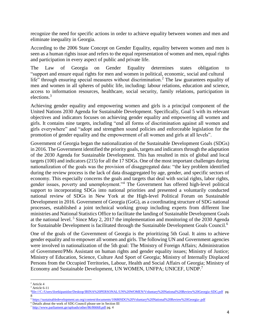recognize the need for specific actions in order to achieve equality between women and men and eliminate inequality in Georgia.

According to the 2006 State Concept on Gender Equality, equality between women and men is seen as a human rights issue and refers to the equal representation of women and men, equal rights and participation in every aspect of public and private life.

The Law of Georgia on Gender Equality determines states obligation to "support and ensure equal rights for men and women in political, economic, social and cultural life" through ensuring special measures without discrimination.<sup>2</sup> The law guarantees equality of men and women in all spheres of public life, including: labour relations, education and science, access to information resources, healthcare, social security, family relations, participation in elections.<sup>3</sup>

Achieving gender equality and empowering women and girls is a principal component of the United Nations 2030 Agenda for Sustainable Development. Specifically, Goal 5 with its relevant objectives and indicators focuses on achieving gender equality and empowering all women and girls. It contains nine targets, including "end all forms of discrimination against all women and girls everywhere" and "adopt and strengthen sound policies and enforceable legislation for the promotion of gender equality and the empowerment of all women and girls at all levels".

Government of Georgia began the nationalization of the Sustainable Development Goals (SDGs) in 2016. The Government identified the priority goals, targets and indicators through the adaptation of the 2030 Agenda for Sustainable Development. This has resulted in mix of global and local targets (100) and indicators (215) for all the 17 SDGs. One of the most important challenges during nationalization of the goals was the provision of disaggregated data: "the key problem identified during the review process is the lack of data disaggregated by age, gender, and specific sectors of economy. This especially concerns the goals and targets that deal with social rights, labor rights, gender issues, poverty and unemployment."<sup>4</sup> The Government has offered high-level political support to incorporating SDGs into national priorities and presented a voluntarily conducted national review of SDGs in New York at the High-level Political Forum on Sustainable Development in 2016. Government of Georgia (GoG), as a coordinating structure of SDG national processes, established a joint technical working group including experts from different line ministries and National Statistics Office to facilitate the landing of Sustainable Development Goals at the national level.<sup>5</sup> Since May 2, 2017 the implementation and monitoring of the 2030 Agenda for Sustainable Development is facilitated through the Sustainable Development Goals Council.<sup>6</sup>

One of the goals of the Government of Georgia is the prioritizing 5th Goal. It aims to achieve gender equality and to empower all women and girls. The following UN and Government agencies were involved in nationalization of the 5th goal: The Ministry of Foreign Affairs; Administration of Government/PMs Assistant on human rights and gender equality issues; Ministry of Justice; Ministry of Education, Science, Culture And Sport of Georgia; Ministry of Internally Displaced Persons from the Occupied Territories, Labour, Health and Social Affairs of Georgia; Ministry of Economy and Sustainable Development, UN WOMEN, UNFPA; UNICEF, UNDP.<sup>7</sup>

 $\overline{\phantom{a}}$ <sup>2</sup> Article 4

 $3$  Article 6-11

<sup>4</sup> <file:///C:/Users/ilortkipanidze/Desktop/IRINA%20PERSONAL/UN%20WOMEN/Voluntary%20National%20Review%20Georgia-SDG.pdf> pg. 8

<sup>5</sup> <https://sustainabledevelopment.un.org/content/documents/10680SDG%20Voluntary%20National%20Review%20Georgia-.pdf>

<sup>&</sup>lt;sup>6</sup> Details about the work of SDG Council please see in Section III

<sup>7</sup> <http://www.parliament.ge/uploads/other/86/86668.pdf> pg. 4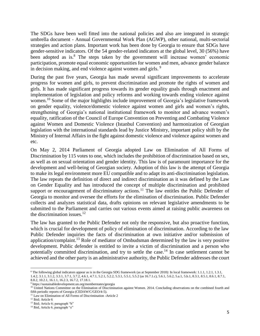The SDGs have been well fitted into the national policies and also are integrated in strategic umbrella document - Annual Governmental Work Plan (AGWP), other national, multi-sectorial strategies and action plans. Important work has been done by Georgia to ensure that SDGs have gender-sensitive indicators. Of the 54 gender-related indicators at the global level, 30 (56%) have been adopted as is.<sup>8</sup> The steps taken by the government will increase women' economic participation, promote equal economic opportunities for women and men, advance gender balance in decision making, and end violence against women and girls.<sup>9</sup>

During the past five years, Georgia has made several significant improvements to accelerate progress for women and girls, to prevent discrimination and promote the rights of women and girls. It has made significant progress towards its gender equality goals through enactment and implementation of legislation and policy reforms and working towards ending violence against women.<sup>10</sup> Some of the major highlights include improvement of Georgia's legislative framework on gender equality, violence/domestic violence against women and girls and women's rights, strengthening of Georgia's national institutional framework to monitor and advance women's equality, ratification of the Council of Europe Convention on Preventing and Combating Violence against Women and Domestic Violence (Istanbul Convention) and harmonization of Georgian legislation with the international standards lead by Justice Ministry, important policy shift by the Ministry of Internal Affairs in the fight against domestic violence and violence against women and etc.

On May 2, 2014 Parliament of Georgia adopted Law on Elimination of All Forms of Discrimination by 115 votes to one, which includes the prohibition of discrimination based on sex, as well as on sexual orientation and gender identity. This law is of paramount importance for the development and well-being of Georgian society. Adoption of this law is the attempt of Georgia to make its legal environment more EU compatible and to adapt its anti-discrimination legislation. The law repeats the definition of direct and indirect discrimination as it was defined by the Law on Gender Equality and has introduced the concept of multiple discrimination and prohibited support or encouragement of discriminatory actions.<sup>11</sup> The law entitles the Public Defender of Georgia to monitor and oversee the efforts for the elimination of discrimination. Public Defender collects and analyzes statistical data, drafts opinions on relevant legislative amendments to be submitted to the Parliament and carries out various events aimed at raising public awareness on the discrimination issues.<sup>12</sup>

The law has granted to the Public Defender not only the responsive, but also proactive function, which is crucial for development of policy of elimination of discrimination. According to the law Public Defender inquiries the facts of discrimination at own initiative and/or submission of application/complaint.<sup>13</sup> Role of mediator of Ombudsman determined by the law is very positive development. Public defender is entitled to invite a victim of discrimination and a person who potentially committed discrimination, and try to settle the case.<sup>14</sup> In case settlement cannot be achieved and the other party is an administrative authority, the Public Defender addresses the court

 $\overline{a}$ 

<sup>8</sup> The following global indicators appear as is in the Georgia SDG framework (as at September 2018): In local framework: 1.1.1, 1.2.1, 1.3.1, 1.4.2, 3.1.1, 3.1.2, 3.3.1, 3.7.1, 3.7.2, 4.6.1, 4.7.1, 5.2.1, 5.2.2, 5.3.1, 5.5.1, 5.5.2 (as 16.7.1.c), 5.6.1, 5.6.2, 5.a.1, 5.b.1, 8.3.1, 8.5.1, 8.6.1, 8.7.1,

<sup>8.8.2, 10.2.1, 16.1.1, 16.2.3, 16.7.2, 17.18.1.</sup>

 $^9$ https://sustainabledevelopment.un.org/memberstates/georgia

<sup>&</sup>lt;sup>10</sup> United Nations Committee on the Elimination of Discrimination against Women. 2014. Concluding observations on the combined fourth and fifth periodic reports of Georgia (CEDAW/C/GEO/4-5).

<sup>&</sup>lt;sup>11</sup> Law on Elimination of All Forms of Discrimination -Article 2

<sup>&</sup>lt;sup>12</sup> Ibid: Article 6

<sup>&</sup>lt;sup>13</sup> Ibid; Article 6; paragraph "b"

<sup>&</sup>lt;sup>14</sup> Ibid, Article 6, paragraph "e"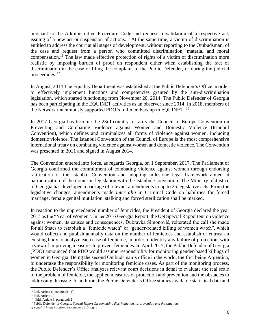pursuant to the Administrative Procedure Code and requests invalidation of a respective act, issuing of a new act or suspension of actions.<sup>15</sup> At the same time, a victim of discrimination is entitled to address the court at all stages of development, without reporting to the Ombudsman, of the case and request from a person who committed discrimination, material and moral compensation.<sup>16</sup> The law made effective protection of rights of a victim of discrimination more realistic by imposing burden of proof on respondent either when establishing the fact of discrimination in the case of filing the complaint to the Public Defender, or during the judicial proceedings.<sup>17</sup>

In August, 2014 The Equality Department was established at the Public Defender's Office in order to effectively implement functions and competencies granted by the anti-discrimination legislation, which started functioning from November 20, 2014. The Public Defender of Georgia has been participating in the EQUINET activities as an observer since 2014. In 2018, members of the Network unanimously supported PDO's full membership in EQUINET..<sup>18</sup>

In 2017 Georgia has become the 23rd country to ratify the Council of Europe Convention on Preventing and Combating Violence against Women and Domestic Violence (Istanbul Convention), which defines and criminalizes all forms of violence against women, including domestic violence. The Istanbul Convention of the Council of Europe is the most comprehensive international treaty on combating violence against women and domestic violence. The Convention was presented in 2011 and signed in August 2014.

The Convention entered into force, as regards Georgia, on 1 September, 2017. The Parliament of Georgia confirmed the commitment of combating violence against women through endorsing ratification of the Istanbul Convention and adopting milestone legal framework aimed at harmonization of the domestic legislation with the Istanbul Convention. The Ministry of Justice of Georgia has developed a package of relevant amendments to up to 25 legislative acts. From the legislative changes, amendments made *inter alia* in Criminal Code on liabilities for forced marriage, female genital mutilation, stalking and forced sterilization shall be marked.

In reaction to the unprecedented number of femicides, the President of Georgia declared the year 2015 as the "Year of [Women"](http://georgia.unwomen.org/en/news/stories/2015/01/georgia-declares-2015-as-year-of-the-women). In her 2016 [Georgia](https://digitallibrary.un.org/record/842665?ln=en) Report, the UN Special Rapporteur on violence against women, its causes and consequences, Dubravka Šimonović, reiterated the call she made for all States to establish a "femicide watch" or "gender-related killing of women watch", which would collect and publish annually data on the number of femicides and establish or entrust an existing body to analyze each case of femicide, in order to identify any failure of protection, with a view of improving measures to prevent femicides. In April 2017, the Public Defender of Georgia (PDO) announced that PDO would assume responsibility for monitoring [gender-based](http://georgia.unwomen.org/en/news/stories/2017/04/public-defenders-office-to-monitor-cases-of-femicide) killings of women in [Georgia.](http://georgia.unwomen.org/en/news/stories/2017/04/public-defenders-office-to-monitor-cases-of-femicide) Being the second Ombudsman's office in the world, the first being Argentina, to undertake the responsibility for monitoring femicide cases. As part of the monitoring process, the Public Defender's Office analyzes relevant court decisions in detail to evaluate the real scale of the problem of femicide, the applied measures of protection and prevention and the obstacles to addressing the issue. In addition, the Public Defender's Office studies available statistical data and

 $\overline{a}$ 

<sup>&</sup>lt;sup>15</sup> Ibid, Article 6; paragraph "g"

<sup>16</sup> Ibid, Article 10

<sup>&</sup>lt;sup>17</sup> –Ibid, Article 8, paragraph 2

<sup>18</sup> Public Defender of Georgia, *Special Report On combating discrimination, its prevention and the situation*

*of equality in the country*; September 2015; pg. 6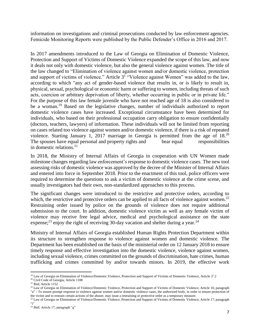information on investigations and criminal prosecutions conducted by law enforcement agencies. Femicide Monitoring Reports were published by the Public Defender's Office in 2016 and 2017.

In 2017 amendments introduced to the Law of Georgia on Elimination of Domestic Violence, Protection and Support of Victims of Domestic Violence expanded the scope of this law, and now it deals not only with domestic violence, but also the general violence against women. The title of the law changed to "Elimination of violence against women and/or domestic violence, protection and support of victims of violence." Article  $3<sup>T</sup>$  "Violence against Women" was added to the law, according to which "any act of gender-based violence that results in, or is likely to result in, physical, sexual, psychological or economic harm or suffering to women, including threats of such acts, coercion or arbitrary deprivation of liberty, whether occurring in public or in private life." For the purpose of this law female juvenile who have not reached age of 18 is also considered to be a woman.<sup>19</sup> Based on the legislative changes, number of individuals authorized to report domestic violence cases have increased. Exceptional circumstance have been determined for individuals, who based on their professional occupation carry obligation to ensure confidentially (doctors, teachers, lawyers) of information. These individuals will not be limited from reporting on cases related too violence against women and/or domestic violence, if there is a risk of repeated violence. Starting January 1, 2017 marriage in Georgia is permitted from the age of  $18<sup>20</sup>$ The spouses have equal personal and property rights and bear equal responsibilities in domestic relations. $21$ 

In 2018, the Ministry of Internal Affairs of Georgia in cooperation with UN Women made milestone changes regarding law enforcement's response to domestic violence cases*.* The new tool assessing risks of domestic violence was approved by the decree of the Minister of Internal Affairs and entered into force in September 2018. Prior to the enactment of this tool, police officers were required to determine the questions to ask a victim of domestic violence at the crime scene, and usually investigators had their own, non-standardized approaches to this process.

The significant changes were introduced to the restrictive and protective orders, according to which, the restrictive and protective orders can be applied to all facts of violence against women.<sup>22</sup> Restraining order issued by police on the grounds of violence does not require additional submission to the court. In addition, domestic violence victim as well as any female victim of violence may receive free legal advice, medical and psychological assistance on the state expense;<sup>23</sup> enjoy the right of receiving 30-day vacation and shelter during a year.<sup>24</sup>

Ministry of Internal Affairs of Georgia established Human Rights Protection Department within its structure to strengthen response to violence against women and domestic violence. The Department has been established on the basis of the ministerial order on 12 January 2018 to ensure timely response and effective investigation into the domestic violence, violence against women, including sexual violence, crimes committed on the grounds of discrimination, hate crimes, human trafficking and crimes committed by and/or towards minors. In 2019, the effective work

 $\overline{\phantom{a}}$ <sup>19</sup> Law of Georgia on Elimination of Violence/Domestic Violence, Protection and Support of Victims of Domestic Violence, Article 3<sup>1</sup>.2

<sup>20</sup> Civil Code of Georgia; Article 1108

<sup>21</sup> Ibid; Article 1152

<sup>&</sup>lt;sup>22</sup> Law of Georgia on Elimination of Violence/Domestic Violence, Protection and Support of Victims of Domestic Violence, Article 10, paragraph "a" - To ensure prompt response to violence against women and/or domestic violence cases, the authorized body, in order to ensure protection of the victim and to restrain certain actions of the abuser, may issue a restraining or protective order as a temporary measure.

<sup>&</sup>lt;sup>23</sup> Law of Georgia on Elimination of Violence/Domestic Violence, Protection and Support of Victims of Domestic Violence; Article 17; paragraph  $\cdot \cdot$  i"

<sup>&</sup>lt;sup>24</sup> *Ibid*; Article 17; paragraph "g"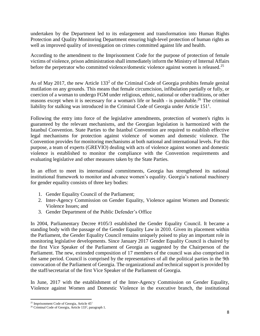undertaken by the Department led to its enlargement and transformation into Human Rights Protection and Quality Monitoring Department ensuring high-level protection of human rights as well as improved quality of investigation on crimes committed against life and health.

According to the amendment to the Imprisonment Code for the purpose of protection of female victims of violence, prison administration shall immediately inform the Ministry of Internal Affairs before the perpetrator who committed violence/domestic violence against women is released.<sup>25</sup>

As of May 2017, the new Article  $133<sup>2</sup>$  of the Criminal Code of Georgia prohibits female genital mutilation on any grounds. This means that female circumcision, infibulation partially or fully, or coercion of a woman to undergo FGM under religious, ethnic, national or other traditions, or other reasons except when it is necessary for a woman's life or health - is punishable.<sup>26</sup> The criminal liability for stalking was introduced in the Criminal Code of Georgia under Article  $151<sup>1</sup>$ .

Following the entry into force of the legislative amendments, protection of women's rights is guaranteed by the relevant mechanisms, and the Georgian legislation is harmonized with the Istanbul Convention. State Parties to the Istanbul Convention are required to establish effective legal mechanisms for protection against violence of women and domestic violence. The Convention provides for monitoring mechanisms at both national and international levels. For this purpose, a team of experts (GREVIO) dealing with acts of violence against women and domestic violence is established to monitor the compliance with the Convention requirements and evaluating legislative and other measures taken by the State Parties.

In an effort to meet its international commitments, Georgia has strengthened its national institutional framework to monitor and advance women's equality. Georgia's national machinery for gender equality consists of three key bodies:

- 1. Gender Equality Council of the Parliament;
- 2. Inter-Agency Commission on Gender Equality, Violence against Women and Domestic Violence Issues; and
- 3. Gender Department of the Public Defender's Office

In 2004, Parliamentary Decree #105/3 established the Gender Equality Council. It became a standing body with the passage of the Gender Equality Law in 2010. Given its placement within the Parliament, the Gender Equality Council remains uniquely poised to play an important role in monitoring legislative developments. Since January 2017 Gender Equality Council is chaired by the first Vice Speaker of the Parliament of Georgia as suggested by the Chairperson of the Parliament. The new, extended composition of 17 members of the council was also comprised in the same period. Council is comprised by the representatives of all the political parties in the 9th convocation of the Parliament of Georgia. The organizational and technical support is provided by the staff/secretariat of the first Vice Speaker of the Parliament of Georgia.

In June, 2017 with the establishment of the Inter-Agency Commission on Gender Equality, Violence against Women and Domestic Violence in the executive branch, the institutional

 $\overline{\phantom{a}}$ <sup>25</sup> Imprisonment Code of Georgia, Article 45<sup>1</sup>

<sup>&</sup>lt;sup>26</sup> Criminal Code of Georgia, Article 133<sup>2</sup>, paragraph 1.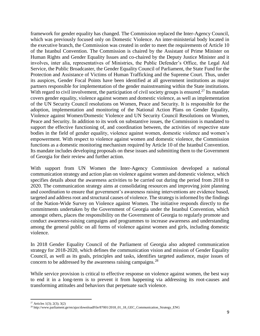framework for gender equality has changed. The Commission replaced the Inter-Agency Council, which was previously focused only on Domestic Violence. An inter-ministerial body located in the executive branch, the Commission was created in order to meet the requirements of Article 10 of the Istanbul Convention. The Commission is chaired by the Assistant of Prime Minister on Human Rights and Gender Equality Issues and co-chaired by the Deputy Justice Minister and it involves, inter alia, representatives of Ministries, the Public Defender's Office, the Legal Aid Service, the Public Broadcaster, the Gender Equality Council of Parliament, the State Fund for the Protection and Assistance of Victims of Human Trafficking and the Supreme Court. Thus, under its auspices, Gender Focal Points have been identified at all government institutions as major partners responsible for implementation of the gender mainstreaming within the State institutions. With regard to civil involvement, the participation of civil society groups is ensured.<sup>27</sup> Its mandate covers gender equality, violence against women and domestic violence, as well as implementation of the UN Security Council resolutions on Women, Peace and Security. It is responsible for the adoption, implementation and monitoring of the National Action Plans on Gender Equality, Violence against Women/Domestic Violence and UN Security Council Resolutions on Women, Peace and Security. In addition to its work on substantive issues, the Commission is mandated to support the effective functioning of, and coordination between, the activities of respective state bodies in the field of gender equality, violence against women, domestic violence and women's empowerment. With respect to violence against women and domestic violence, the Commission functions as a domestic monitoring mechanism required by Article 10 of the Istanbul Convention. Its mandate includes developing proposals on these issues and submitting them to the Government of Georgia for their review and further action.

With support from UN Women the Inter-Agency Commission developed a national communication strategy and action plan on violence against women and domestic violence, which specifies details about the awareness activities to be carried out during the period from 2018 to 2020. The communication strategy aims at consolidating resources and improving joint planning and coordination to ensure that government's awareness raising interventions are evidence based, targeted and address root and structural causes of violence. The strategy is informed by the findings of the Nation-Wide Survey on Violence against Women. The initiative responds directly to the commitments undertaken by the Government of Georgia under the Istanbul Convention, which amongst others, places the responsibility on the Government of Georgia to regularly promote and conduct awareness-raising campaigns and programmes to increase awareness and understanding among the general public on all forms of violence against women and girls, including domestic violence.

In 2018 Gender Equality Council of the Parliament of Georgia also adopted communication strategy for 2018-2020, which defines the communication vision and mission of Gender Equality Council, as well as its goals, principles and tasks, identifies targeted audience, major issues of concern to be addressed by the awareness raising campaigns.<sup>28</sup>

While service provision is critical to effective response on violence against women, the best way to end it in a long-term is to prevent it from happening via addressing its root-causes and transforming attitudes and behaviors that perpetuate such violence.

 $\overline{\phantom{a}}$ <sup>27</sup> Articles 1(3); 2(3); 3(2)

<sup>28</sup> http://www.parliament.ge/en/ajax/downloadFile/87001/2018\_01\_18\_GEC\_Communication\_Strategy\_ENG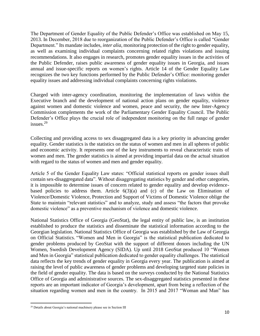The Department of Gender Equality of the Public Defender's Office was established on May 15, 2013. In December, 2018 due to reorganization of the Public Defender's Office is called "Gender Department." Its mandate includes, *inter alia*, monitoring protection of the right to gender equality, as well as examining individual complaints concerning related rights violations and issuing recommendations. It also engages in research, promotes gender equality issues in the activities of the Public Defender, raises public awareness of gender equality issues in Georgia, and issues annual and issue-specific reports on women's rights. Article 14 of the Gender Equality Law recognizes the two key functions performed by the Public Defender's Office: monitoring gender equality issues and addressing individual complaints concerning rights violations.

Charged with inter-agency coordination, monitoring the implementation of laws within the Executive branch and the development of national action plans on gender equality, violence against women and domestic violence and women, peace and security, the new Inter-Agency Commission complements the work of the Parliamentary Gender Equality Council. The Public Defender's Office plays the crucial role of independent monitoring on the full range of gender issues.<sup>29</sup>

Collecting and providing access to sex disaggregated data is a key priority in advancing gender equality. Gender statistics is the statistics on the status of women and men in all spheres of public and economic activity. It represents one of the key instruments to reveal characteristic traits of women and men. The gender statistics is aimed at providing impartial data on the actual situation with regard to the status of women and men and gender equality.

Article 5 of the Gender Equality Law states: "Official statistical reports on gender issues shall contain sex-disaggregated data". Without disaggregating statistics by gender and other categories, it is impossible to determine issues of concern related to gender equality and develop evidencebased policies to address them. Article  $6(3)(a)$  and (c) of the Law on Elimination of Violence/Domestic Violence, Protection and Support of Victims of Domestic Violence oblige the State to maintain "relevant statistics" and to analyze, study and assess "the factors that provoke domestic violence" as a preventive mechanism of violence and domestic violence.

National Statistics Office of Georgia (GeoStat), the legal entity of public law, is an institution established to produce the statistics and disseminate the statistical information according to the Georgian legislation. National Statistics Office of Georgia was established by the Law of Georgia on Official Statistics. "Women and Men in Georgia" is the statistical publication dedicated to gender problems produced by GeoStat with the support of different donors including the UN Women, Swedish Development Agency (SIDA). Up until 2018 GeoStat produced 10 "Women and Men in Georgia" statistical publication dedicated to gender equality challenges. The statistical data reflects the key trends of gender equality in Georgia every year. The publication is aimed at raising the level of public awareness of gender problems and developing targeted state policies in the field of gender equality. The data is based on the surveys conducted by the National Statistics Office of Georgia and administrative sources. The sex-disaggregated statistics presented in these reports are an important indicator of Georgia's development, apart from being a reflection of the situation regarding women and men in the country. In 2015 and 2017 "Woman and Man" has

 $\overline{\phantom{a}}$ <sup>29</sup> Details about Georgia's national machinery please see in Section III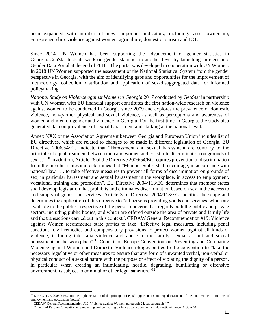been expanded with number of new, important indicators, including: asset ownership, entrepreneurship, violence against women, agriculture, domestic tourism and ICT.

Since 2014 UN Women has been supporting the advancement of gender statistics in Georgia. GeoStat took its work on gender statistics to another level by launching an electronic Gender Data Portal at the end of 2018. The portal was developed in cooperation with UN Women. In 2018 UN Women supported the assessment of the National Statistical System from the gender perspective in Georgia, with the aim of identifying gaps and opportunities for the improvement of methodology, collection, distribution and application of sex-disaggregated data for informed policymaking.

*National Study on Violence against Women in Georgia* 2017 conducted by GeoStat in partnership with UN Women with EU financial support constitutes the first nation-wide research on violence against women to be conducted in Georgia since 2009 and explores the prevalence of domestic violence, non-partner physical and sexual violence, as well as perceptions and awareness of women and men on gender and violence in Georgia. For the first time in Georgia, the study also generated data on prevalence of sexual harassment and stalking at the national level.

Annex XXX of the Association Agreement between Georgia and European Union includes list of EU directives, which are related to changes to be made in different legislation of Georgia. EU Directive 2006/54/EC indicate that "Harassment and sexual harassment are contrary to the principle of equal treatment between men and women and constitute discrimination on grounds of sex. . ." <sup>30</sup> In addition, Article 26 of the Directive 2006/54/EC requires prevention of discrimination from the member states and determines that "Member States shall encourage, in accordance with national law . . . to take effective measures to prevent all forms of discrimination on grounds of sex, in particular harassment and sexual harassment in the workplace, in access to employment, vocational training and promotion". EU Directive 2004/113/EC determines that member states shall develop legislation that prohibits and eliminates discrimination based on sex in the access to and supply of goods and services. Article 3 of Directive 2004/113/EC specifies the scope and determines the application of this directive to "all persons providing goods and services, which are available to the public irrespective of the person concerned as regards both the public and private sectors, including public bodies, and which are offered outside the area of private and family life and the transactions carried out in this context". CEDAW General Recommendation #19: Violence against Women recommends state parties to take "Effective legal measures, including penal sanctions, civil remedies and compensatory provisions to protect women against all kinds of violence, including inter alia violence and abuse in the family, sexual assault and sexual harassment in the workplace".<sup>31</sup> Council of Europe Convention on Preventing and Combating Violence against Women and Domestic Violence obliges parties to the convention to "take the necessary legislative or other measures to ensure that any form of unwanted verbal, non-verbal or physical conduct of a sexual nature with the purpose or effect of violating the dignity of a person, in particular when creating an intimidating, hostile, degrading, humiliating or offensive environment, is subject to criminal or other legal sanction."<sup>32</sup>

l

<sup>&</sup>lt;sup>30</sup> DIRECTIVE 2006/54/EC on the implementation of the principle of equal opportunities and equal treatment of men and women in matters of employment and occupation (recast)

<sup>&</sup>lt;sup>31</sup> CEDAW General Recommendation #19: Violence against Women; paragraph 24, subparagraph "i"

<sup>&</sup>lt;sup>32</sup> Council of Europe Convention on preventing and combating violence against women and domestic violence, Article 40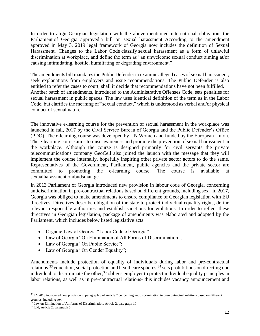In order to align Georgian legislation with the above-mentioned international obligation, the Parliament of Georgia [approved](https://info.parliament.ge/#law-drafting/17053) a bill on sexual harassment. According to the amendment approved in May 3, 2019 legal framework of Georgia now includes the definition of Sexual Harassment. Changes to the Labor Code [classify](https://info.parliament.ge/?fbclid=IwAR1dh6dWYRaVRPFUQ6DMAXOPhNaIToFdiH8XWxxSGNuPBnThwSnYgcMMAl4#law-drafting/17139) sexual harassment as a form of unlawful discrimination at workplace, and define the term as "an unwelcome sexual conduct aiming at/or causing intimidating, hostile, humiliating or degrading environment."

The amendments bill mandates the Public Defender to examine alleged cases of sexual harassment, seek explanations from employers and issue recommendations. The Public Defender is also entitled to refer the cases to court, shall it decide that recommendations have not been fulfilled. Another batch of amendments, introduced to the Administrative Offenses Code, sets penalties for sexual harassment in public spaces. The law uses identical definition of the term as in the Labor Code, but clarifies the meaning of "sexual conduct," which is understood as verbal and/or physical conduct of sexual nature.

The innovative e-learning course for the prevention of sexual harassment in the workplace was launched in fall, 2017 by the Civil Service Bureau of Georgia and the Public Defender's Office (PDO). The e-learning course was developed by UN Women and funded by the European Union. The e-learning course aims to raise awareness and promote the prevention of sexual harassment in the workplace. Although the course is designed primarily for civil servants the private telecommunications company GeoCell also joined the launch with the message that they will implement the course internally, hopefully inspiring other private sector actors to do the same. Representatives of the Government, Parliament, public agencies and the private sector are committed to promoting the e-learning course. The course is available at sexualharassment.ombudsman.ge.

In 2013 Parliament of Georgia introduced new provision in labour code of Georgia, concerning antidiscrimination in pre-contractual relations based on different grounds, including sex. In 2017, Georgia was obliged to make amendments to ensure compliance of Georgian legislation with EU directives. Directives describe obligation of the state to protect individual equality rights, define relevant responsible authorities and establish sanctions for violations. In order to reflect these directives in Georgian legislation, package of amendments was elaborated and adopted by the Parliament, which includes below listed legislative acts:

- Organic Law of Georgia "Labor Code of Georgia";
- Law of Georgia "On Elimination of All Forms of Discrimination";
- Law of Georgia "On Public Service";
- Law of Georgia "On Gender Equality";

Amendments include protection of equality of individuals during labor and pre-contractual relations,  $33$  education, social protection and healthcare spheres,  $34$  sets prohibitions on directing one individual to discriminate the other,<sup>35</sup> obliges employer to protect individual equality principles in labor relations, as well as in pre-contractual relations- this includes vacancy announcement and

l

<sup>&</sup>lt;sup>33</sup> In 2013 introduced new provision in paragraph 3 of Article 2 concerning antidiscrimination in pre-contractual relations based on different grounds, including sex.

 $34$  Law on Elimination of All forms of Discrimination, Article 2, paragraph 10

<sup>35</sup> Ibid; Article 2, paragraph 5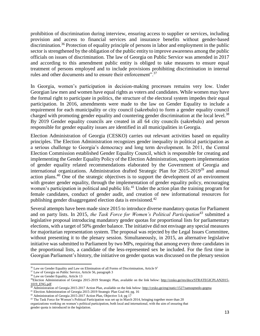prohibition of discrimination during interview, ensuring access to supplier or services, including provision and access to financial services and insurance benefits without gender-based discrimination.<sup>36</sup> Protection of equality principle of persons in labor and employment in the public sector is strengthened by the obligation of the public entity to improve awareness among the public officials on issues of discrimination. The law of Georgia on Public Service was amended in 2017 and according to this amendment public entity is obliged to take measures to ensure equal treatment of persons employed and to include provisions prohibiting discrimination in internal rules and other documents and to ensure their enforcement".<sup>37</sup>

In Georgia, women's participation in decision-making processes remains very low. Under Georgian law men and women have equal rights as voters and candidates. While women may have the formal right to participate in politics, the structure of the electoral system impedes their equal participation. In 2016, amendments were made to the law on Gender Equality to include a requirement for each municipality or city council (sakrebulo) to form a gender equality council charged with promoting gender equality and countering gender discrimination at the local level.<sup>38</sup> By 2019 Gender equality councils are created in all 64 city councils (sakrebulo) and person responsible for gender equality issues are identified in all municipalities in Georgia.

Election Administration of Georgia (CESKO) carries out relevant activities based on equality principles. The Election Administration recognizes gender inequality in political participation as a serious challenge to Georgia's democracy and long term development. In 2011, the Central Election Commission established Gender Equality Council, which is responsible for creating and implementing the Gender Equality Policy of the Election Administration, supports implementation of gender equality related recommendations elaborated by the Government of Georgia and international organizations. Administration drafted Strategic Plan for 2015-2019<sup>39</sup> and annual action plans.<sup>40</sup> One of the strategic objectives is to support the development of an environment with greater gender equality, through the implementation of gender equality policy, encouraging women's participation in political and public life.<sup>41</sup> Under the action plan the training program for female candidates, conduct of gender audit, and creation of new informational resources for publishing gender disaggregated election data is envisioned.<sup>42</sup>

Several attempts have been made since 2015 to introduce diverse mandatory quotas for Parliament and on party lists. In 2015, *the Task Force for Women's Political Participation<sup>43</sup>* submitted a legislative proposal introducing mandatory gender quotas for proportional lists for parliamentary elections, with a target of 50% gender balance. The initiative did not envisage any special measures for majoritarian representation system. The proposal was rejected by the Legal Issues Committee, without presenting it to the plenary session. Simultaneously, in 2015, an alternative legislative initiative was submitted to Parliament by two MPs, requiring that among every three candidates in the proportional lists, a candidate of the less-represented sex be included. For the first time in Georgian Parliament's history, the initiative on gender quotas was discussed on the plenary session

 $\overline{\phantom{a}}$ 

 $36$  Law on Gender Equality and Law on Elimination of all Forms of Discrimination, Article  $9<sup>1</sup>$ 

<sup>&</sup>lt;sup>37</sup> Law of Georgia on Public Service, Article 56, paragraph 3

<sup>&</sup>lt;sup>38</sup> Law on Gender Equality, Article 13

<sup>39</sup>Election Administration of Georgia 2015-2019 Strategic Plan, available on the link below: [http://cesko.ge/res/docs/STRATEGICPLAN2015-](http://cesko.ge/res/docs/STRATEGICPLAN2015-1019_ENG.pdf) [1019\\_ENG.pdf](http://cesko.ge/res/docs/STRATEGICPLAN2015-1019_ENG.pdf)

<sup>&</sup>lt;sup>40</sup> Administration of Georgia 2015-2017 Action Plan, available on the link below[: http://cesko.ge/eng/static/1527/samoqmedo-gegma](http://cesko.ge/eng/static/1527/samoqmedo-gegma)

<sup>41</sup> Election Administration of Georgia 2015-2019 Strategic Plan Goal #4; pg. 16

<sup>&</sup>lt;sup>42</sup> Administration of Georgia 2015-2017 Action Plan, Objective 3.4; pg 17

<sup>&</sup>lt;sup>43</sup> The Task Force for Women's Political Participation was set up in March 2014, bringing together more than 20

organizations working on women's political participation, both local and international, with the aim of ensuring that gender quota is introduced in the legislation.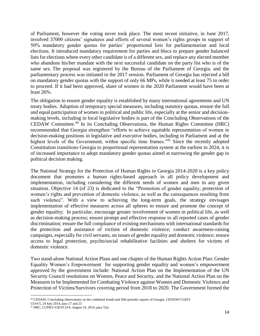of Parliament, however the voting never took place. The most recent initiative, in June 2017, involved 37000 citizens' signatures and efforts of several women's rights groups in support of 50% mandatory gender quotas for parties' proportional lists for parliamentarian and local elections. It introduced mandatory requirement for parties and blocs to prepare gender balanced lists for elections where every other candidate is of a different sex, and replace any elected member who abandons his/her mandate with the next successful candidate on the party list who is of the same sex. The proposal was registered by the Bureau of the Parliament of Georgia, and the parliamentary process was initiated in the 2017 session. Parliament of Georgia has rejected a bill on mandatory gender quotas with the support of only 66 MPs, while it needed at least 75 in order to proceed. If it had been approved, share of women in the 2020 Parliament would have been at least 26%.

The obligation to ensure gender equality is established by many international agreements and UN treaty bodies. Adoption of temporary special measures, including statutory quotas, ensure the full and equal participation of women in political and public life, especially at the senior and decisionmaking levels, including in local legislative bodies is part of the Concluding Observations of the CEDAW Committee.<sup>44</sup> In its Concluding Observations, the Human Rights Committee (HRC) recommended that Georgia strengthen "efforts to achieve equitable representation of women in decision-making positions in legislative and executive bodies, including in Parliament and at the highest levels of the Government, within specific time frames."<sup>45</sup> Since the recently adopted Constitution transitions Georgia to proportional representation system at the earliest in 2024, it is of increased importance to adopt mandatory gender quotas aimed at narrowing the gender gap in political decision making.

The National Strategy for the Protection of Human Rights in Georgia 2014-2020 is a key policy document that promotes a human rights-based approach in all policy development and implementation, including considering the different needs of women and men in any given situation. Objective 14 (of 23) is dedicated to the "Promotion of gender equality, protection of women's rights and prevention of domestic violence, as well as the consequences resulting from such violence". With a view to achieving the long-term goals, the strategy envisages implementation of effective measures across all spheres to ensure and promote the concept of gender equality; In particular, encourage greater involvement of women in political life, as well as decision-making process; ensure prompt and effective response to all reported cases of gender discrimination; ensure the full compliance of existing mechanisms with international standards for the protection and assistance of victims of domestic violence; conduct awareness-raising campaigns, especially for civil servants, on issues of gender equality and domestic violence; ensure access to legal protection, psycho/social rehabilitative facilities and shelters for victims of domestic violence.

Two stand-alone National Action Plans and one chapter of the Human Rights Action Plan: Gender Equality Women's Empowerment for supporting gender equality and women's empowerment approved by the government include: National Action Plan on the Implementation of the UN Security Council resolutions on Women, Peace and Security, and the National Action Plan on the Measures to be Implemented for Combating Violence against Women and Domestic Violence and Protection of Victims/Survivors covering period from 2018 to 2020. The Government formed the

 $\overline{a}$ <sup>44</sup> CEDAW, Concluding observations on the combined fourth and fifth periodic reports of Georgia, CEDAW/C/GEO/

CO/4-5, 24 July 2014, para 17 and 25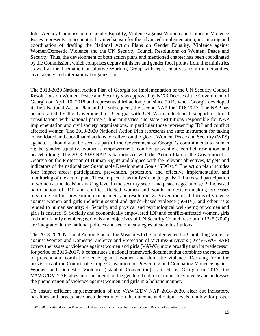Inter-Agency Commission on Gender Equality, Violence against Women and Domestic Violence Issues represents an accountability mechanism for the advanced implementation, monitoring and coordination of drafting the National Action Plans on Gender Equality, Violence against Women/Domestic Violence and the UN Security Council Resolutions on Women, Peace and Security. Thus, the development of both action plans and mentioned chapter has been coordinated by the Commission, which comprises deputy ministers and gender focal points from line ministries as well as the Thematic Consultative Working Group with representatives from municipalities, civil society and international organizations.

The 2018-2020 National Action Plan of Georgia for Implementation of the UN Security Council Resolutions on Women, Peace and Security was approved by N173 Decree of the Government of Georgia on April 10, 2018 and represents third action plan since 2011, when Georgia developed its first National Action Plan and the subsequent, the second NAP for 2016-2017. The NAP has been drafted by the Government of Georgia with UN Women technical support in broad consultations with national partners, line ministries and state institutions responsible for NAP implementation and civil society organizations, in particular those representing IDP and conflict affected women. The 2018-2020 National Action Plan represents the state instrument for taking consolidated and coordinated actions to deliver on the global Women, Peace and Security (WPS) agenda. It should also be seen as part of the Government of Georgia's commitments to human rights, gender equality, women's empowerment, conflict prevention, conflict resolution and peacebuilding. The 2018-2020 NAP is harmonized with the Action Plan of the Government of Georgia on the Protection of Human Rights and aligned with the relevant objectives, targets and indicators of the nationalized Sustainable Development Goals (SDGs).<sup>46</sup> The action plan includes four impact areas: participation, prevention, protection, and effective implementation and monitoring of the action plan. These impact areas unify six major goals: 1. Increased participation of women at the decision-making level in the security sector and peace negotiations,; 2. Increased participation of IDP and conflict-affected women and youth in decision-making processes regarding conflict prevention, management and resolution; 3. Prevention of all forms of violence against women and girls including sexual and gender-based violence (SGBV), and other risks related to human security; 4. Security and physical and psychological well-being of women and girls is ensured; 5. Socially and economically empowered IDP and conflict-affected women, girls and their family members; 6. Goals and objectives of UN Security Council resolution 1325 (2000) are integrated in the national policies and sectoral strategies of state institutions.

The 2018-2020 National Action Plan on the Measures to be Implemented for Combating Violence against Women and Domestic Violence and Protection of Victims/Survivors (DV/VAWG NAP) covers the issues of violence against women and girls (VAWG) more broadly than its predecessor for period of 2016-2017. It constitutes a national framework document that combines the measures to prevent and combat violence against women and domestic violence. Deriving from the provisions of the Council of Europe Convention on Preventing and Combating Violence against Women and Domestic Violence (Istanbul Convention), ratified by Georgia in 2017, the VAWG/DV NAP takes into consideration the gendered nature of domestic violence and addresses the phenomenon of violence against women and girls in a holistic manner.

To ensure efficient implementation of the VAWG/DV NAP 2018-2020, clear cut indicators, baselines and targets have been determined on the outcome and output levels to allow for proper

 $\overline{\phantom{a}}$ 

<sup>46</sup> 2018-2020 National Action Plan on the UN Security Council Resolutions on Women, Peace and Security ; page 2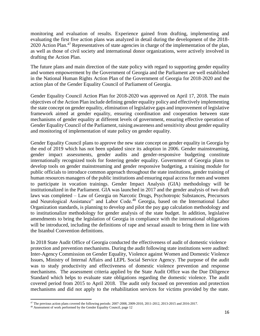monitoring and evaluation of results. Experience gained from drafting, implementing and evaluating the first five action plans was analyzed in detail during the development of the 2018- 2020 Action Plan.<sup>47</sup> Representatives of state agencies in charge of the implementation of the plan, as well as those of civil society and international donor organizations, were actively involved in drafting the Action Plan.

The future plans and main direction of the state policy with regard to supporting gender equality and women empowerment by the Government of Georgia and the Parliament are well established in the National Human Rights Action Plan of the Government of Georgia for 2018-2020 and the action plan of the Gender Equality Council of Parliament of Georgia.

Gender Equality Council Action Plan for 2018-2020 was approved on April 17, 2018. The main objectives of the Action Plan include defining gender equality policy and effectively implementing the state concept on gender equality, elimination of legislative gaps and improvement of legislative framework aimed at gender equality, ensuring coordination and cooperation between state mechanisms of gender equality at different levels of government, ensuring effective operation of Gender Equality Council of the Parliament, raising awareness and sensitivity about gender equality and monitoring of implementation of state policy on gender equality.

Gender Equality Council plans to approve the new state concept on gender equality in Georgia by the end of 2019 which has not been updated since its adoption in 2006. Gender mainstreaming, gender impact assessments, gender audits and gender-responsive budgeting constitute internationally recognized tools for fostering gender equality. Government of Georgia plans to develop tools on gender mainstreaming and gender responsive budgeting, a training module for public officials to introduce common approach throughout the state institutions, gender training of human resources managers of the public institutions and ensuring equal access for men and women to participate in vocation trainings. Gender Impact Analysis (GIA) methodology will be institutionalized in the Parliament. GIA was launched in 2017 and the gender analysis of two draft laws was completed – Law of Georgia on Narcotic Drugs, Psychotropic Substances, Precursors and Neurological Assistance" and Labor Code. <sup>48</sup> Georgia, based on the International Labor Organization standards, is planning to develop and pilot the pay gap calculation methodology and to institutionalize methodology for gender analysis of the state budget. In addition, legislative amendments to bring the legislation of Georgia in compliance with the international obligations will be introduced, including the definitions of rape and sexual assault to bring them in line with the Istanbul Convention definitions.

In 2018 State Audit Office of Georgia conducted the effectiveness of audit of domestic violence protection and prevention mechanisms. During the audit following state institutions were audited: Inter-Agency Commission on Gender Equality, Violence against Women and Domestic Violence Issues, Ministry of Internal Affairs and LEPL Social Service Agency. The purpose of the audit was to study productivity and effectiveness of domestic violence prevention and response mechanisms. The assessment criteria applied by the State Audit Office was the Due Diligence Standard which helps to evaluate state obligations regarding the domestic violence. The audit covered period from 2015 to April 2018. The audit only focused on prevention and protection mechanisms and did not apply to the rehabilitation services for victims provided by the state.

 $\overline{\phantom{a}}$ 

<sup>&</sup>lt;sup>47</sup> The previous action plans covered the following periods: 2007-2008, 2009-2010, 2011-2012, 2013-2015 and 2016-2017.

<sup>48</sup> Assessment of work performed by the Gender Equality Council, page 12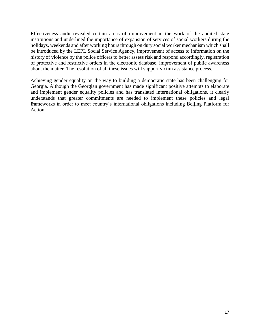Effectiveness audit revealed certain areas of improvement in the work of the audited state institutions and underlined the importance of expansion of services of social workers during the holidays, weekends and after working hours through on duty social worker mechanism which shall be introduced by the LEPL Social Service Agency, improvement of access to information on the history of violence by the police officers to better assess risk and respond accordingly, registration of protective and restrictive orders in the electronic database, improvement of public awareness about the matter. The resolution of all these issues will support victim assistance process.

<span id="page-16-0"></span>Achieving gender equality on the way to building a democratic state has been challenging for Georgia. Although the Georgian government has made significant positive attempts to elaborate and implement gender equality policies and has translated international obligations, it clearly understands that greater commitments are needed to implement these policies and legal frameworks in order to meet country's international obligations including Beijing Platform for Action.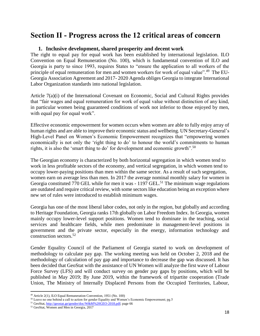### **Section II - Progress across the 12 critical areas of concern**

#### **1. Inclusive development, shared prosperity and decent work**

<span id="page-17-0"></span>The right to equal pay for equal work has been established by international legislation. ILO Convention on Equal Remuneration (No. 100), which is fundamental convention of ILO and Georgia is party to since 1993, requires States to "ensure the application to all workers of the principle of equal remuneration for men and women workers for work of equal value".<sup>49</sup> The EU-Georgia Association Agreement and 2017- 2020 Agenda obliges Georgia to integrate International Labor Organization standards into national legislation.

Article 7(a)(i) of the International Covenant on Economic, Social and Cultural Rights provides that "fair wages and equal remuneration for work of equal value without distinction of any kind, in particular women being guaranteed conditions of work not inferior to those enjoyed by men, with equal pay for equal work".

Effective economic empowerment for women occurs when women are able to fully enjoy array of human rights and are able to improve their economic status and wellbeing. UN Secretary-General's High-Level Panel on Women's Economic Empowerment recognizes that "empowering women economically is not only the 'right thing to do' to honour the world's commitments to human rights, it is also the 'smart thing to do' for development and economic growth".<sup>50</sup>

The Georgian economy is characterized by both horizontal segregation in which women tend to work in less profitable sectors of the economy, and vertical segregation, in which women tend to occupy lower-paying positions than men within the same sector. As a result of such segregation, women earn on average less than men. In 2017 the average nominal monthly salary for women in Georgia constituted 770 GEL while for men it was - 1197 GEL.<sup>51</sup> The minimum wage regulations are outdated and require critical review, with some sectors like education being an exception where new set of rules were introduced to establish minimum wages.

Georgia has one of the most liberal labor codes, not only in the region, but globally and according to Heritage Foundation, Georgia ranks 17th globally on Labor Freedom Index. In Georgia, women mainly occupy lower-level support positions. Women tend to dominate in the teaching, social services and healthcare fields, while men predominate in management-level positions in government and the private sector, especially in the energy, information technology and construction sectors.<sup>52</sup>

Gender Equality Council of the Parliament of Georgia started to work on development of methodology to calculate pay gap. The working meeting was held on October 2, 2018 and the methodology of calculation of pay gap and importance to decrease the gap was discussed. It has been decided that GeoStat with the assistance of UN Women will analyze the first wave of Labour Force Survey (LFS) and will conduct survey on gender pay gaps by positions, which will be published in May 2019; By June 2019, within the framework of tripartite cooperation (Trade Union, The Ministry of Internally Displaced Persons from the Occupied Territories, Labour,

l

<sup>49</sup> Article 2(1), ILO Equal Remuneration Convention, 1951 (No. 100)

<sup>&</sup>lt;sup>50</sup> Leave no one behind a call to action for gender Equality and Women's Economic Empowerment; pg.5

<sup>&</sup>lt;sup>51</sup> GeoStat, [http://geostat.ge/gender/doc/W&M%20GEO-2018.pdf;](http://geostat.ge/gender/doc/W&M%20GEO-2018.pdf) page 66

<sup>52</sup> GeoStat, Women and Men in Georgia, 2017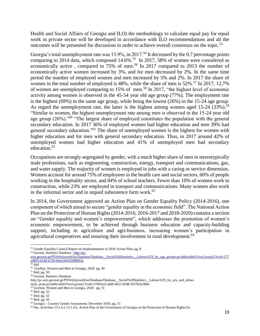Health and Social Affairs of Georgia and ILO) the methodology to calculate equal pay for equal work in private sector will be developed in accordance with ILO recommendations and all the outcomes will be presented for discussion in order to achieve overall consensus on the topic.<sup>53</sup>

Georgia's total unemployment rate was 13.9%, in 2017.<sup>54</sup> It decreased by the 0.7 percentage points comparing to 2014 data, which composed  $14.6\%$ .<sup>55</sup> In 2017, 58% of women were considered as economically active, compared to  $75\%$  of men.<sup>56</sup> In 2017 compared to 2013 the number of economically active women increased by 3%, and for men decreased by 2%. In the same time period the number of employed women and men increased by 5% and 2%. In 2017 the share of women in the total number of employed is  $48\%$ , while the share of men is  $52\%$ .<sup>57</sup> In 2017, 12,7% of women are unemployed comparing to 15% of men.<sup>58</sup> In 2017, "the highest level of economic activity among women is observed in the 45-54 year old age group (77%). The employment rate is the highest (69%) in the same age group, while being the lowest (26%) in the 15-24 age group. As regard the unemployment rate, the latter is the highest among women aged 15-24 (33%).<sup>59</sup> "Similar to women, the highest unemployment rate among men is observed in the 15-24 year old age group (26%)."<sup>60</sup> "The largest share of employed constitutes the population with the general secondary education. In 2017 36% of employed women had higher education and men 39% had general secondary education."<sup>61</sup> The share of unemployed women is the highest for women with higher education and for men with general secondary education. Thus, in 2017 around 42% of unemployed women had higher education and 41% of unemployed men had secondary education.<sup>62</sup>

Occupations are strongly segregated by gender, with a much higher share of men in stereotypically male professions, such as engineering, construction, energy, transport and communications, gas, and water supply. The majority of women is employed in jobs with a caring or service dimension. Women account for around 75% of employees in the health care and social sectors, 60% of people working in the hospitality sector, and 84% of school teachers. Fewer than 10% of women work in construction, while 23% are employed in transport and communications. Many women also work in the informal sector and in unpaid subsistence farm work. $63$ 

In 2014, the Government approved an Action Plan on Gender Equality Policy (2014-2016), one component of which aimed to secure "gender equality in the economic field". The National Action Plan on the Protection of Human Rights (2014-2016; 2016-2017 and 2018-2020) contains a section on "Gender equality and women's empowerment", which addresses the promotion of women's economic empowerment, to be achieved through business education and capacity-building support, including in agriculture and agri-business, increasing women's participation in agricultural cooperatives and ensuring their involvement in rural development.<sup>64</sup>

 $\overline{\phantom{a}}$ 

<sup>&</sup>lt;sup>53</sup> Gender Equality Council Report on Implementation of 2018 Action Plan; pg. 8

<sup>54</sup> Geostat, Statistics Database [, http://pc-](http://pc-axis.geostat.ge/PXWeb/pxweb/ka/Database/Database__Social%20Statistics__Labour/LFS_by_age_groups.px/table/tableViewLayout2/?rxid=277a4803-d140-4158-b0a4-0e0550888b2e)

axis.geostat.ge/PXWeb/pxweb/ka/Database/Database\_Social%20Statistics\_\_Labour/LFS\_by\_age\_groups.px/table/tableViewLayout2/?rxid=277 [a4803-d140-4158-b0a4-0e0550888b2e](http://pc-axis.geostat.ge/PXWeb/pxweb/ka/Database/Database__Social%20Statistics__Labour/LFS_by_age_groups.px/table/tableViewLayout2/?rxid=277a4803-d140-4158-b0a4-0e0550888b2e) 

<sup>55</sup> ibid

<sup>&</sup>lt;sup>56</sup> GeoStat, Women and Men in Georgia, 2018 pg. 49

<sup>57</sup> Ibid; pg. 50

<sup>58</sup> Geostat, Statistics Database

http://pc-axis.geostat.ge/PXWeb/pxweb/ka/Database/Database\_\_Social%20Statistics\_\_Labour/LFS\_by\_sex\_and\_urbanrural\_areas.px/table/tableViewLayout2/?rxid=e7601ea3-da9f-4b25-8c88-3f37bcbc9b8c

<sup>59</sup> GeoStat, Women and Men in Georgia, 2018 pg. 51

<sup>60</sup> Ibid; pg. 52

 $61$  Ibid; pg. 52

<sup>62</sup> Ibid; pg. 56

<sup>63</sup> Georgia – Country Gender Assessment; December 2018; pg. 15

<sup>64</sup> See, Activities 13.1.4.1-13.1.4.5, Action Plan of the Government of Georgia on the Protection of Human Rights for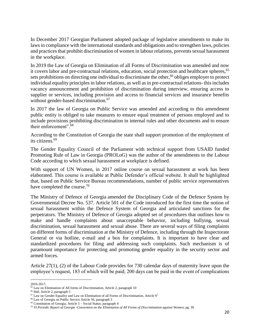In December 2017 Georgian Parliament adopted package of legislative amendments to make its laws in compliance with the international standards and obligations and to strengthen laws, policies and practices that prohibit discrimination of women in labour relations, prevents sexual harassment in the workplace.

In 2019 the Law of Georgia on Elimination of all Forms of Discrimination was amended and now it covers labor and pre-contractual relations, education, social protection and healthcare spheres, <sup>65</sup> sets prohibitions on directing one individual to discriminate the other,<sup>66</sup> obliges employer to protect individual equality principles in labor relations, as well as in pre-contractual relations- this includes vacancy announcement and prohibition of discrimination during interview, ensuring access to supplier or services, including provision and access to financial services and insurance benefits without gender-based discrimination.<sup>67</sup>

In 2017 the law of Georgia on Public Service was amended and according to this amendment public entity is obliged to take measures to ensure equal treatment of persons employed and to include provisions prohibiting discrimination in internal rules and other documents and to ensure their enforcement".<sup>68</sup>

According to the Constitution of Georgia the state shall support promotion of the employment of its citizens.<sup>69</sup>

The Gender Equality Council of the Parliament with technical support from USAID funded Promoting Rule of Law in Georgia (PROLoG) was the author of the amendments to the Labour Code according to which sexual harassment at workplace is defined.

With support of UN Women, in 2017 online course on sexual harassment at work has been elaborated. This course is available at Public Defender's official website. It shall be highlighted that, based on Public Service Bureau recommendations, number of public service representatives have completed the course.<sup>70</sup>

The Ministry of Defence of Georgia amended the Disciplinary Code of the Defence System by Governmental Decree No. 537. Article 501 of the Code introduced for the first time the notion of sexual harassment within the Defence System of Georgia and articulated sanctions for the perpetrators. The Ministry of Defence of Georgia adopted set of procedures that outlines how to make and handle complaints about unacceptable behavior, including bullying, sexual discrimination, sexual harassment and sexual abuse. There are several ways of filing complaints on different forms of discrimination at the Ministry of Defence, including through the Inspectorate General or via hotline, e-mail and a box for complaints. It is important to have clear and standardized procedures for filing and addressing such complaints. Such mechanism is of paramount importance for protecting and promoting gender equality in the security sector and armed forces.

Article 27(1), (2) of the Labour Code provides for 730 calendar days of maternity leave upon the employee's request, 183 of which will be paid; 200 days can be paid in the event of complications

 $\overline{\phantom{a}}$ 

<sup>66</sup> ibid; Article 2, paragraph 5

<sup>2016-2017</sup>**.**

<sup>65</sup> Law on Elimination of All forms of Discrimination, Article 2, paragraph 10

 $67$  Law on Gender Equality and Law on Elimination of all Forms of Discrimination, Article  $9<sup>1</sup>$ 

<sup>&</sup>lt;sup>68</sup> Law of Georgia on Public Service Article 56, paragraph 3

 $69$  Constitution of Georgia; Article 5 – Social Status; paragraph 4

<sup>70</sup> *VI Periodic Report of Georgia -Convention on the Elimination of All Forms of Discrimination against Women*; pg. 39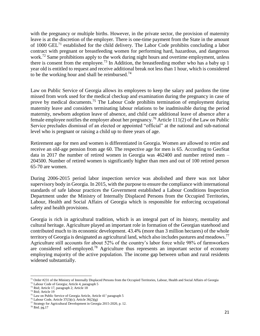with the pregnancy or multiple births. However, in the private sector, the provision of maternity leave is at the discretion of the employer. There is one-time payment from the State in the amount of 1000 GEL<sup>71</sup> established for the child delivery. The Labor Code prohibits concluding a labor contract with pregnant or breastfeeding women for performing hard, hazardous, and dangerous work.<sup>72</sup> Same prohibitions apply to the work during night hours and overtime employment, unless there is consent from the employee.<sup>73</sup> In Addition, the breastfeeding mother who has a baby up 1 year old is entitled to request and receive additional break not less than 1 hour, which is considered to be the working hour and shall be reimbursed.<sup>74</sup>

Law on Public Service of Georgia allows its employees to keep the salary and pardons the time missed from work used for the medical checkup and examination during the pregnancy in case of prove by medical documents.<sup>75</sup> The Labour Code prohibits termination of employment during maternity leave and considers terminating labour relations to be inadmissible during the period maternity, newborn adoption leave of absence, and child care additional leave of absence after a female employee notifies the employer about her pregnancy.<sup>76</sup> Article 111(2) of the Law on Public Service precludes dismissal of an elected or appointed "official" at the national and sub-national level who is pregnant or raising a child up to three years of age.

Retirement age for men and women is differentiated in Georgia. Women are allowed to retire and receive an old-age pension from age 60. The respective age for men is 65. According to GeoStat data in 2017 the number of retired women in Georgia was 462400 and number retired men – 204500. Number of retired women is significantly higher than men and out of 100 retired person 65-70 are women.

During 2006-2015 period labor inspection service was abolished and there was not labor supervisory body in Georgia. In 2015, with the purpose to ensure the compliance with international standards of safe labour practices the Government established a Labour Conditions Inspection Department under the Ministry of Internally Displaced Persons from the Occupied Territories, Labour, Health and Social Affairs of Georgia which is responsible for enforcing occupational safety and health provisions.

Georgia is rich in agricultural tradition, which is an integral part of its history, mentality and cultural heritage. Agriculture played an important role in formation of the Georgian statehood and contributed much to its economic development. 43.4% (more than 3 million hectares) of the whole territory of Georgia is designated as agricultural land, which also includes pastures and meadows.<sup>77</sup> Agriculture still accounts for about 52% of the country's labor force while 98% of farmworkers are considered self-employed.<sup>78</sup> Agriculture thus represents an important sector of economy employing majority of the active population. The income gap between urban and rural residents widened substantially.

 $\overline{\phantom{a}}$  $71$  Order #231 of the Ministry of Internally Displaced Persons from the Occupied Territories, Labour, Health and Social Affairs of Georgia

<sup>72</sup> Labour Code of Georgia; Article 4, paragraph 5

<sup>73</sup> Ibid; Article 17, paragraph 2; Article 18

<sup>74</sup> Ibid; Article 19

 $75$  Law on Public Service of Georgia Article, Article  $41<sup>1</sup>$  paragraph 5

 $76$  Labour Code, Article 37(3)(c); Article 36(2)(g)

<sup>77</sup> Strategy for Agricultural Development in Georgia 2015-2020, p. 12.

<sup>78</sup> Ibid. pg.17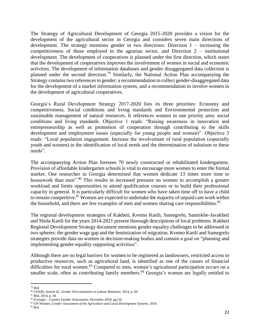The Strategy of Agricultural Development of Georgia 2015-2020 provides a vision for the development of the agricultural sector in Georgia and considers seven main directions of development. The strategy mentions gender in two directions: Direction 1 – increasing the competitiveness of those employed in the agrarian sector, and Direction 2 – institutional development. The development of cooperatives is planned under the first direction, which states that the development of cooperatives improves the involvement of women in social and economic activities. The development of information databases and gender disaggregated data collection is planned under the second direction.<sup>79</sup> Similarly, the National Action Plan accompanying the Strategy contains two references to gender: a recommendation to collect gender-disaggregated data for the development of a market information system, and a recommendation to involve women in the development of agricultural cooperatives.

Georgia's Rural Development Strategy 2017-2020 lists its three priorities: Economy and competitiveness, Social conditions and living standards and Environmental protection and sustainable management of natural resources. It references women in one priority area: social conditions and living standards. Objective 1 reads: "Raising awareness in innovation and entrepreneurship as well as promotion of cooperation through contributing to the skills development and employment issues (especially for young people and women)". Objective 3 reads: "Local population engagement. Increase the involvement of rural population (especially youth and women) in the identification of local needs and the determination of solutions to these needs".

The accompanying Action Plan foresees 70 newly constructed or rehabilitated kindergartens. Provision of affordable kindergarten schools is vital to encourage more women to enter the formal market. One researcher in Georgia determined that women dedicate 13 times more time to housework than men".<sup>80</sup> This results in increased pressure on women to accomplish a greater workload and limits opportunities to attend qualification courses or to build their professional capacity in general. It is particularly difficult for women who have taken time off to have a child to remain competitive.<sup>81</sup> Women are expected to undertake the majority of unpaid care work within the household, and there are few examples of men and women sharing care responsibilities. $82$ 

The regional development strategies of Kakheti, Kvemo Kartli, Samegrelo, Samtskhe-Javakheti and Shida Kartli for the years 2014-2021 present thorough descriptions of local problems. Kakheti Regional Development Strategy document mentions gender equality challenges to be addressed in two spheres: the gender wage gap and the feminization of migration. Kvemo Kartli and Samegrelo strategies provide data on women in decision-making bodies and contain a goal on "planning and implementing gender equality supporting activities".

Although there are no legal barriers for women to be registered as landowners, restricted access to productive resources, such as agricultural land, is identified as one of the causes of financial difficulties for rural women.<sup>83</sup> Compared to men, women's agricultural participation occurs on a smaller scale, often as contributing family members.<sup>84</sup> Georgia's women are legally entitled to

l <sup>79</sup> Ibid

<sup>80</sup> USAID, Article 42, *Gender Discrimination in Labour Relations*, 2014, p. 60

<sup>81</sup> Ibid, 2014, p. 64

 $82$  (Georgia – Country Gender Assessment; December 2018; pg. 14)

<sup>83</sup> UN Women, *Gender Assessment of the Agriculture and Local Development Systems,* 2016

<sup>84</sup> Ibid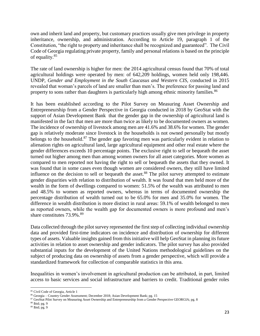own and inherit land and property, but customary practices usually give men privilege in property inheritance, ownership, and administration. According to Article 19, paragraph 1 of the Constitution, "the right to property and inheritance shall be recognized and guaranteed". The Civil Code of Georgia regulating private property, family and personal relations is based on the principle of equality.<sup>85</sup>

The rate of land ownership is higher for men: the 2014 agricultural census found that 70% of total agricultural holdings were operated by men: of 642,209 holdings, women held only 198,446. UNDP, *Gender and Employment in the South Caucasus and Western CIS,* conducted in 2015 revealed that woman's parcels of land are smaller than men's. The preference for passing land and property to sons rather than daughters is particularly high among ethnic minority families.<sup>86</sup>

It has been established according to the Pilot Survey on Measuring Asset Ownership and Entrepreneurship from a Gender Perspective in Georgia conducted in 2018 by GeoStat with the support of Asian Development Bank that the gender gap in the ownership of agricultural land is manifested in the fact that men are more than twice as likely to be documented owners as women. The incidence of ownership of livestock among men are 41.6% and 38.6% for women. The gender gap is relatively moderate since livestock in the households is not owned personally but mostly belongs to the household.<sup>87</sup> The gender gap favoring men was particularly evident in relation to alienation rights on agricultural land, large agricultural equipment and other real estate where the gender differences exceeds 10 percentage points. The exclusive right to sell or bequeath the asset turned out higher among men than among women owners for all asset categories. More women as compared to men reported not having the right to sell or bequeath the assets that they owned. It was found that in some cases even though women are considered owners, they still have limited influence on the decision to sell or bequeath the asset.<sup>88</sup> The pilot survey attempted to estimate gender disparities with relation to distribution of wealth. It was found that men held more of the wealth in the form of dwellings compared to women: 51.5% of the wealth was attributed to men and 48.5% to women as reported owners, whereas in terms of documented ownership the percentage distribution of wealth turned out to be 65.0% for men and 35.0% for women. The difference in wealth distribution is more distinct in rural areas: 59.1% of wealth belonged to men as reported owners, while the wealth gap for documented owners is more profound and men's share constitutes 73.9%.<sup>89</sup>

Data collected through the pilot survey represented the first step of collecting individual ownership data and provided first-time indicators on incidence and distribution of ownership for different types of assets. Valuable insights gained from this initiative will help GeoStat in planning its future activities in relation to asset ownership and gender indicators. The pilot survey has also provided substantial inputs for the development of the United Nations methodological guidelines on the subject of producing data on ownership of assets from a gender perspective, which will provide a standardized framework for collection of comparable statistics in this area.

Inequalities in women's involvement in agricultural production can be attributed, in part, limited access to basic services and social infrastructure and barriers to credit. Traditional gender roles

 $\overline{a}$ 

<sup>85</sup> Civil Code of Georgia, Article 1

<sup>86</sup> Georgia – Country Gender Assessment; December 2018; Asian Development Bank; pg. 15

<sup>87</sup> GeoStat Pilot Survey on Measuring Asset Ownership and Entrepreneurship from a Gender Perspective GEORGIA; pg. 8

<sup>88</sup> Ibid; pg. 9

<sup>89</sup> Ibid; pg. 9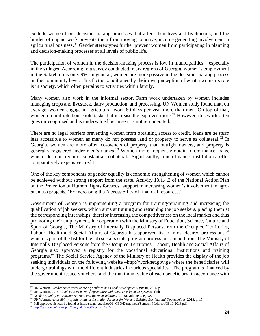exclude women from decision-making processes that affect their lives and livelihoods, and the burden of unpaid work prevents them from moving to active, income generating involvement in agricultural business.<sup>90</sup> Gender stereotypes further prevent women from participating in planning and decision-making processes at all levels of public life.

The participation of women in the decision-making process is low in municipalities – especially in the villages. According to a survey conducted in six regions of Georgia, women's employment in the Sakrebulo is only 9%. In general, women are more passive in the decision-making process on the community level. This fact is conditioned by their own perception of what a woman's role is in society, which often pertains to activities within family.

Many women also work in the informal sector. Farm work undertaken by women includes managing crops and livestock, dairy production, and processing. UN Women study found that, on average, women engage in agricultural work 80 days per year more than men. On top of that, women do multiple household tasks that increase the gap even more.<sup>91</sup> However, this work often goes unrecognized and is undervalued because it is not remunerated.

There are no legal barriers preventing women from obtaining access to credit, loans are *de facto*  less accessible to women as many do not possess land or property to serve as collateral.<sup>92</sup> In Georgia, women are more often co-owners of property than outright owners, and property is generally registered under men's names.<sup>93</sup> Women more frequently obtain microfinance loans, which do not require substantial collateral. Significantly, microfinance institutions offer comparatively expensive credit.

One of the key components of gender equality is economic strengthening of women which cannot be achieved without strong support from the state. Activity 13.1.4.3 of the National Action Plan on the Protection of Human Rights foresees "support in increasing women's involvement in agrobusiness projects," by increasing the "accessibility of financial resources."

Government of Georgia is implementing a program for training/retraining and increasing the qualification of job seekers, which aims at training and retraining the job seekers, placing them at the corresponding internships, therefor increasing the competitiveness on the local market and thus promoting their employment. In cooperation with the Ministry of Education, Science, Culture and Sport of Georgia, The Ministry of Internally Displaced Persons from the Occupied Territories, Labour, Health and Social Affairs of Georgia has approved list of most desired professions, <sup>94</sup> which is part of the list for the job seekers state program professions. In addition, The Ministry of Internally Displaced Persons from the Occupied Territories, Labour, Health and Social Affairs of Georgia also approved a registry for the vocational educational institutions and training programs.<sup>95</sup> The Social Service Agency of the Ministry of Health provides the display of the job seeking individuals on the following website –http://worknet.gov.ge where the beneficiaries will undergo trainings with the different industries in various specialties. The program is financed by the government-issued vouchers, and the maximum value of each beneficiary, in accordance with

l

<sup>90</sup> UN Women, *Gender Assessment of the Agriculture and Local Development Systems*, 2016, p. 5

<sup>91</sup> UN Women. 2016. *Gender Assessment of Agriculture and Local Development Systems*. Tbilisi

<sup>92</sup> *Gender Equality in Georgia: Barriers and Recommendations* (2018), volume 2. Pg. 38

<sup>93</sup> UN Women, *Accessibility of Microfinance Institution Services for Women: Existing Barriers and Opportunities,* 2013, p. 15.

<sup>94</sup> Full approved list can be found at http://ssa.gov.ge/files/01\_GEO/Dasaqmeba/Samush-Madziebl/08-10-2018.pdf

<sup>95</sup> [http://ssa.gov.ge/index.php?lang\\_id=GEO&sec\\_id=1215](http://ssa.gov.ge/index.php?lang_id=GEO&sec_id=1215)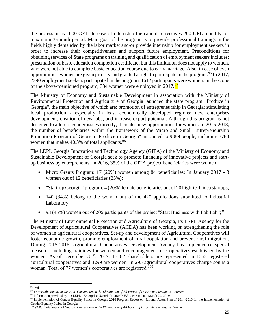the profession is 1000 GEL. In case of internship the candidate receives 200 GEL monthly for maximum 3-month period. Main goal of the program is to provide professional trainings in the fields highly demanded by the labor market and/or provide internship for employment seekers in order to increase their competitiveness and support future employment. Preconditions for obtaining services of State programs on training and qualification of employment seekers includes: presentation of basic education completion certificate, but this limitation does not apply to women, who were not able to complete basic education course due to early marriage. Also, in case of even opportunities, women are given priority and granted a right to participate in the program. <sup>96</sup> In 2017, 2290 employment seekers participated in the program, 1612 participants were women. In the scope of the above-mentioned program, 334 women were employed in 2017.<sup>97</sup>

The Ministry of Economy and Sustainable Development in association with the Ministry of Environmental Protection and Agriculture of Georgia launched the state program "Produce in Georgia", the main objective of which are: promotion of entrepreneurship in Georgia; stimulating local production - especially in least economically developed regions; new enterprises development; creation of new jobs; and increase export potential. Although this program is not designed to address gender issues directly, it creates new opportunities for women. In 2015-2018, the number of beneficiaries within the framework of the Micro and Small Entrepreneurship Promotion Program of Georgia "Produce in Georgia" amounted to 9389 people, including 3783 women that makes 40.3% of total applicants.<sup>98</sup>

The LEPL Georgia Innovation and Technology Agency (GITA) of the Ministry of Economy and Sustainable Development of Georgia seek to promote financing of innovative projects and startup business by entrepreneurs. In 2016, 35% of the GITA project beneficiaries were women:

- Micro Grants Program: 17 (20%) women among 84 beneficiaries; In January 2017 3 women out of 12 beneficiaries (25%);
- "Start-up Georgia" program: 4 (20%) female beneficiaries out of 20 high-tech idea startups;
- 140 (34%) belong to the woman out of the 420 applications submitted to Industrial Laboratory;
- 93 (45%) women out of 205 participants of the project "Start Business with Fab Lab";  $^{99}$

The Ministry of Environmental Protection and Agriculture of Georgia, its LEPL Agency for the Development of Agricultural Cooperatives (ACDA) has been working on strengthening the role of women in agricultural cooperatives. Set-up and development of Agricultural Cooperatives will foster economic growth, promote employment of rural population and prevent rural migration. During 2015-2016, Agricultural Cooperatives Development Agency has implemented special measures, including trainings for women and encouragement of cooperatives established by the women. As of December 31<sup>st</sup>, 2017, 13482 shareholders are represented in 1352 registered agricultural cooperatives and 3299 are women. In 295 agricultural cooperatives chairperson is a woman. Total of 77 women's cooperatives are registered.<sup>100</sup>

l <sup>96</sup> ibid

<sup>97</sup> *VI Periodic Report of Georgia -Convention on the Elimination of All Forms of Discrimination against Women*

<sup>98</sup> Information provided by the LEPL 'Enterprise Georgia"; letter№ EG-04/434; date: March 29, 2019

<sup>99</sup> Implementation of Gender Equality Policy in Georgia 2016 Progress Report on National Acton Plan of 2014-2016 for the Implementation of Gender Equality Policy in Georgia

<sup>100</sup> *VI Periodic Report of Georgia Convention on the Elimination of All Forms of Discrimination against Women*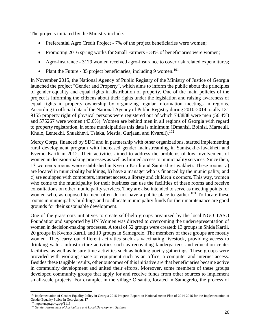The projects initiated by the Ministry include:

- Preferential Agro Credit Project 7% of the project beneficiaries were women;
- Promoting 2016 spring works for Small Farmers 34% of beneficiaries were women;
- Agro-Insurance 3129 women received agro-insurance to cover risk related expenditures;
- Plant the Future 35 project beneficiaries, including 9 women.<sup>101</sup>

In November 2015, the National Agency of Public Registry of the Ministry of Justice of Georgia launched the project "Gender and Property", which aims to inform the public about the principles of gender equality and equal rights in distribution of property. One of the main policies of the project is informing the citizens about their rights under the legislation and raising awareness of equal rights in property ownership by organizing regular information meetings in regions. According to official data of the National Agency of Public Registry during 2010-2014 totally 131 9155 property right of physical persons were registered out of which 743888 were men (56.4%) and 575267 were women (43.6%). Women are behind men in all regions of Georgia with regard to property registration, in some municipalities this data is minimum (Dmanisi, Bolnisi, Marneuli, Khulo, Lentekhi, Shuakhevi, Tslaka, Mestia, Gurjaani and Kvareli).<sup>102</sup>

Mercy Corps, financed by SDC and in partnership with other organizations, started implementing rural development program with increased gender mainstreaming in Samtsekhe-Javakheti and Kvemo Kartli in 2012. Their activities aimed to address the problems of low involvement of women in decision-making processes as well as limited access to municipality services. Since then, 13 women's rooms were established in Kvemo Kartli and Samtskhe-Javakheti. These rooms: a) are located in municipality buildings, b) have a manager who is financed by the municipality, and c) are equipped with computers, internet access, a library and children's corners. This way, women who come to the municipality for their business can use the facilities of these rooms and receive consultations on other municipality services. They are also intended to serve as meeting points for women who, as opposed to men, often do not have a public place to gather.<sup>103</sup> To locate these rooms in municipality buildings and to allocate municipality funds for their maintenance are good grounds for their sustainable development.

One of the grassroots initiatives to create self-help groups organized by the local NGO TASO Foundation and supported by UN Women was directed to overcoming the underrepresentation of women in decision-making processes. A total of 52 groups were created: 13 groups in Shida Kartli, 20 groups in Kvemo Kartli, and 19 groups in Samegrelo. The members of these groups are mostly women. They carry out different activities such as vaccinating livestock, providing access to drinking water, infrastructure activities such as renovating kindergartens and education center facilities, as well as leisure time activities such as holding poetry gatherings. These groups were provided with working space or equipment such as an office, a computer and internet access. Besides these tangible results, other outcomes of this initiative are that beneficiaries became active in community development and united their efforts. Moreover, some members of these groups developed community groups that apply for and receive funds from other sources to implement small-scale projects. For example, in the village Orsantia, located in Samegrelo, the process of

l <sup>101</sup> Implementation of Gender Equality Policy in Georgia 2016 Progress Report on National Acton Plan of 2014-2016 for the Implementation of Gender Equality Policy in Georgia; pg. 17

<sup>102</sup> https://napr.gov.ge/p/1113

<sup>103</sup> *Gender Assessment of Agriculture and Local Development Systems*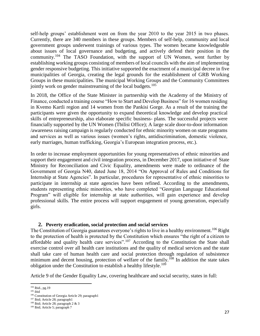self-help groups' establishment went on from the year 2010 to the year 2015 in two phases. Currently, there are 340 members in these groups. Members of self-help, community and local government groups underwent trainings of various types. The women became knowledgeable about issues of local governance and budgeting, and actively defend their position in the community.<sup>104</sup> The TASO Foundation, with the support of UN Women, went further by establishing working groups consisting of members of local councils with the aim of implementing gender responsive budgeting. This initiative supported the enactment of a municipal decree in five municipalities of Georgia, creating the legal grounds for the establishment of GRB Working Groups in these municipalities. The municipal Working Groups and the Community Committees jointly work on gender mainstreaming of the local budgets.<sup>105</sup>

In 2018, the Office of the State Minister in partnership with the Academy of the Ministry of Finance, conducted a training course "How to Start and Develop Business" for 16 women residing in Kvemo Kartli region and 14 women from the Pankisi Gorge. As a result of the training the participants were given the opportunity to expand theoretical knowledge and develop practical skills of entrepreneurship, also elaborate specific business- plans. The successful projects were financially supported by the UN Women (Tbilisi Office); A large scale door-to-door information /awareness raising campaign is regularly conducted for ethnic minority women on state programs and services as well as various issues (women's rights, antidiscrimination, domestic violence, early marriages, human trafficking, Georgia's European integration process, etc.).

In order to increase employment opportunities for young representatives of ethnic minorities and support their engagement and civil integration process, in December 2017, upon initiative of State Ministry for Reconciliation and Civic Equality, amendments were made to ordinance of the Government of Georgia N40, dated June 18, 2014 "On Approval of Rules and Conditions for Internship at State Agencies". In particular, procedures for representative of ethnic minorities to participate in internship at state agencies have been refined. According to the amendments, students representing ethnic minorities, who have completed "Georgian Language Educational Program" will eligible for internship at state authorities, will gain experience and develop professional skills. The entire process will support engagement of young generation, especially girls.

#### **2. Poverty eradication, social protection and social services**

<span id="page-26-0"></span>The Constitution of Georgia guarantees everyone's rights to live in a healthy environment.<sup>106</sup> Right to the protection of health is protected by the Constitution which ensures "the right of a citizen to affordable and quality health care services".<sup>107</sup> According to the Constitution the State shall exercise control over all health care institutions and the quality of medical services and the state shall take care of human health care and social protection through regulation of subsistence minimum and decent housing, protection of welfare of the family.<sup>108</sup> In addition the state takes obligation under the Constitution to establish a healthy lifestyle.<sup>109</sup>

Article 9 of the Gender Equality Law, covering healthcare and social security, states in full:

l

<sup>&</sup>lt;sup>104</sup> Ibid., pg. 19

 $^{\rm 105}$ ibid

<sup>&</sup>lt;sup>106</sup> Constitution of Georgia Article 29; paragraph1

<sup>107</sup> Ibid; Article 28; paragraph1

<sup>108</sup> Ibid; Article 28; paragraph 2 & 3

<sup>109</sup> Ibid; Article 5; paragraph 7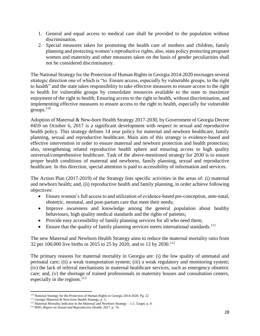- 1. General and equal access to medical care shall be provided to the population without discrimination.
- 2. Special measures taken for promoting the health care of mothers and children, family planning and protecting women's reproductive rights, also, state policy protecting pregnant women and maternity and other measures taken on the basis of gender peculiarities shall not be considered discriminatory.

The National Strategy for the Protection of Human Rights in Georgia 2014-2020 envisages several strategic direction one of which is "to Ensure access, especially by vulnerable groups, to the right to health" and the state takes responsibility to take effective measures to ensure access to the right to health for vulnerable groups by consolidate resources available to the state to maximize enjoyment of the right to health; Ensuring access to the right to health, without discrimination, and implementing effective measures to ensure access to the right to health, especially for vulnerable groups. $110$ 

Adoption of Maternal & New-born Health Strategy 2017-2030, by Government of Georgia Decree #459 on October 6, 2017 is a significant development with respect to sexual and reproductive health policy. This strategy defines 14 year policy for maternal and newborn healthcare, family planning, sexual and reproductive healthcare. Main aim of this strategy is evidence-based and effective intervention in order to ensure maternal and newborn protection and health protection; also, strengthening related reproductive health sphere and ensuring access to high quality universal/comprehensive healthcare. Task of the above-mentioned strategy for 2030 is to ensure proper health conditions of maternal and newborns, family planning, sexual and reproductive healthcare. In this direction, special attention is paid to accessibility of information and services.

The Action Plan (2017-2019) of the Strategy lists specific activities in the areas of: (i) maternal and newborn health; and, (ii) reproductive health and family planning, in order achieve following objectives:

- Ensure women's full access to and utilization of evidence-based pre-conception, ante-natal, obstetric, neonatal, and post-partum care that meet their needs;
- Improve awareness and knowledge among the general population about healthy behaviours, high quality medical standards and the rights of patients;
- Provide easy accessibility of family planning services for all who need them;
- Ensure that the quality of family planning services meets international standards.<sup>111</sup>

The new Maternal and Newborn Health Strategy aims to reduce the maternal mortality ratio from 32 per 100,000 live births in 2015 to 25 by 2020, and to 12 by 2030.<sup>112</sup>

The primary reasons for maternal mortality in Georgia are: (i) the low quality of antenatal and perinatal care; (ii) a weak transportation system; (iii) a weak regulatory and monitoring system; (iv) the lack of referral mechanisms in maternal healthcare services, such as emergency obstetric care; and, (v) the shortage of trained professionals in maternity houses and consultation centers, especially in the regions. $113$ 

l <sup>110</sup> National Strategy for the Protection of Human Rights in Georgia 2014-2020; Pg. 22

<sup>&</sup>lt;sup>111</sup> Georgia Maternal & New-born Health Strategy, p. 1;

 $112$  Maternal Mortality Indicator in the Maternal and Newborn Strategy  $-1.5$ . Target, p. 8.

<sup>113</sup> PDO, *Report on Sexual and Reproductive Health*, 2017, p. 74.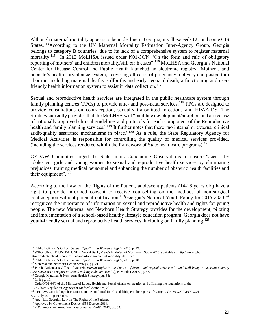Although maternal mortality appears to be in decline in Georgia, it still exceeds EU and some CIS States.<sup>114</sup>According to the UN Maternal Mortality Estimation Inter-Agency Group, Georgia belongs to category B countries, due to its lack of a comprehensive system to register maternal mortality.<sup>115</sup> In 2013 MoLHSA issued order N01-30/N "On the form and rule of obligatory reporting of mothers' and children mortality/still birth cases".<sup>116</sup> MoLHSA and Georgia's National Center for Disease Control and Public Health launched an electronic registry "Mother's and neonate's health surveillance system," covering all cases of pregnancy, delivery and postpartum abortion, including maternal deaths, stillbirths and early neonatal death, a functioning and userfriendly health information system to assist in data collection.<sup>117</sup>

Sexual and reproductive health services are integrated in the public healthcare system through family planning centres (FPCs) to provide ante- and post-natal services.<sup>118</sup> FPCs are designed to provide consultations on contraception, sexually transmitted infections and HIV/AIDS. The Strategy currently provides that the MoLHSA will "facilitate development/adoption and active use of nationally approved clinical guidelines and protocols for each component of the Reproductive health and family planning services."<sup>119</sup> It further notes that there "no internal or external clinical audit-quality assurance mechanisms in place."<sup>120</sup> As a rule, the State Regulatory Agency for Medical Activities is responsible for controlling the quality of medical services provided, (including the services rendered within the framework of State healthcare programs).<sup>121</sup>

CEDAW Committee urged the State in its Concluding Observations to ensure "access by adolescent girls and young women to sexual and reproductive health services by eliminating prejudices, training medical personnel and enhancing the number of obstetric health facilities and their equipment".<sup>122</sup>

According to the Law on the Rights of the Patient, adolescent patients (14-18 years old) have a right to provide informed consent to receive counselling on the methods of non-surgical contraception without parental notification.<sup>123</sup>Georgia's National Youth Policy for 2015-2020<sup>124</sup> recognizes the importance of information on sexual and reproductive health and rights for young people. The new Maternal and Newborn Health Strategy provides for the development, piloting and implementation of a school-based healthy lifestyle education program. Georgia does not have youth-friendly sexual and reproductive health services, including on family planning.<sup>125</sup>

l

<sup>114</sup> Public Defender's Office, *Gender Equality and Women's Rights,* 2015, p. 19.

<sup>115</sup> WHO, UNICEF, UNFPA, UNDP, World Bank, *Trends in Maternal Mortality*, 1990 – 2015, available at: http://www.who.

int/reproductivehealth/publications/monitoring/maternal-mortality-2015/en/

<sup>116</sup> Public Defender's Office, *Gender Equality and Women's Rights*, 2015, p. 18.

<sup>&</sup>lt;sup>117</sup> Maternal and Newborn Health Strategy, pg. 21.

<sup>118</sup> Public Defender's Office of Georgia *Human Rights in the Context of Sexual and Reproductive Health and Well-being in Georgia: Country Assessment* (*PDO Report on Sexual and Reproductive Health*), November 2017, pg. 43.

<sup>&</sup>lt;sup>119</sup> Georgia Maternal & New-born Health Strategy, pg. 34;

<sup>120</sup> Ibid; pg. 19;

<sup>&</sup>lt;sup>121</sup> Order N01-64/5 of the Minister of Labor, Health and Social Affairs on creation and affirming the regulations of the

LEPL State Regulation Agency for Medical Activities, 2011.

<sup>&</sup>lt;sup>122</sup> CEDAW, Concluding observations on the combined fourth and fifth periodic reports of Georgia, CEDAW/C/GEO/CO/4-

<sup>5, 24</sup> July 2014, para 31(c).

<sup>&</sup>lt;sup>123</sup> Art. 41.1, Georgian Law on The Rights of the Patients.

<sup>&</sup>lt;sup>124</sup> Approved by Government Decree #553 Decree, 2014.

<sup>125</sup> PDO, *Report on Sexual and Reproductive Health*, 2017, pg. 54.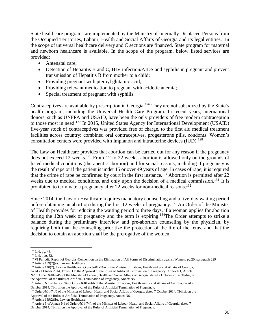State healthcare programs are implemented by the Ministry of Internally Displaced Persons from the Occupied Territories, Labour, Health and Social Affairs of Georgia and its legal entities. In the scope of universal healthcare delivery and C sections are financed. State program for maternal and newborn healthcare is available. In the scope of the program, below listed services are provided:

- Antenatal care;
- Detection of Hepatitis B and C, HIV infection/AIDS and syphilis in pregnant and prevent transmission of Hepatitis B from mother to a child;
- Providing pregnant with pteroyl glutamic acid;
- Providing relevant medication to pregnant with acidotic anemia;
- Special treatment of pregnant with syphilis.

Contraceptives are available by prescription in Georgia.<sup>126</sup> They are not subsidized by the State's health program, including the Universal Health Care Program. In recent years, international donors, such as UNFPA and USAID, have been the only providers of free modern contraception to those most in need.<sup>127</sup> In 2015, United States Agency for International Development (USAID) five-year stock of contraceptives was provided free of charge, to the first aid medical treatment facilities across country: combined oral contraceptives, progesterone pills, condoms. Women's consultation centers were provided with Implanon and intrauterine devices  $(IUD)$ .<sup>128</sup>

The Law on Healthcare provides that abortion can be carried out for any reason if the pregnancy does not exceed 12 weeks.<sup>129</sup> From 12 to 22 weeks, abortion is allowed only on the grounds of listed medical conditions (therapeutic abortion) and for social reasons, including if pregnancy is the result of rape or if the patient is under 15 or over 49 years of age. In cases of rape, it is required that the crime of rape be confirmed by court in the first instance.  $^{130}$ Abortion is permitted after 22 weeks due to medical conditions, and only upon the decision of a medical commission.<sup>131</sup> It is prohibited to terminate a pregnancy after 22 weeks for non-medical reasons.<sup>132</sup>

Since 2014, the Law on Healthcare requires mandatory counselling and a five-day waiting period before obtaining an abortion during the first 12 weeks of pregnancy.<sup>133</sup> An Order of the Minister of Health provides for reducing the waiting period to three days, if a woman applies for abortion during the 12th week of pregnancy and the term is expiring.<sup>134</sup>The Order attempts to strike a balance during the preliminary interview and pre-abortion counseling by the physician, by requiring both that the counseling prioritize the protection of the life of the fetus, and that the decision to obtain an abortion shall be the prerogative of the women.

 $\overline{\phantom{a}}$  $126$  Ibid, pg. 48.

<sup>127</sup> Ibid*,* , pg. 52.

<sup>&</sup>lt;sup>128</sup> VI Periodic Report of Georgia -Convention on the Elimination of All Forms of Discrimination against Women; pg.20; paragraph 229  $129$  Article 139(2)(a), Law on Healthcare

<sup>130</sup> Article 140(2), Law on Healthcare; Order №01-74/n of the Minister of Labour, Health and Social Affairs of Georgia, dated 7 October 2014, Tbilisi, On the Approval of the Rules of Artificial Termination of Pregnancy, Annex N1, Article N2.b. Order №01-74/n of the Minister of Labour, Health and Social Affairs of Georgia, dated 7 October 2014, Tbilisi, on the Approval of the Rules of Artificial Termination of Pregnancy, Annex N5.

<sup>131</sup> Article N1 of Annex N4 of Order №01-74/6 of the Minister of Labour, Health and Social Affairs of Georgia, dated 7 October 2014, Tbilisi, on the Approval of the Rules of Artificial Termination of Pregnancy.

<sup>132</sup> Order №01-74/ნ of the Minister of Labour, Health and Social Affairs of Georgia, dated 7 October 2014, Tbilisi, on the Approval of the Rules of Artificial Termination of Pregnancy, Annex N6.

Article 139(2)(b), Law on Healthcare.

<sup>134</sup> Article 3 of Annex N1 of Order №01-74/n of the Minister of Labour, Health and Social Affairs of Georgia, dated 7 October 2014, Tbilisi, on the Approval of the Rules of Artificial Termination of Pregnancy.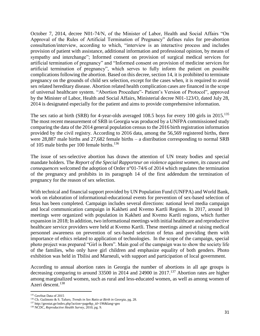October 7, 2014, decree N01-74/N, of the Minister of Labor, Health and Social Affairs "On Approval of the Rules of Artificial Termination of Pregnancy" defines rules for pre-abortion consultation/interview, according to which, "interview is an interactive process and includes provision of patient with assistance, additional information and professional opinion, by means of sympathy and interchange"; Informed consent on provision of surgical medical services for artificial termination of pregnancy" and "Informed consent on provision of medicine services for artificial termination of pregnancy", which serves to fully inform the patient on possible complications following the abortion. Based on this decree, section 14, it is prohibited to terminate pregnancy on the grounds of child sex selection, except for the cases when, it is required to avoid sex related hereditary disease. Abortion related health complication cases are financed in the scope of universal healthcare system. "Abortion Procedure"- Patient's Version of Protocol", approved by the Minister of Labor, Health and Social Affairs, Ministerial decree N01-123/O, dated July 28, 2014 is designated especially for the patient and aims to provide comprehensive information.

The sex ratio at birth (SRB) for 4-year-olds averaged 108.5 boys for every 100 girls in 2015.<sup>135</sup> The most recent measurement of SRB in Georgia was produced by a UNFPA commissioned study comparing the data of the 2014 general population census to the 2016 birth registration information provided by the civil registry. According to 2016 data, among the 56,569 registered births, there were 28,887 male births and 27,682 female births – a distribution corresponding to normal SRB of 105 male births per 100 female births.<sup>136</sup>

The issue of sex-selective abortion has drawn the attention of UN treaty bodies and special mandate holders. The *Report of the Special Rapporteur on violence against women, its causes and consequences* welcomed the adoption of Order n°01-74/6 of 2014 which regulates the termination of the pregnancy and prohibits in its paragraph 14 of the first addendum the termination of pregnancy for the reason of sex selection.

With technical and financial support provided by UN Population Fund (UNFPA) and World Bank, work on elaboration of informational-educational events for prevention of sex-based selection of fetus has been completed. Campaign includes several directions: national level media campaign and local communication campaign in Kakheti and Kvemo Kartli Regions. In 2017, around 10 meetings were organized with population in Kakheti and Kvemo Kartli regions, which further expansion in 2018; In addition, two informational meetings with initial healthcare and reproductive healthcare service providers were held at Kvemo Kartli. These meetings aimed at raising medical personnel awareness on prevention of sex-based selection of fetus and providing them with importance of ethics related to application of technologies. In the scope of the campaign, special photo project was prepared "Girl is Born". Main goal of the campaign was to show the society life of the families, who only have girl children and emphasize equality of both genders. Photo exhibition was held in Tbilisi and Marneuli, with support and participation of local government.

According to annual abortion rates in Georgia the number of abortions in all age groups is decreasing comparing to around 33500 in 2014 and 24900 in 2017.<sup>137</sup> Abortion rates are higher among marginalized women, such as rural and less-educated women, as well as among women of Azeri descent.<sup>138</sup>

l

<sup>135</sup> GeoStat Data of 2015

<sup>136</sup> Ch. Guilmoto & S. Tafuro, *Trends in Sex Ratio at Birth in Georgia,* pg. 28.

<sup>137</sup> http://geostat.ge/index.php?action=page&p\_id=196&lang=geo

<sup>138</sup> NCDC, *Reproductive Health Survey*, 2010, pg. 9.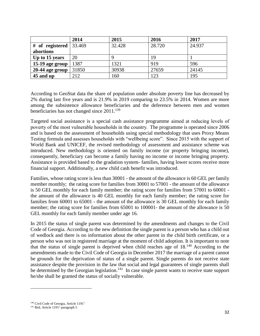|                     | 2014   | 2015   | 2016   | 2017   |
|---------------------|--------|--------|--------|--------|
| # of registered $ $ | 33.469 | 32.428 | 28.720 | 24.937 |
| abortions           |        |        |        |        |
| Up to 15 years      | 20     |        | 19     |        |
| 15-19 age group     | 1387   | 1321   | 919    | 596    |
| $20-44$ age group   | 31850  | 30938  | 27659  | 24145  |
| 45 and up           | 212    | 160    | 123    | 195    |

According to GeoStat data the share of population under absolute poverty line has decreased by 2% during last five years and is 21.9% in 2019 comparing to 23.5% in 2014. Women are more among the subsistence allowance beneficiaries and the deference between men and women beneficiaries has not changed since  $2011$ .<sup>139</sup>

Targeted social assistance is a special cash assistance programme aimed at reducing levels of poverty of the most vulnerable households in the country. The programme is operated since 2006 and is based on the assessment of households using special methodology that uses Proxy Means Testing formula and assesses households with "wellbeing score". Since 2015 with the support of World Bank and UNICEF, the revised methodology of assessment and assistance scheme was introduced. New methodology is oriented on family income (or property bringing income), consequently, beneficiary can become a family having no income or income bringing property. Assistance is provided based to the gradation system- families, having lower scores receive more financial support. Additionally, a new child cash benefit was introduced.

Families, whose rating score is less than 30001 - the amount of the allowance is 60 GEL per family member monthly; the rating score for families from 30001 to 57001 - the amount of the allowance is 50 GEL monthly for each family member; the rating score for families from 57001 to 60001 the amount of the allowance is 40 GEL monthly for each family member; the rating score for families from 60001 to 65001 - the amount of the allowance is 30 GEL monthly for each family member; the rating score for families from 65001 to 100001- the amount of the allowance is 50 GEL monthly for each family member under age 16.

In 2015 the status of single parent was determined by the amendments and changes to the Civil Code of Georgia. According to the new definition the single parent is a person who has a child out of wedlock and there is no information about the other parent in the child birth certificate, or a person who was not in registered marriage at the moment of child adoption. It is important to note that the status of single parent is deprived when child reaches age of  $18^{140}$  According to the amendments made to the Civil Code of Georgia in December 2017 the marriage of a parent cannot be grounds for the deprivation of status of a single parent. Single parents do not receive state assistance despite the provision in the law that social and legal guarantees of single parents shall be determined by the Georgian legislation.<sup>141</sup> In case single parent wants to receive state support he/she shall be granted the status of socially vulnerable.

 $\overline{\phantom{a}}$ 

<sup>&</sup>lt;sup>140</sup> Civil Code of Georgia, Article 1191<sup>1</sup>

<sup>&</sup>lt;sup>141</sup> Ibid, Article 1191<sup>1,</sup> paragraph 5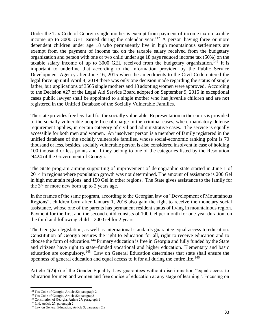Under the Tax Code of Georgia single mother is exempt from payment of income tax on taxable income up to 3000 GEL earned during the calendar year.<sup>142</sup> A person having three or more dependent children under age 18 who permanently live in high mountainous settlements are exempt from the payment of income tax on the taxable salary received from the budgetary organization and person with one or two child under age 18 pays reduced income tax (50%) on the taxable salary income of up to 3000 GEL received from the budgetary organization.<sup>143</sup> It is important to underline that according to the information provided by the Public Service Development Agency after June 16, 2015 when the amendments to the Civil Code entered the legal force up until April 4, 2019 there was only one decision made regarding the status of single father, but applications of 3565 single mothers and 18 adopting women were approved. According to the Decision #27 of the Legal Aid Service Board adopted on September 9, 2015 in exceptional cases public lawyer shall be appointed to a single mother who has juvenile children and are n**ot**  registered in the Unified Database of the Socially Vulnerable Families.

The state provides free legal aid for the socially vulnerable. Representation in the courts is provided to the socially vulnerable people free of charge in the criminal cases, where mandatory defense requirement applies, in certain category of civil and administrative cases. The service is equally accessible for both men and women. An insolvent person is a member of family registered in the unified database of the socially vulnerable families, whose social-economic ranking point is 70 thousand or less, besides, socially vulnerable person is also considered insolvent in case of holding 100 thousand or less points and if they belong to one of the categories listed by the Resolution N424 of the Government of Georgia.

The State program aiming supporting of improvement of demographic state started in June 1 of 2014 in regions where population growth was not determined. The amount of assistance is 200 Gel in high mountain regions and 150 Gel in other regions. The State gives assistance to the family for the  $3<sup>rd</sup>$  or more new born up to 2 years age.

In the frames of the same program, according to the Georgian law on "Development of Mountainous Regions", children born after January 1, 2016 also gain the right to receive the monetary social assistance, whose one of the parents has permanent resident status of living in mountainous region. Payment for the first and the second child consists of 100 Gel per month for one year duration, on the third and following child – 200 Gel for 2 years.

The Georgian legislation, as well as international standards guarantee equal access to education. Constitution of Georgia ensures the right to education for all, right to receive education and to choose the form of education.<sup>144</sup> Primary education is free in Georgia and fully funded by the State and citizens have right to state–funded vocational and higher education. Elementary and basic education are compulsory.<sup>145</sup> Law on General Education determines that state shall ensure the openness of general education and equal access to it for all during the entire life.<sup>146</sup>

Article 4(2)(b) of the Gender Equality Law guarantees without discrimination "equal access to education for men and women and free choice of education at any stage of learning". Focusing on

 $\overline{a}$ 

<sup>&</sup>lt;sup>142</sup> Tax Code of Georgia; Article 82; paragraph 2

<sup>&</sup>lt;sup>143</sup> Tax Code of Georgia, Article 82; paragrap2

<sup>144</sup> Constitution of Georgia, Article 27; paragraph 1

<sup>145</sup> Ibid, Article 27; paragraph 2

<sup>146</sup> Law on General Education; Article 3; paragraph 2.a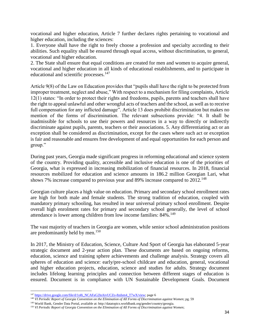vocational and higher education, Article 7 further declares rights pertaining to vocational and higher education, including the sciences:

1. Everyone shall have the right to freely choose a profession and specialty according to their abilities. Such equality shall be ensured through equal access, without discrimination, to general, vocational and higher education.

2. The State shall ensure that equal conditions are created for men and women to acquire general, vocational and higher education in all kinds of educational establishments, and to participate in educational and scientific processes.<sup>147</sup>

Article 9(8) of the Law on Education provides that "pupils shall have the right to be protected from improper treatment, neglect and abuse," With respect to a mechanism for filing complaints, Article 12(1) states: "In order to protect their rights and freedoms, pupils, parents and teachers shall have the right to appeal unlawful and other wrongful acts of teachers and the school, as well as to receive full compensation for any inflicted damage". Article 13 does prohibit discrimination but makes no mention of the forms of discrimination. The relevant subsections provide: "4. It shall be inadmissible for schools to use their powers and resources in a way to directly or indirectly discriminate against pupils, parents, teachers or their associations. 5. Any differentiating act or an exception shall be considered as discrimination, except for the cases where such act or exception is fair and reasonable and ensures free development of and equal opportunities for each person and group."

During past years, Georgia made significant progress in reforming educational and science system of the country. Providing quality, accessible and inclusive education is one of the priorities of Georgia, what is expressed in increasing mobilization of financial resources. In 2018, financial resources mobilized for education and science amounts in 186.2 million Georgian Lari, what shows 7% increase compared to previous year and 89% increase compared to  $2012$ <sup>148</sup>

Georgian culture places a high value on education. Primary and secondary school enrollment rates are high for both male and female students. The strong tradition of education, coupled with mandatory primary schooling, has resulted in near universal primary school enrollment. Despite overall high enrolment rates for primary and secondary school generally, the level of school attendance is lower among children from low income families: 84%.<sup>149</sup>

The vast majority of teachers in Georgia are women, while senior school administration positions are predominantly held by men.<sup>150</sup>

In 2017, the Ministry of Education, Science, Culture And Sport of Georgia has elaborated 5-year strategic document and 2-year action plan. These documents are based on ongoing reforms, education, science and training sphere achievements and challenge analysis. Strategy covers all spheres of education and science: early/pre-school childcare and education, general, vocational and higher education projects, education, science and studies for adults. Strategy document includes lifelong learning principles and connection between different stages of education is ensured. Document is in compliance with UN Sustainable Development Goals. Document

 $\overline{\phantom{a}}$ <sup>147</sup> [https://drive.google.com/file/d/1o8i\\_NCAFaG2lnAivUCZo-8zdsm4\\_T7wX/view;](https://drive.google.com/file/d/1o8i_NCAFaG2lnAivUCZo-8zdsm4_T7wX/view) page 6

<sup>148</sup> *VI Periodic Report of Georgia Convention on the Elimination of All Forms of Discrimination against Women*; pg. 59

<sup>149</sup> World Bank, Gender Data Portal, available at: http://datatopics.worldbank.org/gender/country/georgia.

<sup>150</sup> *VI Periodic Report of Georgia Convention on the Elimination of All Forms of Discrimination against Women*;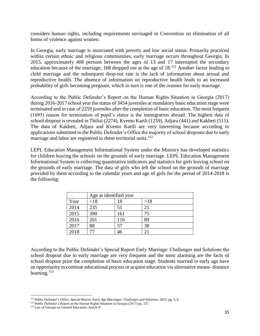considers human rights, including requirements envisaged in Convention on elimination of all forms of violence against women.

In Georgia, early marriage is associated with poverty and low social status. Primarily practiced within certain ethnic and religious communities, early marriage occurs throughout Georgia. In 2015, approximately 408 persons between the ages of 13 and 17 interrupted the secondary education because of the marriage; 168 dropped out at the age of  $18$ <sup>151</sup> Another factor leading to child marriage and the subsequent drop-out rate is the lack of information about sexual and reproductive health. The absence of information on reproductive health leads to an increased probability of girls becoming pregnant, which in turn is one of the reasons for early marriage.

According to the Public Defender's Report on the Human Rights Situation in Georgia (2017) during 2016-2017 school year the status of 3454 juveniles at mandatory basic education stage were terminated and in case of 2259 juveniles after the completion of basic education. The most frequent (1695) reason for termination of pupil's status is the immigration abroad. The highest data of school dropout is revealed in Tbilisi (2274), Kvemo Kartli (1259), Adjara (441) and Kakheti (511). The data of Kakheti, Adjara and Kvemo Kartli are very interesting because according to applications submitted to the Public Defender's Office the majority of school dropouts due to early marriage and labor are registered in these territorial units.<sup>152</sup>

LEPL Education Management Informational System under the Ministry has developed statistics for children leaving the schools on the grounds of early marriage. LEPL Education Management Informational System is collecting quantitative indicators and statistics for girls leaving school on the grounds of early marriage. The data of girls who left the school on the grounds of marriage provided by them according to the calendar years and age of girls for the period of 2014-2018 is the following:

|      | Age at identified year |     |     |  |
|------|------------------------|-----|-----|--|
| Year | < 18                   | 18  | >18 |  |
| 2014 | 235                    | 51  |     |  |
| 2015 | 390                    | 161 | 75  |  |
| 2016 | 201                    | 116 | 89  |  |
| 2017 | 88                     | 57  | 38  |  |
| 2018 |                        | 46  |     |  |

According to the Public Defender's Special Report Early Marriage: Challenges and Solutions the school dropout due to early marriage are very frequent and the most alarming are the facts of school dropout prior the completion of basic education stage. Students married in early age have an opportunity to continue educational process or acquire education via alternative means- distance learning.<sup>153</sup>

 $\overline{a}$ <sup>151</sup> Public Defender's Office, *Special Report: Early Age Marriages: Challenges and Solutions*, 2015, pg. 5, 6.

<sup>&</sup>lt;sup>152</sup> Public Defender's Report on the Human Rights Situation in Georgia (2017) pg. 252

<sup>&</sup>lt;sup>153</sup> Law of Georgia on General Education, Article 6<sup>1</sup>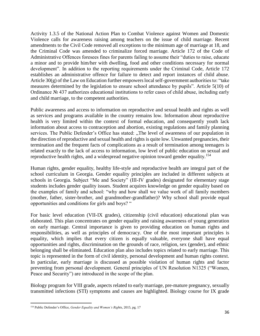Activity 1.3.5 of the National Action Plan to Combat Violence against Women and Domestic Violence calls for awareness raising among teachers on the issue of child marriage. Recent amendments to the Civil Code removed all exceptions to the minimum age of marriage at 18, and the Criminal Code was amended to criminalize forced marriage. Article 172 of the Code of Administrative Offences foresees fines for parents failing to assume their "duties to raise, educate a minor and to provide him/her with dwelling, food and other conditions necessary for normal development". In addition to the reporting requirements under the Criminal Code, Article 172 establishes an administrative offence for failure to detect and report instances of child abuse. Article  $30(g)$  of the Law on Education further empowers local self-government authorities to: "take" measures determined by the legislation to ensure school attendance by pupils". Article 5(10) of Ordinance № 437 authorizes educational institutions to refer cases of child abuse, including early and child marriage, to the competent authorities.

Public awareness and access to information on reproductive and sexual health and rights as well as services and programs available in the country remains low. Information about reproductive health is very limited within the context of formal education, and consequently youth lack information about access to contraception and abortion, existing regulations and family planning services. The Public Defender's Office has stated: "The level of awareness of our population in the direction of reproductive and sexual health and rights is quite low. Unwanted pregnancies, their termination and the frequent facts of complications as a result of termination among teenagers is related exactly to the lack of access to information, low level of public education on sexual and reproductive health rights, and a widespread negative opinion toward gender equality.<sup>154</sup>

Human rights, gender equality, healthy life-style and reproductive health are integral part of the school curriculum in Georgia. Gender equality principles are included in different subjects at schools in Georgia. Subject "Me and Society" (III-IV grades) designated for elementary stage students includes gender quality issues. Student acquires knowledge on gender equality based on the examples of family and school: "why and how shall we value work of all family members (mother, father, sister-brother, and grandmother-grandfather)? Why school shall provide equal opportunities and conditions for girls and boys? "

For basic level education (VII-IX grades), citizenship (civil education) educational plan was elaborated. This plan concentrates on gender equality and raising awareness of young generation on early marriage. Central importance is given to providing education on human rights and responsibilities, as well as principles of democracy. One of the most important principles is equality, which implies that every citizen is equally valuable, everyone shall have equal opportunities and rights, discrimination on the grounds of race, religion, sex (gender), and ethnic belonging shall be eliminated. Education plan also includes topics related to early marriage. This topic is represented in the form of civil identity, personal development and human rights context. In particular, early marriage is discussed as possible violation of human rights and factor preventing from personal development. General principles of UN Resolution N1325 ("Women, Peace and Security") are introduced in the scope of the plan.

Biology program for VIII grade, aspects related to early marriage, pre-mature pregnancy, sexually transmitted infections (STI) symptoms and causes are highlighted. Biology course for IX grade

 $\overline{\phantom{a}}$ <sup>154</sup> Public Defender's Office, *Gender Equality and Women's Rights,* 2015, pg. 17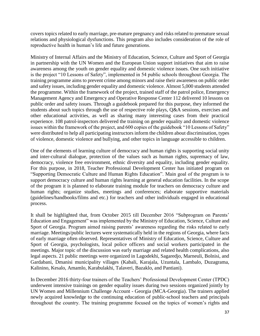covers topics related to early marriage, pre-mature pregnancy and risks related to premature sexual relations and physiological dysfunctions. This program also includes consideration of the role of reproductive health in human's life and future generations.

Ministry of Internal Affairs and the Ministry of Education, Science, Culture and Sport of Georgia in partnership with the UN Women and the European Union support initiatives that aim to raise awareness among the youth on gender equality and domestic violence issues. One such initiative is the project "10 Lessons of Safety", implemented in 54 public schools throughout Georgia. The training programme aims to prevent crime among minors and raise their awareness on public order and safety issues, including gender equality and domestic violence. Almost 5,000 students attended the programme. Within the framework of the project, trained staff of the patrol police, Emergency Management Agency and Emergency and Operative Response Center 112 delivered 10 lessons on public order and safety issues. Through a guidebook prepared for this purpose, they informed the students about such topics through the use of respective role plays, Q&A sessions, exercises and other educational activities, as well as sharing many interesting cases from their practical experience. 108 patrol-inspectors delivered the training on gender equality and domestic violence issues within the framework of the project, and 600 copies of the guidebook "10 Lessons of Safety" were distributed to help all participating instructors inform the children about discrimination, types of violence, domestic violence and bullying, and other topics in language accessible to children.

One of the elements of learning culture of democracy and human rights is supporting social unity and inter-cultural dialogue, protection of the values such as human rights, supremacy of law, democracy, violence free environment, ethnic diversity and equality, including gender equality. For this purpose, in 2018, Teacher Professional Development Center has initiated program on "Supporting Democratic Culture and Human Rights Education". Main goal of the program is to support democracy culture and human rights learning at general education facilities. In the scope of the program it is planned to elaborate training module for teachers on democracy culture and human rights; organize studies, meetings and conferences; elaborate supportive materials (guidelines/handbooks/films and etc.) for teachers and other individuals engaged in educational process.

It shall be highlighted that, from October 2015 till December 2016 "Subprogram on Parents' Education and Engagement" was implemented by the Ministry of Education, Science, Culture and Sport of Georgia. Program aimed raising parents' awareness regarding the risks related to early marriage. Meetings/public lectures were systematically held in the regions of Georgia, where facts of early marriage often observed. Representatives of Ministry of Education, Science, Culture and Sport of Georgia, psychologists, local police officers and social workers participated in the meetings. Major topic of the discussion was early marriage and related health complications, also legal aspects. 21 public meetings were organized in Lagodekhi, Sagaredjo, Marneuli, Bolnisi, and Gardabani, Dmanisi municipality villages (Kabali, Karajala, Uzuntala, Lambalo, Duzagrama, Kalinino, Kesalo, Amamlo, Karabulakhi, Talaveri, Bazaklo, and Pantiani).

In December 2016 thirty-four trainers of the Teachers' Professional Development Center (TPDC) underwent intensive trainings on gender equality issues during two sessions organized jointly by UN Women and Millennium Challenge Account - Georgia (MCA-Georgia). The trainers applied newly acquired knowledge to the continuing education of public-school teachers and principals throughout the country. The training programme focused on the topics of women's rights and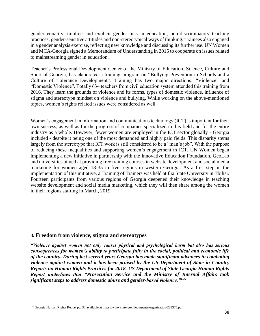gender equality, implicit and explicit gender bias in education, non-discriminatory teaching practices, gender-sensitive attitudes and non-stereotypical ways of thinking. Trainees also engaged in a gender analysis exercise, reflecting new knowledge and discussing its further use. UN Women and MCA-Georgia signed a Memorandum of Understanding in 2015 to cooperate on issues related to mainstreaming gender in education.

Teacher's Professional Development Center of the Ministry of Education, Science, Culture and Sport of Georgia, has elaborated a training program on "Bullying Prevention in Schools and a Culture of Tolerance Development". Training has two major directions: "Violence" and "Domestic Violence". Totally 634 teachers from civil education system attended this training from 2016. They learn the grounds of violence and its forms, types of domestic violence, influence of stigma and stereotype mindset on violence and bullying. While working on the above-mentioned topics, women's rights related issues were considered as well.

Women's engagement in information and communications technology (ICT) is important for their own success, as well as for the progress of companies specialized in this field and for the entire industry as a whole. However, fewer women are employed in the ICT sector globally - Georgia included - despite it being one of the most demanded and highly paid fields. This disparity stems largely from the stereotype that ICT work is still considered to be a "man's job". With the purpose of reducing these inequalities and supporting women's engagement in ICT, UN Women began implementing a new initiative in partnership with the Innovative Education Foundation, GeoLab and universities aimed at providing free training courses in website development and social media marketing for women aged 18-35 in five regions in western Georgia. As a first step in the implementation of this initiative, a Training of Trainers was held at Ilia State University in Tbilisi. Fourteen participants from various regions of Georgia deepened their knowledge in teaching website development and social media marketing, which they will then share among the women in their regions starting in March, 2019

## **3. Freedom from violence, stigma and stereotypes**

 $\overline{\phantom{a}}$ 

*"Violence against women not only causes physical and psychological harm but also has serious consequences for women's ability to participate fully in the social, political and economic life of the country. During last several years Georgia has made significant advances in combating violence against women and it has been praised by the US Department of State in Country Reports on Human Rights Practices for 2018. US Department of State Georgia Human Rights Report underlines that "Prosecution Service and the Ministry of Internal Affairs took significant steps to address domestic abuse and gender-based violence."<sup>155</sup>*

<sup>&</sup>lt;sup>155</sup> Georgia Human Rights Report pg. 33 available at https://www.state.gov/documents/organization/289375.pdf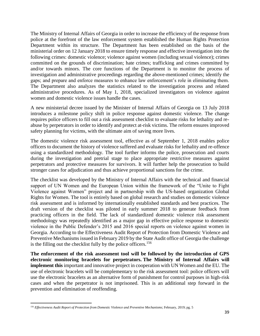The Ministry of Internal Affairs of Georgia in order to increase the efficiency of the response from police at the forefront of the law enforcement system established the Human Rights Protection Department within its structure. The Department has been established on the basis of the ministerial order on 12 January 2018 to ensure timely response and effective investigation into the following crimes: domestic violence; violence against women (including sexual violence); crimes committed on the grounds of discrimination; hate crimes; trafficking and crimes committed by and/or towards minors. The core functions of the Department is to monitor the process of investigation and administrative proceedings regarding the above-mentioned crimes; identify the gaps; and prepare and enforce measures to enhance law enforcement's role in eliminating them. The Department also analyzes the statistics related to the investigation process and related administrative procedures. As of May 1, 2018, specialized investigators on violence against women and domestic violence issues handle the cases.

A new ministerial decree issued by the Minister of Internal Affairs of Georgia on 13 July 2018 introduces a milestone policy shift in police response against domestic violence. The change requires police officers to fill out a risk assessment checklist to evaluate risks for lethality and reabuse by perpetrators in order to identify and protect at-risk victims. The reform ensures improved safety planning for victims, with the ultimate aim of saving more lives.

The domestic violence risk assessment tool, effective as of September 1, 2018 enables police officers to document the history of violence suffered and evaluate risks for lethality and re-offence using a standardized methodology. The tool further informs the police, prosecution and courts during the investigation and pretrial stage to place appropriate restrictive measures against perpetrators and protective measures for survivors. It will further help the prosecution to build stronger cases for adjudication and thus achieve proportional sanctions for the crime.

The checklist was developed by the Ministry of Internal Affairs with the technical and financial support of UN Women and the European Union within the framework of the "Unite to Fight Violence against Women" project and in partnership with the US-based organization Global Rights for Women. The tool is entirely based on global research and studies on domestic violence risk assessment and is informed by internationally established standards and best practices. The draft version of the checklist was piloted in early summer 2018 to generate feedback from practicing officers in the field. The lack of standardized domestic violence risk assessment methodology was repeatedly identified as a major gap in effective police response to domestic violence in the Public Defender's 2015 and 2016 special reports on violence against women in Georgia. According to the Effectiveness Audit Report of Protection from Domestic Violence and Preventive Mechanisms issued in February 2019 by the State Audit office of Georgia the challenge is the filling out the checklist fully by the police officers.<sup>156</sup>

**The enforcement of the risk assessment tool will be followed by the introduction of GPS electronic monitoring bracelets for perpetrators. The Ministry of Internal Affairs will implement this** important and innovative project in cooperation with UN Women and the EU. The use of electronic bracelets will be complementary to the risk assessment tool: police officers will use the electronic bracelets as an alternative form of punishment for control purposes in high-risk cases and when the perpetrator is not imprisoned. This is an additional step forward in the prevention and elimination of reoffending.

 $\overline{\phantom{a}}$ <sup>156</sup> *Effectiveness Audit Report of Protection from Domestic Violence and Preventive Mechanisms*; February, 2019; pg. 5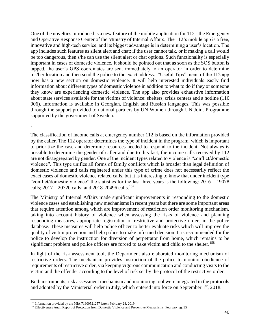One of the novelties introduced is a new feature of the mobile application for 112 - the Emergency and Operative Response Center of the Ministry of Internal Affairs. The 112's mobile app is a free, innovative and high-tech service, and its biggest advantage is in determining a user's location. The app includes such features as silent alert and chat; if the user cannot talk, or if making a call would be too dangerous, then s/he can use the silent alert or chat options. Such functionality is especially important in cases of domestic violence. It should be pointed out that as soon as the SOS button is tapped, the user's GPS coordinates are sent immediately to an operator in order to determine his/her location and then send the police to the exact address. "Useful Tips" menu of the 112 app now has a new section on domestic violence. It will help interested individuals easily find information about different types of domestic violence in addition to what to do if they or someone they know are experiencing domestic violence. The app also provides exhaustive information about state services available for the victims of violence: shelters, crisis centers and a hotline (116 006). Information is available in Georgian, English and Russian languages. This was possible through the support provided to national partners by UN Women through UN Joint Programme supported by the government of Sweden.

The classification of income calls at emergency number 112 is based on the information provided by the caller. The 112 operator determines the type of incident in the program, which is important to prioritize the case and determine resources needed to respond to the incident. Not always is possible to determine the gender of caller and due to this fact, the income calls received by 112 are not disaggregated by gender. One of the incident types related to violence is "conflict/domestic violence". This type unifies all forms of family conflicts which is broader than legal definition of domestic violence and calls registered under this type of crime does not necessarily reflect the exact cases of domestic violence related calls, but it is interesting to know that under incident type "conflict/domestic violence" the statistics for the last three years is the following: 2016 – 19078 calls;  $2017 - 20720$  calls; and  $2018 - 20496$  calls.<sup>157</sup>

The Ministry of Internal Affairs made significant improvements in responding to the domestic violence cases and establishing new mechanisms in recent years but there are some important areas that require attention among which are improvement of restriction order monitoring mechanism, taking into account history of violence when assessing the risks of violence and planning responding measures, appropriate registration of restrictive and protective orders in the police database. These measures will help police officer to better evaluate risks which will improve the quality of victim protection and help police to make informed decision. It is recommended for the police to develop the instruction for diversion of perpetrator from home, which remains to be significant problem and police officers are forced to take victim and child to the shelter.<sup>158</sup>

In light of the risk assessment tool, the Department also elaborated monitoring mechanism of restrictive orders. The mechanism provides instruction of the police to monitor obedience of requirements of restrictive order, via keeping vigorous communication and conducting visits to the victim and the offender according to the level of risk set by the protocol of the restrictive order.

Both instruments, risk assessment mechanism and monitoring tool were integrated in the protocols and adopted by the Ministerial order in July, which entered into force on September  $1<sup>st</sup>$ , 2018.

.

<sup>&</sup>lt;sup>157</sup> Information provided by the MIA 71900521257 letter; February 28, 2019

<sup>&</sup>lt;sup>158</sup> Effectiveness Audit Report of Protection from Domestic Violence and Preventive Mechanisms; February pg. 35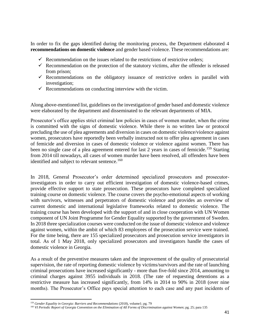In order to fix the gaps identified during the monitoring process, the Department elaborated 4 **recommendations on domestic violence** and gender based violence. These recommendations are:

- $\checkmark$  Recommendation on the issues related to the restrictions of restrictive orders;
- $\checkmark$  Recommendation on the protection of the statutory victims, after the offender is released from prison;
- $\checkmark$  Recommendations on the obligatory issuance of restrictive orders in parallel with investigation;
- $\checkmark$  Recommendations on conducting interview with the victim.

Along above-mentioned list, guidelines on the investigation of gender based and domestic violence were elaborated by the department and disseminated to the relevant departments of MIA.

Prosecutor's office applies strict criminal law policies in cases of women murder, when the crime is committed with the signs of domestic violence. While there is no written law or protocol precluding the use of plea agreements and diversion in cases on domestic violence/violence against women, prosecutors have reportedly been verbally instructed not to offer plea agreement in cases of femicide and diversion in cases of domestic violence or violence against women. There has been no single case of a plea agreement entered for last 2 years in cases of femicide.<sup>159</sup> Starting from 2014 till nowadays, all cases of women murder have been resolved, all offenders have been identified and subject to relevant sentence.<sup>160</sup>

In 2018, General Prosecutor's order determined specialized prosecutors and prosecutorinvestigators in order to carry out efficient investigation of domestic violence-based crimes, provide effective support to state prosecution. These prosecutors have completed specialized training course on domestic violence. The course covers the psycho-emotional aspects of working with survivors, witnesses and perpetrators of domestic violence and provides an overview of current domestic and international legislative frameworks related to domestic violence. The training course has been developed with the support of and in close cooperation with UN Women component of UN Joint Programme for Gender Equality supported by the government of Sweden. In 2018 three specialization courses were conducted on the issue of domestic violence and violence against women, within the ambit of which 83 employees of the prosecution service were trained. For the time being, there are 155 specialized prosecutors and prosecution service investigators in total. As of 1 May 2018, only specialized prosecutors and investigators handle the cases of domestic violence in Georgia.

As a result of the preventive measures taken and the improvement of the quality of prosecutorial supervision, the rate of reporting domestic violence by victims/survivors and the rate of launching criminal prosecutions have increased significantly - more than five-fold since 2014, amounting to criminal charges against 3955 individuals in 2018. (The rate of requesting detentions as a restrictive measure has increased significantly, from 14% in 2014 to 90% in 2018 (over nine months). The Prosecutor's Office pays special attention to each case and any past incidents of

<sup>159</sup> *Gender Equality in Georgia: Barriers and Recommendations* (2018), volume1; pg. 79

<sup>160</sup> *VI Periodic Report of Georgia Convention on the Elimination of All Forms of Discrimination against Women*; pg. 25; para 135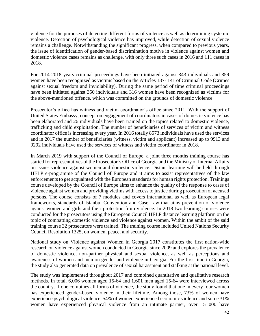violence for the purposes of detecting different forms of violence as well as determining systemic violence. Detection of psychological violence has improved, while detection of sexual violence remains a challenge. Notwithstanding the significant progress, when compared to previous years, the issue of identification of gender-based discrimination motive in violence against women and domestic violence cases remains as challenge, with only three such cases in 2016 and 111 cases in 2018.

For 2014-2018 years criminal proceedings have been initiated against 343 individuals and 359 women have been recognized as victims based on the Articles 137- 141 of Criminal Code (Crimes against sexual freedom and inviolability). During the same period of time criminal proceedings have been initiated against 350 individuals and 316 women have been recognized as victims for the above-mentioned offence, which was committed on the grounds of domestic violence.

Prosecutor's office has witness and victim coordinator's office since 2011. With the support of United States Embassy, concept on engagement of coordinators in cases of domestic violence has been elaborated and 26 individuals have been trained on the topics related to domestic violence, trafficking and child exploitation. The number of beneficiaries of services of victim and witness coordinator office is increasing every year. In 2016 totally 8573 individuals have used the services and in 2017 the number of beneficiaries (witness, victim and applicant) increased up to 9913 and 9292 individuals have used the services of witness and victim coordinator in 2018.

In March 2019 with support of the Council of Europe, a joint three months training course has started for representatives of the Prosecutor`s Office of Georgia and the Ministry of Internal Affairs on issues violence against women and domestic violence. Distant learning will be held through HELP e-programme of the Council of Europe and it aims to assist representatives of the law enforcements to get acquainted with the European standards for human rights protection. Trainings course developed by the Council of Europe aims to enhance the quality of the response to cases of violence against women and providing victims with access to justice during prosecution of accused persons. The course consists of 7 modules and covers international as well as European legal frameworks, standards of Istanbul Convention and Case Law that aims prevention of violence against women and girls and their protection from violence. In 2018 two learning courses were conducted for the prosecutors using the European Council HELP distance learning platform on the topic of combatting domestic violence and violence against women. Within the ambit of the said training course 32 prosecutors were trained. The training course included United Nations Security Council Resolution 1325, on women, peace, and security.

National study on Violence against Women in Georgia 2017 constitutes the first nation-wide research on violence against women conducted in Georgia since 2009 and explores the prevalence of domestic violence, non-partner physical and sexual violence, as well as perceptions and awareness of women and men on gender and violence in Georgia. For the first time in Georgia, the study also generated data on prevalence of sexual harassment and stalking at the national level.

The study was implemented throughout 2017 and combined quantitative and qualitative research methods. In total, 6,006 women aged 15-64 and 1,601 men aged 15-64 were interviewed across the country. If one combines all forms of violence, the study found that one in every four women has experienced gender-based violence in their lifetime. Among those, 73% of women have experience psychological violence, 54% of women experienced economic violence and some 31% women have experienced physical violence from an intimate partner, over 15 000 have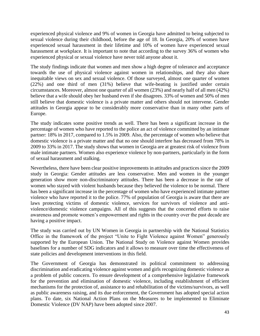experienced physical violence and 9% of women in Georgia have admitted to being subjected to sexual violence during their childhood, before the age of 18. In Georgia, 20% of women have experienced sexual harassment in their lifetime and 10% of women have experienced sexual harassment at workplace. It is important to note that according to the survey 36% of women who experienced physical or sexual violence have never told anyone about it.

The study findings indicate that women and men show a high degree of tolerance and acceptance towards the use of physical violence against women in relationships, and they also share inequitable views on sex and sexual violence. Of those surveyed, almost one quarter of women (22%) and one third of men (31%) believe that wife-beating is justified under certain circumstances. Moreover, almost one quarter of all women (23%) and nearly half of all men (42%) believe that a wife should obey her husband even if she disagrees. 33% of women and 50% of men still believe that domestic violence is a private matter and others should not intervene. Gender attitudes in Georgia appear to be considerably more conservative than in many other parts of Europe.

The study indicates some positive trends as well. There has been a significant increase in the percentage of women who have reported to the police an act of violence committed by an intimate partner: 18% in 2017, compared to 1.5% in 2009. Also, the percentage of women who believe that domestic violence is a private matter and that no one should interfere has decreased from 78% in 2009 to 33% in 2017. The study shows that women in Georgia are at greatest risk of violence from male intimate partners. Women also experience violence by non-partners, particularly in the form of sexual harassment and stalking.

Nevertheless, there have been clear positive improvements in attitudes and practices since the 2009 study in Georgia: Gender attitudes are less conservative. Men and women in the younger generation show more non-discriminatory attitudes. There has been a decrease in the rate of women who stayed with violent husbands because they believed the violence to be normal. There has been a significant increase in the percentage of women who have experienced intimate partner violence who have reported it to the police. 77% of population of Georgia is aware that there are laws protecting victims of domestic violence, services for survivors of violence and antiviolence/domestic violence campaigns. All of this suggests that the concerted efforts to raise awareness and promote women's empowerment and rights in the country over the past decade are having a positive impact.

The study was carried out by UN Women in Georgia in partnership with the National Statistics Office in the framework of the project "Unite to Fight Violence against Women" generously supported by the European Union. The National Study on Violence against Women provides baselines for a number of SDG indicators and it allows to measure over time the effectiveness of state policies and development interventions in this field.

The Government of Georgia has demonstrated its political commitment to addressing discrimination and eradicating violence against women and girls recognizing domestic violence as a problem of public concern. To ensure development of a comprehensive legislative framework for the prevention and elimination of domestic violence, including establishment of efficient mechanisms for the protection of, assistance to and rehabilitation of the victims/survivors, as well as public awareness raising, and its due enforcement, the Government has adopted special action plans. To date, six National Action Plans on the Measures to be implemented to Eliminate Domestic Violence (DV NAP) have been adopted since 2007.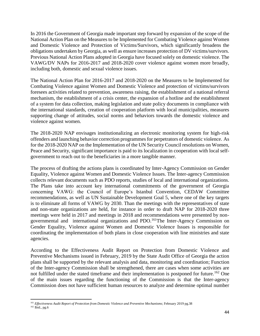In 2016 the Government of Georgia made important step forward by expansion of the scope of the National Action Plan on the Measures to be Implemented for Combating Violence against Women and Domestic Violence and Protection of Victims/Survivors, which significantly broadens the obligations undertaken by Georgia, as well as ensure increases protection of DV victims/survivors. Previous National Action Plans adopted in Georgia have focused solely on domestic violence. The VAWG/DV NAPs for 2016-2017 and 2018-2020 cover violence against women more broadly, including both, domestic and sexual violence issues.

The National Action Plan for 2016-2017 and 2018-2020 on the Measures to be Implemented for Combating Violence against Women and Domestic Violence and protection of victims/survivors foresees activities related to prevention, awareness raising, the establishment of a national referral mechanism, the establishment of a crisis center, the expansion of a hotline and the establishment of a system for data collection, making legislation and state policy documents in compliance with the international standards, creation of cooperation platform with local municipalities, measures supporting change of attitudes, social norms and behaviors towards the domestic violence and violence against women.

The 2018-2020 NAP envisages institutionalizing an electronic monitoring system for high-risk offenders and launching behavior correction programmes for perpetrators of domestic violence. As for the 2018-2020 NAP on the Implementation of the UN Security Council resolutions on Women, Peace and Security, significant importance is paid to its localization in cooperation with local selfgovernment to reach out to the beneficiaries in a more tangible manner.

The process of drafting the actions plans is coordinated by Inter-Agency Commission on Gender Equality, Violence against Women and Domestic Violence Issues. The Inter-agency Commission collects relevant documents such as PDO reports, studies of local and international organizations. The Plans take into account key international commitments of the government of Georgia concerning VAWG: the Council of Europe's Istanbul Convention, CEDAW Committee recommendations, as well as UN Sustainable Development Goal 5, where one of the key targets is to eliminate all forms of VAWG by 2030. Than the meetings with the representatives of state and non-state organizations are held, for instance in order to draft NAP for 2018-2020 three meetings were held in 2017 and meetings in 2018 and recommendations were presented by nongovernmental and international organizations and PDO.<sup>161</sup>The Inter-Agency Commission on Gender Equality, Violence against Women and Domestic Violence Issues is responsible for coordinating the implementation of both plans in close cooperation with line ministries and state agencies.

According to the Effectiveness Audit Report on Protection from Domestic Violence and Preventive Mechanisms issued in February, 2019 by the State Audit Office of Georgia the action plans shall be supported by the relevant analysis and data, monitoring and coordination; Function of the Inter-agency Commission shall be strengthened, there are cases when some activities are not fulfilled under the stated timeframe and their implementation is postponed for future.<sup>162</sup> One of the main issues regarding the functioning of the Commission is that the Inter-agency Commission does not have sufficient human resources to analyze and determine optimal number

<sup>161</sup> *Effectiveness Audit Report of Protection from Domestic Violence and Preventive Mechanisms*; February 2019 pg.38

<sup>162</sup> Ibid., pg.6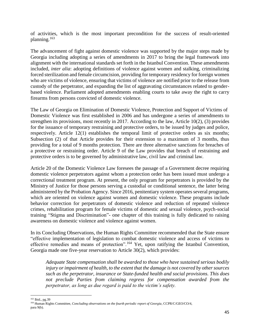of activities, which is the most important precondition for the success of result-oriented planning.<sup>163</sup>

The advancement of fight against domestic violence was supported by the major steps made by Georgia including adopting a series of amendments in 2017 to bring the legal framework into alignment with the international standards set forth in the Istanbul Convention. These amendments included, *inter alia*: adopting definitions of violence against women and stalking, criminalizing forced sterilization and female circumcision, providing for temporary residency for foreign women who are victims of violence, ensuring that victims of violence are notified prior to the release from custody of the perpetrator, and expanding the list of aggravating circumstances related to genderbased violence. Parliament adopted amendments enabling courts to take away the right to carry firearms from persons convicted of domestic violence.

The Law of Georgia on Elimination of Domestic Violence, Protection and Support of Victims of Domestic Violence was first established in 2006 and has undergone a series of amendments to strengthen its provisions, most recently in 2017. According to the law, Article 10(2), (3) provides for the issuance of temporary restraining and protective orders, to be issued by judges and police, respectively. Article 12(1) establishes the temporal limit of protective orders as six months; Subsection (2) of that Article provides for their extension to a maximum of 3 months, thus providing for a total of 9 months protection. There are three alternative sanctions for breaches of a protective or restraining order. Article 9 of the Law provides that breach of restraining and protective orders is to be governed by administrative law, civil law and criminal law.

Article 20 of the Domestic Violence Law foresees the passage of a Government decree requiring domestic violence perpetrators against whom a protection order has been issued must undergo a correctional treatment program. At present, the only program for perpetrators is provided by the Ministry of Justice for those persons serving a custodial or conditional sentence, the latter being administered by the Probation Agency. Since 2016, penitentiary system operates several programs, which are oriented on violence against women and domestic violence. These programs include behavior correction for perpetrators of domestic violence and reduction of repeated violence crimes, rehabilitation program for female victims of domestic and sexual violence, psych-social training "Stigma and Discrimination"- one chapter of this training is fully dedicated to raising awareness on domestic violence and violence against women.

In its Concluding Observations, the Human Rights Committee recommended that the State ensure "effective implementation of legislation to combat domestic violence and access of victims to effective remedies and means of protection".<sup>164</sup> Yet, upon ratifying the Istanbul Convention, Georgia made one five-year reservation to Article 30(2), which provides:

*Adequate State compensation shall be awarded to those who have sustained serious bodily injury or impairment of health, to the extent that the damage is not covered by other sources such as the perpetrator, insurance or State-funded health and social provisions. This does not preclude Parties from claiming regress for compensation awarded from the perpetrator, as long as due regard is paid to the victim's safety.*

 $\overline{a}$ <sup>163</sup> Ibid., pg.39

<sup>164</sup> Human Rights Committee, *Concluding observations on the fourth periodic report of Georgia*, CCPR/C/GEO/CO/4, para 9(b).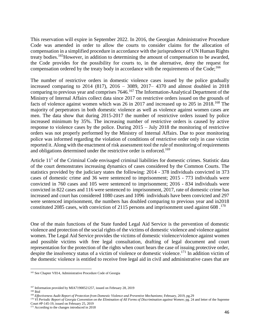This reservation will expire in September 2022. In 2016, the Georgian Administrative Procedure Code was amended in order to allow the courts to consider claims for the allocation of compensation in a simplified procedure in accordance with the jurisprudence of UN Human Rights treaty bodies.<sup>165</sup>However, in addition to determining the amount of compensation to be awarded, the Code provides for the possibility for courts to, in the alternative, deny the request for compensation ordered by the treaty body in accordance with the requirements of the  $Code;^{166}$ 

The number of restrictive orders in domestic violence cases issued by the police gradually increased comparing to 2014 (817), 2016 – 3089, 2017– 4370 and almost doubled in 2018 comparing to previous year and comprises 7646.<sup>167</sup> The Information-Analytical Department of the Ministry of Internal Affairs collect data since 2017 on restrictive orders issued on the grounds of facts of violence against women which was 26 in 2017 and increased up to 205 in 2018.<sup>168</sup> The majority of perpetrators in both domestic violence as well as violence against women cases are men. The data show that during 2015-2017 the number of restrictive orders issued by police increased minimum by 35%. The increasing number of restrictive orders is caused by active response to violence cases by the police. During 2015 – July 2018 the monitoring of restrictive orders was not properly performed by the Ministry of Internal Affairs. Due to poor monitoring police was informed regarding the violation of conditions of restrictive order only in case victim reported it. Along with the enactment of risk assessment tool the rule of monitoring of requirements and obligations determined under the restrictive order is enforced.<sup>169</sup>

Article  $11<sup>1</sup>$  of the Criminal Code envisaged criminal liabilities for domestic crimes. Statistic data of the court demonstrates increasing dynamics of cases considered by the Common Courts. The statistics provided by the judiciary states the following: 2014 - 378 individuals convicted in 373 cases of domestic crime and 36 were sentenced to imprisonment; 2015 - 773 individuals were convicted in 760 cases and 105 were sentenced to imprisonment; 2016 - 834 individuals were convicted in 822 cases and 116 were sentenced to imprisonment, 2017, rate of domestic crime has increased and court has considered 1080 cases and 1096 individuals have been convicted and 297 were sentenced imprisonment, the numbers has doubled comparing to previous year and in2018 constituted 2085 cases, with conviction of 2115 persons and imprisonment used against 608.<sup>170</sup>

One of the main functions of the State funded Legal Aid Service is the prevention of domestic violence and protection of the social rights of the victims of domestic violence and violence against women. The Legal Aid Service provides the victims of domestic violence/violence against women and possible victims with free legal consultation, drafting of legal document and court representation for the protection of the rights when court hears the case of issuing protective order, despite the insolvency status of a victim of violence or domestic violence.<sup>171</sup> In addition victim of the domestic violence is entitled to receive free legal aid in civil and administrative cases that are

 $\overline{\phantom{a}}$ 

<sup>170</sup> VI Periodic Report of Georgia Convention on the Elimination of All Forms of Discrimination against Women; pg. 24 and letter of the Supreme Court #P-145-19, issued on February 25, 2019

<sup>&</sup>lt;sup>165</sup> See Chapter VII14, Administrative Procedure Code of Georgia

<sup>&</sup>lt;sup>167</sup> Information provided by MIA71900521257, issued on February 28, 2019

 $168$  Ibid

<sup>169</sup> *Effectiveness Audit Report of Protection from Domestic Violence and Preventive Mechanisms*; February, 2019, pg.29

<sup>&</sup>lt;sup>171</sup> According to the changes introduced in 2018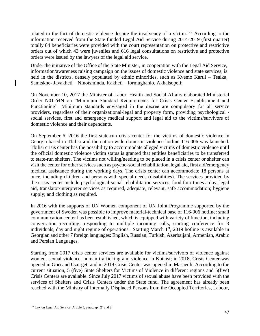related to the fact of domestic violence despite the insolvency of a victim.<sup>172</sup> According to the information received from the State funded Legal Aid Service during 2014-2019 (first quarter) totally 84 beneficiaries were provided with the court representation on protective and restrictive orders out of which 43 were juveniles and 616 legal consultations on restrictive and protective orders were issued by the lawyers of the legal aid service.

Under the initiative of the Office of the State Minister, in cooperation with the Legal Aid Service, information/awareness raising campaign on the issues of domestic violence and state services, is held in the districts, densely populated by ethnic minorities, such as Kvemo Kartli – Tsalka, Samtskhe- Javakheti – Ninotsminda, Kakheti – Iormughanlo, Akhalsopeli;

On November 10, 2017 the Minister of Labor, Health and Social Affairs elaborated Ministerial Order N01-64N on "Minimum Standard Requirements for Crisis Center Establishment and Functioning". Minimum standards envisaged in the decree are compulsory for all service providers, regardless of their organizational-legal and property form, providing psychological social services, first and emergency medical support and legal aid to the victims/survivors of domestic violence and their dependents.

On September 6, 2016 the first state-run crisis center for the victims of domestic violence in Georgia based in Tbilisi **a**nd the nation-wide domestic violence hotline 116 006 was launched. Tbilisi crisis center has the possibility to accommodate alleged victims of domestic violence until the official domestic violence victim status is granted that entitles beneficiaries to be transferred to state-run shelters. The victims not willing/needing to be placed in a crisis center or shelter can visit the center for other services such as psycho-social rehabilitation, legal aid, first aid/emergency medical assistance during the working days. The crisis center can accommodate 18 persons at once, including children and persons with special needs (disabilities). The services provided by the crisis center include psychological-social rehabilitation services, food four times a day, legal aid, translator/interpreter services as required, adequate, relevant, safe accommodation; hygiene supply; and clothing as required.

In 2016 with the supports of UN Women component of UN Joint Programme supported by the government of Sweden was possible to improve material-technical base of 116-006 hotline: small communication center has been established, which is equipped with variety of function, including conversation recording, responding to multiple incoming calls, starting conference for 3 individuals, day and night regime of operations. Starting March 1<sup>st</sup>, 2019 hotline is available in Georgian and other 7 foreign languages: English, Russian, Turkish, Azerbaijani, Armenian, Arabic and Persian Languages.

Starting from 2017 crisis center services are available for victims/survivors of violence against women, sexual violence, human trafficking and violence in Kutaisi; in 2018, Crisis Center was opened in Gori and Ozurgeti and in 2019 Crisis Center was opened in Marneuli. According to the current situation, 5 (five) State Shelters for Victims of Violence in different regions and 5(five) Crisis Centers are available. Since July 2017 victims of sexual abuse have been provided with the services of Shelters and Crisis Centers under the State fund. The agreement has already been reached with the Ministry of Internally Displaced Persons from the Occupied Territories, Labour,

 $\overline{\phantom{a}}$  $172$  Law on Legal Aid Service; Article 5, paragraph  $2<sup>4</sup>$  and  $2<sup>5</sup>$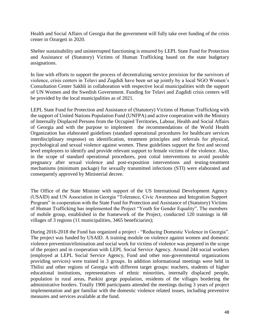Health and Social Affairs of Georgia that the government will fully take over funding of the crisis center in Ozurgeti in 2020.

Shelter sustainability and uninterrupted functioning is ensured by LEPL State Fund for Protection and Assistance of (Statutory) Victims of Human Trafficking based on the state budgetary assignations.

In line with efforts to support the process of decentralizing service provision for the survivors of violence, crisis centers in Telavi and Zugdidi have been set up jointly by a local NGO Women's Consultation Center Sakhli in collaboration with respective local municipalities with the support of UN Women and the Swedish Government. Funding for Telavi and Zugdidi crisis centers will be provided by the local municipalities as of 2021.

LEPL State Fund for Protection and Assistance of (Statutory) Victims of Human Trafficking with the support of United Nations Population Fund (UNFPA) and active cooperation with the Ministry of Internally Displaced Persons from the Occupied Territories, Labour, Health and Social Affairs of Georgia and with the purpose to implement the recommendations of the World Health Organization has elaborated guidelines (standard operational procedures for healthcare services interdisciplinary response) on identification, treatment principles and referrals for physical, psychological and sexual violence against women. These guidelines support the first and second level employees to identify and provide relevant support to female victims of the violence. Also, in the scope of standard operational procedures, post coital interventions to avoid possible pregnancy after sexual violence and post-exposition interventions and testing-treatment mechanisms (minimum package) for sexually transmitted infections (STI) were elaborated and consequently approved by Ministerial decree.

The Office of the State Minister with support of the US International Development Agency (USAID) and UN Association in Georgia "Tolerance, Civic Awareness and Integration Support Program" in cooperation with the State Fund for Protection and Assistance of (Statutory) Victims of Human Trafficking has implemented the Project "Youth for Gender Equality". The members of mobile group, established in the framework of the Project, conducted 120 trainings in 68 villages of 3 regions (11 municipalities, 3465 beneficiaries);

During 2016-2018 the Fund has organized a project - "Reducing Domestic Violence in Georgia". The project was funded by USAID. A training module on violence against women and domestic violence prevention/elimination and social work for victims of violence was prepared in the scope of the project and in cooperation with LEPL Social Service Agency. Around 244 social workers (employed at LEPL Social Service Agency, Fund and other non-governmental organizations providing services) were trained in 3 groups. In addition informational meetings were held in Tbilisi and other regions of Georgia with different target groups: teachers, students of higher educational institutions, representatives of ethnic minorities, internally displaced people, population in rural areas, Pankisi gorge population, residents of the villages bordering the administrative borders. Totally 1900 participants attended the meetings during 3 years of project implementation and got familiar with the domestic violence related issues, including preventive measures and services available at the fund.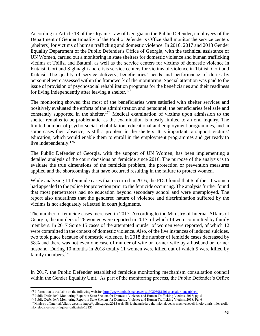According to Article 18 of the Organic Law of Georgia on the Public Defender, employees of the Department of Gender Equality of the Public Defender's Office shall monitor the service centers (shelters) for victims of human trafficking and domestic violence. In 2016, 2017 and 2018 Gender Equality Department of the Public Defender's Office of Georgia, with the technical assistance of UN Women, carried out a monitoring in state shelters for domestic violence and human trafficking victims at Tbilisi and Batumi, as well as the service centers for victims of domestic violence in Kutaisi, Gori and Sighnaghi and crisis service centers for victims of violence in Tbilisi, Gori and Kutaisi. The quality of service delivery, beneficiaries' needs and performance of duties by personnel were assessed within the framework of the monitoring. Special attention was paid to the issue of provision of psychosocial rehabilitation programs for the beneficiaries and their readiness for living independently after leaving a shelter. $173$ 

The monitoring showed that most of the beneficiaries were satisfied with shelter services and positively evaluated the efforts of the administration and personnel; the beneficiaries feel safe and constantly supported in the shelter.<sup>174</sup> Medical examination of victims upon admission to the shelter remains to be problematic, as the examination is mostly limited to an oral inquiry. The limited number of psycho-social rehabilitation, educational and employment programmes, and in some cases their absence, is still a problem in the shelters. It is important to support victims' education, which would enable them to enroll in the employment programmes and get ready to live independently.<sup>175</sup>

The Public Defender of Georgia, with the support of UN Women, has been implementing a detailed analysis of the court decisions on femicide since 2016. The purpose of the analysis is to evaluate the true dimensions of the femicide problem, the protection or prevention measures applied and the shortcomings that have occurred resulting in the failure to protect women.

While analyzing 11 femicide cases that occurred in 2016, the PDO found that 6 of the 11 women had appealed to the police for protection prior to the femicide occurring. The analysis further found that most perpetrators had no education beyond secondary school and were unemployed. The report also underlines that the gendered nature of violence and discrimination suffered by the victims is not adequately reflected in court judgments.

The number of femicide cases increased in 2017. According to the Ministry of Internal Affairs of Georgia, the murders of 26 women were reported in 2017, of which 14 were committed by family members. In 2017 Some 15 cases of the attempted murder of women were reported, of which 12 were committed in the context of domestic violence. Also, of the five instances of induced suicides, two took place because of domestic violence. In 2018 the number of femicide cases decreased by 58% and there was not even one case of murder of wife or former wife by a husband or former husband. During 10 months in 2018 totally 11 women were killed out of which 5 were killed by family members.<sup>176</sup>

In 2017, the Public Defender established femicide monitoring mechanism consultation council within the Gender Equality Unit. As part of the monitoring process, the Public Defender's Office

 $\overline{a}$ 

<sup>&</sup>lt;sup>173</sup> Information is available on the following website[: http://www.ombudsman.ge/eng/190306081201spetsialuri-angarishebi](http://www.ombudsman.ge/eng/190306081201spetsialuri-angarishebi)

<sup>&</sup>lt;sup>174</sup> Public Defender's Monitoring Report in State Shelters for Domestic Violence and Human Trafficking Victims, 2018; pg. 5

<sup>&</sup>lt;sup>175</sup> Public Defender's Monitoring Report in State Shelters for Domestic Violence and Human Trafficking Victims, 2018; Pg. 6

<sup>&</sup>lt;sup>176</sup> Ministry of Internal Affairs website https://police.ge/ge/2018-tsels-58-it-shemtsirda-qalta-mkvlelobebis-machvenebeli-kholo-qmris-mier-tsolismkvlelobis-arts-erti-faqti-ar-dafiqsirda/12131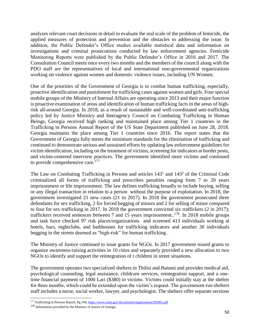analyzes relevant court decisions in detail to evaluate the real scale of the problem of femicide, the applied measures of protection and prevention and the obstacles to addressing the issue. In addition, the Public Defender's Office studies available statistical data and information on investigations and criminal prosecutions conducted by law enforcement agencies. Femicide Monitoring Reports were published by the Public Defender's Office in 2016 and 2017. The Consultation Council meets once every two months and the members of the council along with the PDO staff are the representatives of local and international non-governmental organizations working on violence against women and domestic violence issues, including UN Women.

One of the priorities of the Government of Georgia is to combat human trafficking, especially, proactive identification and punishment for trafficking cases against women and girls. Four special mobile groups of the Ministry of Internal Affairs are operating since 2013 and their major function is proactive examination of areas and identification of human trafficking facts in the areas of highrisk all-around Georgia. In 2018, as a result of sustainable and well-coordinated anti-trafficking policy led by Justice Ministry and Interagency Council on Combating Trafficking in Human Beings, Georgia received high ranking and maintained place among Tier 1 countries in the Trafficking in Persons Annual Report of the US State Department published on June 28, 2018. Georgia maintains the place among Tier 1 countries since 2016. The report states that the Government of Georgia fully meets the minimum standards for the elimination of trafficking and continued to demonstrate serious and sustained efforts by updating law enforcement guidelines for victim identification, including on the treatment of victims, screening for indicators at border posts, and victim-centered interview practices. The government identified more victims and continued to provide comprehensive care.<sup>177</sup>

The Law on Combating Trafficking in Persons and articles  $143<sup>1</sup>$  and  $143<sup>2</sup>$  of the Criminal Code criminalized all forms of trafficking and prescribes penalties ranging from 7 to 20 years imprisonment or life imprisonment. The law defines trafficking broadly to include buying, selling or any illegal transaction in relation to a person without the purpose of exploitation. In 2018, the government investigated 21 new cases (21 in 2017). In 2018 the government prosecuted three defendants for sex trafficking, 2 for forced begging of minors and 2 for selling of minor compared to four for sex trafficking in 2017. In 2018 the government convicted six traffickers (2 in 2017); traffickers received sentences between 7 and 15 years imprisonment..<sup>178</sup>. In 2018 mobile groups and task force checked 97 risk places/organizations and screened 413 individuals working at hotels, bars, nightclubs, and bathhouses for trafficking indicators and another 30 individuals begging in the streets deemed as "high-risk" for human trafficking .

The Ministry of Justice continued to issue grants for NGOs. In 2017 government issued grants to organize awareness-raising activities in 10 cities and separately provided a new allocation to two NGOs to identify and support the reintegration of t children in street situations.

The government operates two specialized shelters in Tbilisi and Batumi and provides medical aid, psychological counseling, legal assistance, childcare services, reintegration support, and a onetime financial payment of 1000 Lari (\$380) to victims. Victims could initially stay at the shelter for three months, which could be extended upon the victim's request. The government-run shelters staff includes a nurse, social worker, lawyer, and psychologist. The shelters offer separate sections

<sup>&</sup>lt;sup>177</sup> Trafficking in Persons Report; Pg.194[; https://www.state.gov/documents/organization/282801.pdf](https://www.state.gov/documents/organization/282801.pdf)

<sup>178</sup> Information provided by the Ministry of Justice of Georgia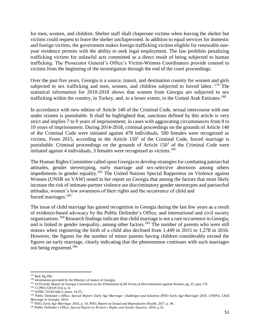for men, women, and children. Shelter staff shall chaperone victims when leaving the shelter but victims could request to leave the shelter unchaperoned. In addition to equal services for domestic and foreign victims, the government makes foreign trafficking victims eligible for renewable oneyear residence permits with the ability to seek legal employment. The law prohibits penalizing trafficking victims for unlawful acts committed as a direct result of being subjected to human trafficking. The Prosecutor General's Office's Victim-Witness Coordinators provide counsel to victims from the beginning of the investigation through the end of the court proceedings.

Over the past five years, Georgia is a source, transit, and destination country for women and girls subjected to sex trafficking and men, women, and children subjected to forced labor.  $^{179}$  The statistical information for 2010-2018 shows that women from Georgia are subjected to sex trafficking within the country, in Turkey, and, to a lesser extent, in the United Arab Emirates.<sup>180</sup>

In accordance with new edition of Article 140 of the Criminal Code, sexual intercourse with one under sixteen is punishable. It shall be highlighted that, sanctions defined by this article is very strict and implies 7 to 9 years of imprisonment; in cases with aggravating circumstances from 8 to 10 years of imprisonment. During 2014-2018, criminal proceedings on the grounds of Article 140 of the Criminal Code were initiated against 478 individuals, 500 females were recognized as victims. From 2015, according to the Article  $150<sup>1</sup>$  of the Criminal Code, forced marriage is punishable. Criminal proceedings on the grounds of Article  $150<sup>1</sup>$  of the Criminal Code were initiated against 4 individuals, 3 females were recognized as victims.<sup>181</sup>

The Human Rights Committee called upon Georgia to develop strategies for combating patriarchal attitudes, gender stereotyping, early marriage and sex-selective abortions among others impediments to gender equality.<sup>182</sup> The United Nations Special Rapporteur on Violence against Women (UNSR on VAW) noted in her report on Georgia that among the factors that most likely increase the risk of intimate-partner violence are discriminatory gender stereotypes and patriarchal attitudes, women's low awareness of their rights and the occurrence of child and forced marriages.<sup>183</sup>

The issue of child marriage has gained recognition in Georgia during the last few years as a result of evidence-based advocacy by the Public Defender's Office, and international and civil society organizations.<sup>184</sup> Research findings indicate that child marriage is not a rare occurrence in Georgia, and is linked to gender inequality, among other factors.<sup>185</sup> The number of parents who were still minors when registering the birth of a child also declined from 1,449 in 2015 to 1,278 in 2016. However, the figures for the number of minor parents having children considerably exceed the figures on early marriage, clearly indicating that the phenomenon continues with such marriages not being registered.<sup>186</sup>

<sup>179</sup> Ibid; Pg.196;

<sup>&</sup>lt;sup>180</sup> Information provided by the Ministry of Justice of Georgia;

<sup>181</sup> *VI Periodic Report of Georgia Convention on the Elimination of All Forms of Discrimination against Women*; pg. 31; para 176

<sup>182</sup> CCPR/C/GEO/CO/4, p. 4;

<sup>183</sup> A/HRC/32/42/Add.3, paras. 24-25;

<sup>&</sup>lt;sup>184</sup> Public Defender's Office, *Special Report: Early Age Marriage: Challenges and Solutions (PDO Early Age Marriage)* 2016. UNFPA, *Child Marriage in Georgia*, 2014.

<sup>185</sup> PDO, *Early Age Marriage*, 2016, p. 10; PDO, *Report on Sexual and Reproductive Health*, 2017, p. 96.

<sup>186</sup> Public Defender's Office, *Special Report on Women's Rights and Gender Equality*, 2016, p.35.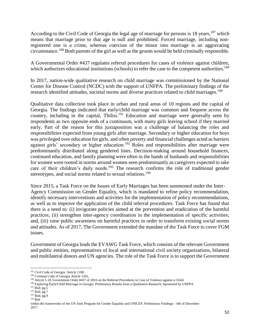According to the Civil Code of Georgia the legal age of marriage for persons is 18 years, <sup>187</sup> which means that marriage prior to that age is null and prohibited. Forced marriage, including nonregistered one is a crime, whereas coercion of the minor into marriage is an aggravating circumstance.<sup>188</sup> Both parents of the girl as well as the groom would be held criminally responsible.

A Governmental Order #437 regulates referral procedures for cases of violence against children, which authorizes educational institutions (schools) to refer the case to the competent authorities.<sup>189</sup>

In 2017, nation-wide qualitative research on child marriage was commissioned by the National Center for Disease Control (NCDC) with the support of UNFPA. The preliminary findings of the research identified attitudes, societal norms and diverse practices related to child marriages.<sup>190</sup>

Qualitative data collection took place in urban and rural areas of 10 regions and the capital of Georgia. The findings indicated that early/child marriage was common and frequent across the country, including in the capital, Tbilisi.<sup>191</sup> Education and marriage were generally seen by respondents as two opposite ends of a continuum, with many girls leaving school if they married early. Part of the reason for this juxtaposition was a challenge of balancing the roles and responsibilities expected from young girls after marriage. Secondary or higher education for boys was privileged over education for girls, and often poverty and financial challenges acted as barriers against girls' secondary or higher education.<sup>192</sup> Roles and responsibilities after marriage were predominantly distributed along gendered lines. Decision-making around household finances, continued education, and family planning were often in the hands of husbands and responsibilities for women were rooted in norms around women seen predominantly as caregivers expected to take care of their children's daily needs.<sup>193</sup> The research confirms the role of traditional gender stereotypes, and social norms related to sexual relations.<sup>194</sup>

Since 2015, a Task Force on the Issues of Early Marriages has been summoned under the Inter-Agency Commission on Gender Equality, which is mandated to refine policy recommendation, identify necessary interventions and activities for the implementation of policy recommendations, as well as to improve the application of the child referral procedures. Task Force has found that there is a need to: (i) invigorate policies aimed at the prevention and eradication of the harmful practices; (ii) strengthen inter-agency coordination in the implementation of specific activities; and, (iii) raise public awareness on harmful practices in order to transform existing social norms and attitudes. As of 2017, The Government extended the mandate of the Task Force to cover FGM issues.

Government of Georgia leads the EVAWG Task Force, which consists of the relevant Government and public entities, representatives of local and international civil society organizations, bilateral and multilateral donors and UN agencies. The role of the Task Force is to support the Government

 $\overline{a}$ <sup>187</sup> Civil Code of Georgia; Article 1108,

<sup>&</sup>lt;sup>188</sup> Criminal Code of Georgia Article 1501,

<sup>189</sup> Article 5.10, Government Order #437 of 2016 on the Referral Procedures in Case of Violence against a Child.

<sup>190</sup> Exploring Early/Child Marriage in Georgia: Preliminary Results from a Qualitative Research, Sponsored by UNFPA

<sup>191</sup> Ibid; pg.5

<sup>&</sup>lt;sup>192</sup> Ibid; pg.7

 $193$  Ibid; pg.9

 $194$  Ibid

within the frameworks of the UN Joint Program for Gender Equality and UNICEF, Preliminary Findings – 6th of December 2017.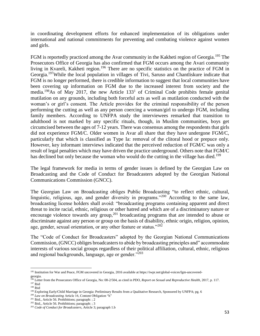in coordinating development efforts for enhanced implementation of its obligations under international and national commitments for preventing and combating violence against women and girls.

FGM is reportedly practiced among the Avar community in the Kakheti region of Georgia.<sup>195</sup> The Prosecutors Office of Georgia has also confirmed that FGM occurs among the Avari community living in Kvareli, Kakheti region.<sup>196</sup> There are no specific statistics on the practice of FGM in Georgia.<sup>197</sup>While the local population in villages of Tivi, Saruso and Chantliskure indicate that FGM is no longer performed, there is credible information to suggest that local communities have been covering up information on FGM due to the increased interest from society and the media.<sup>198</sup>As of May 2017, the new Article  $133<sup>1</sup>$  of Criminal Code prohibits female genital mutilation on any grounds, including both forceful acts as well as mutilation conducted with the woman's or girl's consent. The Article provides for the criminal responsibility of the person performing the cutting as well as any person coercing a woman/girl to undergo FGM, including family members. According to UNFPA study the interviewees remarked that transition to adulthood is not marked by any specific rituals, though, in Muslim communities, boys get circumcised between the ages of 7-12 years. There was consensus among the respondents that girls did not experience FGM/C. Older women in Avar all share that they have undergone FGM/C, particularly that which is classified as Type Ia: removal of the clitoral hood or prepuce only. However, key informant interviews indicated that the perceived reduction of FGM/C was only a result of legal penalties which may have driven the practice underground. Others note that FGM/C has declined but only because the woman who would do the cutting in the village has died.<sup>199</sup>

The legal framework for media in terms of gender issues is defined by the Georgian Law on Broadcasting and the Code of Conduct for Broadcasters adopted by the Georgian National Communications Commission (GNCC).

The Georgian Law on Broadcasting obliges Public Broadcasting "to reflect ethnic, cultural, linguistic, religious, age, and gender diversity in programs."<sup>200</sup> According to the same law, broadcasting license holders shall avoid: "broadcasting programs containing apparent and direct threat to incite racial, ethnic, religious or other hatred and which are of a discriminatory nature or encourage violence towards any group,<sup>201</sup> broadcasting programs that are intended to abuse or discriminate against any person or group on the basis of disability, ethnic origin, religion, opinion, age, gender, sexual orientation, or any other feature or status."<sup>202</sup>

The "Code of Conduct for Broadcasters" adopted by the Georgian National Communications Commission, (GNCC) obliges broadcasters to abide by broadcasting principles and" accommodate interests of various social groups regardless of their political affiliation, cultural, ethnic, religious and regional backgrounds, language, age or gender."<sup>203</sup>

<sup>200</sup> *Law on Broadcasting* Article 16, Content Obligation "h"

 $\overline{a}$ <sup>195</sup> Institution for War and Peace, FGM uncovered in Georgia, 2016 available at https://iwpr.net/global-voices/fgm-uncoveredgeorgia.

<sup>196</sup> Letter from the Prosecutors Office of Georgia, No: 08-2/504, as cited in PDO, *Report on Sexual and Reproductive Health*, 2017, p. 117. <sup>197</sup> Ibid

<sup>198</sup> Ibid

<sup>&</sup>lt;sup>199</sup> Exploring Early/Child Marriage in Georgia: Preliminary Results from a Qualitative Research, Sponsored by UNFPA; pg. 6

<sup>201</sup> Ibid., Article 56. Prohibitions; paragraph: ; 2

<sup>202</sup> Ibid., Article 56. Prohibitions; paragraph: ; 3

<sup>203</sup> *Code of Conduct for Broadcasters,* Article 3; paragraph 1.b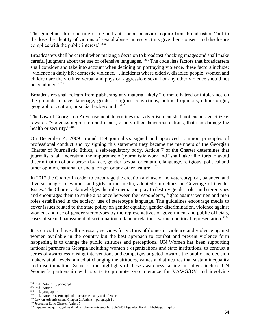The guidelines for reporting crime and anti-social behavior require from broadcasters "not to disclose the identity of victims of sexual abuse, unless victims give their consent and disclosure complies with the public interest."<sup>204</sup>

Broadcasters shall be careful when making a decision to broadcast shocking images and shall make careful judgment about the use of offensive languages.  $^{205}$  The code lists factors that broadcasters shall consider and take into account when deciding on portraying violence, these factors include: "violence in daily life: domestic violence. . . Incidents where elderly, disabled people, women and children are the victims; verbal and physical aggression; sexual or any other violence should not be condoned". $206$ 

Broadcasters shall refrain from publishing any material likely "to incite hatred or intolerance on the grounds of race, language, gender, religious convictions, political opinions, ethnic origin, geographic location, or social background."<sup>207</sup>

The Law of Georgia on Advertisement determines that advertisement shall not encourage citizens towards "violence, aggression and chaos, or any other dangerous actions, that can damage the health or security."<sup>208</sup>

On December 4, 2009 around 139 journalists signed and approved common principles of professional conduct and by signing this statement they became the members of the Georgian Charter of Journalistic Ethics, a self-regulatory body. Article 7 of the Charter determines that journalist shall understand the importance of journalistic work and "shall take all efforts to avoid discrimination of any person by race, gender, sexual orientation, language, religious, political and other opinion, national or social origin or any other feature". <sup>209</sup>

In 2017 the Charter in order to encourage the creation and use of non-stereotypical, balanced and diverse images of women and girls in the media, adopted Guidelines on Coverage of Gender Issues. The Charter acknowledges the role media can play to destroy gender roles and stereotypes and encourages them to strike a balance between the respondents, fights against women and men roles established in the society, use of stereotype language. The guidelines encourage media to cover issues related to the state policy on gender equality, gender discrimination, violence against women, and use of gender stereotypes by the representatives of government and public officials, cases of sexual harassment, discrimination in labour relations, women political representation.<sup>210</sup>

It is crucial to have all necessary services for victims of domestic violence and violence against women available in the country but the best approach to combat and prevent violence form happening is to change the public attitudes and perceptions. UN Women has been supporting national partners in Georgia including women's organizations and state institutions, to conduct a series of awareness-raising interventions and campaigns targeted towards the public and decision makers at all levels, aimed at changing the attitudes, values and structures that sustain inequality and discrimination. Some of the highlights of these awareness raising initiatives include UN Women's partnership with sports to promote zero tolerance for VAWG/DV and involving

<sup>204</sup> Ibid., Article 50; paragraph 5

<sup>205</sup> Ibid., Article 56

<sup>206</sup> Ibid. paragraph 7

<sup>&</sup>lt;sup>207</sup> Ibid., Article 31. Principle of diversity, equality and tolerance

<sup>208</sup> Law on Advertisement, Chapter 2; Article 4; paragraph 11

<sup>209</sup> Journalist Ethic Charter, Article 7

 $^{210}$ https://www.qartia.ge/ka/sakhelmdzghvanelo-tsesebi1/article/34573-genderuli-sakithkhebis-gashuqeba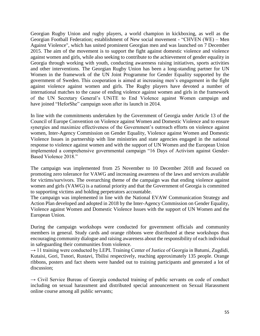Georgian Rugby Union and rugby players, a world champion in kickboxing, as well as the Georgian Football Federation; establishment of New social movement - "CHVEN (WE) – Men Against Violence", which has united prominent Georgian men and was launched on 7 December 2015. The aim of the movement is to support the fight against domestic violence and violence against women and girls, while also seeking to contribute to the achievement of gender equality in Georgia through working with youth, conducting awareness raising initiatives, sports activities and other interventions. The Georgian Rugby Union has been a long-standing partner for UN Women in the framework of the UN Joint Programme for Gender Equality supported by the government of Sweden. This cooperation is aimed at increasing men's engagement in the fight against violence against women and girls. The Rugby players have devoted a number of international matches to the cause of ending violence against women and girls in the framework of the UN Secretary General's UNiTE to End Violence against Women campaign and have joined "HeforShe" campaign soon after its launch in 2014.

In line with the commitments undertaken by the Government of Georgia under Article 13 of the Council of Europe Convention on Violence against Women and Domestic Violence and to ensure synergies and maximize effectiveness of the Government's outreach efforts on violence against women, Inter-Agency Commission on Gender Equality, Violence against Women and Domestic Violence Issues in partnership with line ministries and state agencies engaged in the national response to violence against women and with the support of UN Women and the European Union implemented a comprehensive governmental campaign "16 Days of Activism against Gender-Based Violence 2018."

The campaign was implemented from 25 November to 10 December 2018 and focused on promoting zero tolerance for VAWG and increasing awareness of the laws and services available for victims/survivors. The overarching theme of the campaign was that ending violence against women and girls (VAWG) is a national priority and that the Government of Georgia is committed to supporting victims and holding perpetrators accountable.

The campaign was implemented in line with the National EVAW Communication Strategy and Action Plan developed and adopted in 2018 by the Inter-Agency Commission on Gender Equality, Violence against Women and Domestic Violence Issues with the support of UN Women and the European Union.

During the campaign workshops were conducted for government officials and community members in general. Study cards and orange ribbons were distributed at these workshops thus encouraging community dialogue and raising awareness about the responsibility of each individual in safeguarding their communities from violence.

 $\rightarrow$  11 training were conducted by LEPL Training Center of Justice of Georgia in Batumi, Zugdidi, Kutaisi, Gori, Tsnori, Rustavi, Tbilisi respectively, reaching approximately 135 people. Orange ribbons, posters and fact sheets were handed out to training participants and generated a lot of discussion;

 $\rightarrow$  Civil Service Bureau of Georgia conducted training of public servants on code of conduct including on sexual harassment and distributed special announcement on Sexual Harassment online course among all public servants;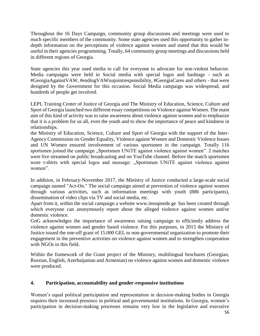Throughout the 16 Days Campaign, community group discussions and meetings were used to reach specific members of the community. Some state agencies used this opportunity to gather indepth information on the perceptions of violence against women and stated that this would be useful in their agencies programming. Totally, 64 community group meetings and discussions held in different regions of Georgia.

State agencies this year used media to call for everyone to advocate for non-violent behavior. Media campaigns were held in Social media with special logos and hashtags - such as #GeorgiaAgainstVAW, #endingVAWisajointresponsibility, #GeorgiaCares and others - that were designed by the Government for this occasion. Social Media campaign was widespread, and hundreds of people get involved.

LEPL Training Center of Justice of Georgia and The Ministry of Education, Science, Culture and Sport of Georgia launched two different essay competitions on Violence against Women. The main aim of this kind of activity was to raise awareness about violence against women and to emphasize that it is a problem for us all, even the youth and to show the importance of peace and kindness in relationships.

the Ministry of Education, Science, Culture and Sport of Georgia with the support of the Inter-Agency Commission on Gender Equality, Violence against Women and Domestic Violence Issues and UN Women ensured involvement of various sportsmen in the campaign. Totally 116 sportsmen joined the campaign "Sportsmen UNITE against violence against women". 2 matches were live streamed on public broadcasting and on YouTube channel. Before the match sportsmen wore t-shirts with special logos and message: "Sportsmen UNiTE against violence against women".

In addition, in February-November 2017, the Ministry of Justice conducted a large-scale social campaign named "Act-On." The social campaign aimed at prevention of violence against women through various activities, such as information meetings with youth (886 participants), dissemination of video clips via TV and social media, etc.

Apart from it, within the social campaign a website [www.imoqmede.ge](http://www.imoqmede.ge/) has been created through which everyone can anonymously report about the alleged violence against women and/or domestic violence.

GoG acknowledges the importance of awareness raising campaign to efficiently address the violence against women and gender based violence. For this purposes, in 2015 the Ministry of Justice issued the one-off grant of 15.000 GEL to non-governmental organization to promote their engagement in the preventive activities on violence against women and to strengthen cooperation with NGOs in this field.

Within the framework of the Grant project of the Ministry, multilingual brochures (Georgian, Russian, English, Azerbaijanian and Armenian) on violence against women and domestic violence were produced.

## **4. Participation, accountability and gender-responsive institutions**

Women's equal political participation and representation in decision-making bodies in Georgia requires their increased presence in political and governmental institutions. In Georgia, women's participation in decision-making processes remains very low in the legislative and executive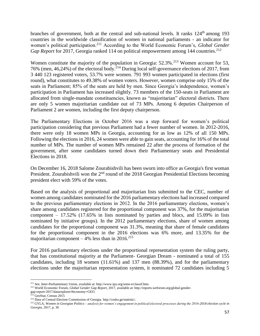branches of government, both at the central and sub-national levels. It ranks 124<sup>th</sup> among 193 countries in the worldwide classification of women in national parliaments - an indicator for women's political participation.<sup>211</sup> According to the World Economic Forum's, *Global Gender Gap Report* for 2017, Georgia ranked 114 on political empowerment among 144 countries.<sup>212</sup>

Women constitute the majority of the population in Georgia: 52.3%.<sup>213</sup> Women account for 53, 76% (men, 46,24%) of the electoral body.<sup>214</sup> During local self-governance elections of 2017, from 3 440 123 registered voters, 53.7% were women. 791 993 women participated in elections (first round), what constitutes to 49.38% of women voters. However, women comprise only 15% of the seats in Parliament; 85% of the seats are held by men. Since Georgia's independence, women's participation in Parliament has increased slightly. 73 members of the 150-seats in Parliament are allocated from single-mandate constituencies, known as "majoritarian" electoral districts. There are only 5 women majoritarian candidate out of 73 MPs. Among 6 deputies Chairperson of Parliament 2 are women, including the first deputy chairperson.

The Parliamentary Elections in October 2016 was a step forward for women's political participation considering that previous Parliament had a fewer number of women. In 2012-2016, there were only 18 women MPs in Georgia, accounting for as low as 12% of all 150 MPs. Following the elections in 2016, 24 women were able to gain seats, accounting for 16% of the total number of MPs. The number of women MPs remained 22 after the process of formation of the government, after some candidates turned down their Parliamentary seats and Presidential Elections in 2018.

On December 16, 2018 Salome Zourabishvili has been sworn into office as Georgia's first woman President. Zourabishvili won the 2<sup>nd</sup> round of the 2018 Georgian Presidential Elections becoming president elect with 59% of the votes.

Based on the analysis of proportional and majoritarian lists submitted to the CEC, number of women among candidates nominated for the 2016 parliamentary elections had increased compared to the previous parliamentary elections in 2012. In the 2016 parliamentary elections, women's share among candidates registered for the proportional component was 37%, for the majoritarian component – 17.52% (17.65% in lists nominated by parties and blocs, and 15.09% in lists nominated by initiative groups). In the 2012 parliamentary elections, share of women among candidates for the proportional component was 31.3%, meaning that share of female candidates for the proportional component in the 2016 elections was 6% more, and 13.35% for the majoritarian component  $-4\%$  less than in 2016.<sup>215</sup>

For 2016 parliamentary elections under the proportional representation system the ruling party, that has constitutional majority at the Parliament- Georgian Dream - nominated a total of 155 candidates, including 18 women (11.61%) and 137 men (88.39%), and for the parliamentary elections under the majoritarian representation system, it nominated 72 candidates including 5

 $\overline{\phantom{a}}$ <sup>211</sup> See, Inter-Parliamentary Union, available at: http://www.ipu.org/wmn-e/classif.htm.

<sup>212</sup> World Economic Forum, *Global Gender Gap Report,* 2017, available at: http://reports.weforum.org/global-gender-

gap-report-2017/dataexplorer/#economy=GEO.

<sup>213</sup> GeoStat, Census 2015

<sup>214</sup> Data of Central Election Commission of Georgia. http://cesko.ge/statistic/.

<sup>215</sup> GYLA, *Women in Georgian Politics – analysis for women's engagement in political/electoral processes during the 2016-2018 election cycle in Georgia,* 2017, p. 36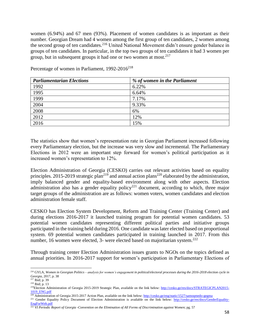women (6.94%) and 67 men (93%). Placement of women candidates is as important as their number. Georgian Dream had 4 women among the first group of ten candidates, 2 women among the second group of ten candidates.<sup>216</sup> United National Movement didn't ensure gender balance in groups of ten candidates. In particular, in the top two groups of ten candidates it had 3 women per group, but in subsequent groups it had one or two women at most.  $2^{17}$ 

| <b>Parliamentarian Elections</b> | % of women in the Parliament |
|----------------------------------|------------------------------|
| 1992                             | 6.22%                        |
| 1995                             | 6.64%                        |
| 1999                             | 7.17%                        |
| 2004                             | 9.33%                        |
| 2008                             | 6%                           |
| 2012                             | 12%                          |
| 2016                             | 15%                          |

Percentage of women in Parliament,  $1992-2016^{218}$ 

The statistics show that women's representation rate in Georgian Parliament increased following every Parliamentary election, but the increase was very slow and incremental. The Parliamentary Elections in 2012 were an important step forward for women's political participation as it increased women's representation to 12%.

Election Administration of Georgia (CESKO) carries out relevant activities based on equality principles. 2015-2019 strategic plan<sup>219</sup> and annual action plans<sup>220</sup> elaborated by the administration, imply balanced gender and equality-based environment along with other aspects. Election administration also has a gender equality policy<sup>221</sup> document, according to which, three major target groups of the administration are as follows: women voters, women candidates and election administration female staff.

CESKO has Election System Development, Reform and Training Center (Training Center) and during elections 2016-2017 it launched training program for potential women candidates. 53 potential women candidates representing different political parties and initiative groups participated in the training held during 2016. One candidate was later elected based on proportional system. 69 potential women candidates participated in training launched in 2017. From this number, 16 women were elected, 3- were elected based on majoritarian system.<sup>222</sup>

Through training center Election Administration issues grants to NGOs on the topics defined as annual priorities. In 2016-2017 support for women's participation in Parliamentary Elections of

 $\overline{a}$ <sup>216</sup> GYLA, *Women in Georgian Politics – analysis for women's engagement in political/electoral processes during the 2016-2018 election cycle in Georgia,* 2017, p. 38

<sup>217</sup> Ibid; p. 39

 $218$  Ibid; p. 13

<sup>&</sup>lt;sup>219</sup>Election Administration of Georgia 2015-2019 Strategic Plan, available on the link below: [http://cesko.ge/res/docs/STRATEGICPLAN2015-](http://cesko.ge/res/docs/STRATEGICPLAN2015-1019_ENG.pdf) [1019\\_ENG.pdf](http://cesko.ge/res/docs/STRATEGICPLAN2015-1019_ENG.pdf)

<sup>&</sup>lt;sup>220</sup> Administration of Georgia 2015-2017 Action Plan, available on the link below:<http://cesko.ge/eng/static/1527/samoqmedo-gegma>

<sup>&</sup>lt;sup>221</sup> Gender Equality Policy Document of Election Administration is available on the link below: [http://cesko.ge/res/docs/GenderEquality-](http://cesko.ge/res/docs/GenderEquality-EngForWeb.pdf)[EngForWeb.pdf](http://cesko.ge/res/docs/GenderEquality-EngForWeb.pdf)

<sup>222</sup> *VI Periodic Report of Georgia -Convention on the Elimination of All Forms of Discrimination against Women*; pg. 57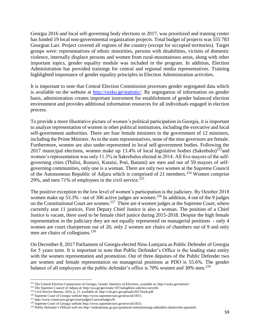Georgia 2016 and local self-governing body elections in 2017, was prioritized and training center has funded 19 local non-governmental organization projects. Total budget of projects was 555 783 Georgian Lari. Project covered all regions of the country (except for occupied territories). Target groups were: representatives of ethnic minorities, persons with disabilities, victims of domestic violence, internally displace persons and women from rural-mountainous areas, along with other important topics, gender equality module was included in the program. In addition, Election Administration has provided trainings for central and regional media representatives. Training highlighted importance of gender equality principles in Election Administration activities.

It is important to note that Central Election Commission processes gender segregated data which is available on the website at [http://cesko.ge/statistic/.](http://cesko.ge/statistic/) By segregation of information on gender basis, administration creates important instrument for establishment of gender balanced election environment and provides additional information resources for all individuals engaged in election process.

To provide a more illustrative picture of women's political participation in Georgia, it is important to analyze representation of women in other political institutions, including the executive and local self-government authorities. There are four female ministers in the government of 12 ministers, including the Prime Minister. As to the state representatives, none of the nine governors are female. Furthermore, women are also under-represented in local self-government bodies. Following the 2017 municipal elections, women make up 13.4% of local legislative bodies (Sakrebulo)<sup>223</sup> and women's representation was only 11.3% in Sakrebulos elected in 2014. All five mayors of the selfgoverning cities (Tbilisi, Rustavi, Kutaisi, Poti, Batumi) are men and out of 59 mayors of selfgoverning communities, only one is a woman. There are only two women at the Supreme Council of the Autonomous Republic of Adjara which is comprised of 21 members.<sup>224</sup> Women comprise 29%, and men 71% of employees in the civil service.<sup>225</sup>

The positive exception to the low level of women's participation is the judiciary. By October 2018 women make up  $\overline{53.3\%}$  - out of 306 active judges are women.<sup>226</sup> In addition, 4 out of the 9 judges on the Constitutional Court are women.<sup>227</sup> There are 4 women judges at the Supreme Court, where currently seat 11 justices. First Deputy Chief Justice is also a woman. The position of a Chief Justice is vacant, there used to be female chief justice during 2015-2018. Despite the high female representation in the judiciary they are not equally represented on managerial positions - only 4 women are court chairperson out of 26; only 2 women are chairs of chambers out of 9 and only men are chairs of collegiums.<sup>228</sup>

On December 8, 2017 Parliament of Georgia elected Nino Lomjaria as Public Defender of Georgia for 5 years term. It is important to note that Public Defender's Office is the leading state entity with the women representation and promotion. Out of three deputies of the Public Defender two are women and female representation on managerial positions at PDO is 55.6%. The gender balance of all employees at the public defender's office is 70% women and 30% men.<sup>229</sup>

<sup>223</sup> The Central Election Commission of Georgia, *Gender Statistics of Elections*, available at: http://cesko.ge/statistic/

<sup>224</sup> The Supreme Council of Adjara at: http://sca.ge/geo/static/107/umaghlesi-sabchos-tsevrebi

<sup>225</sup> Civil Service Bureau, 2016, p, 21, available at: http://csb.gov.ge/uploads/2017book.pdf.

<sup>226</sup> Supreme Court of Georgia website http://www.supremecourt.ge/news/id/1815;

<sup>227</sup> http://www.constcourt.ge/ge/court/judges/CurrentJudges/0/

<sup>228</sup> Supreme Court of Georgia website http://www.supremecourt.ge/news/id/1815;

<sup>229</sup> Public Defender's Official web site http://ombudsman.ge/geo/genderuli-meinstrimingi-sakhalkho-damtsvelis-aparatshi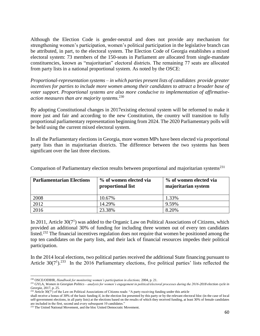Although the Election Code is gender-neutral and does not provide any mechanism for strengthening women's participation, women's political participation in the legislative branch can be attributed, in part, to the electoral system. The Election Code of Georgia establishes a mixed electoral system: 73 members of the 150-seats in Parliament are allocated from single-mandate constituencies, known as "majoritarian" electoral districts. The remaining 77 seats are allocated from party lists in a national proportional system. As noted by the OSCE:

*Proportional-representation systems – in which parties present lists of candidates provide greater incentives for parties to include more women among their candidates to attract a broader base of voter support. Proportional systems are also more conducive to implementation of affirmativeaction measures than are majority systems.*<sup>230</sup>

By adopting Constitutional changes in 2017existing electoral system will be reformed to make it more just and fair and according to the new Constitution, the country will transition to fully proportional parliamentary representation beginning from 2024. The 2020 Parliamentary polls will be held using the current mixed electoral system.

In all the Parliamentary elections in Georgia, more women MPs have been elected via proportional party lists than in majoritarian districts. The difference between the two systems has been significant over the last three elections.

| <b>Parliamentarian Elections</b> | % of women elected via<br>proportional list | % of women elected via<br>majoritarian system |
|----------------------------------|---------------------------------------------|-----------------------------------------------|
| 2008                             | 10.67%                                      | 1.33%                                         |
| 2012                             | 14.29%                                      | 9.59%                                         |
| 2016                             | 23.38%                                      | 8.20%                                         |

Comparison of Parliamentary election results between proportional and majoritarian systems<sup>231</sup>

In 2011, Article  $30(7<sup>1</sup>)$  was added to the Organic Law on Political Associations of Citizens, which provided an additional 30% of funding for including three women out of every ten candidates listed.<sup>232</sup> The financial incentives regulation does not require that women be positioned among the top ten candidates on the party lists, and their lack of financial resources impedes their political participation.

In the 2014 local elections, two political parties received the additional State financing pursuant to Article  $30(7^1)$ .<sup>233</sup> In the 2016 Parliamentary elections, five political parties' lists reflected the

<sup>230</sup> OSCE/ODIHR, *Handbook for monitoring women's participation in elections,* 2004, p. 21.

<sup>231</sup> GYLA, *Women in Georgian Politics – analysis for women's engagement in political/electoral processes during the 2016-2018 election cycle in Georgia,* 2017, p. 25.

 $^{232}$  Article 30(7<sup>1</sup>) of the Law on Political Associations of Citizens reads: "A party receiving funding under this article

shall receive a bonus of 30% of the basic funding if, in the election list presented by this party or by the relevant electoral bloc (in the case of local self-government elections, in all party lists) at the elections based on the results of which they received funding, at least 30% of female candidates are included in the first, second and every subsequent 10 candidates."

<sup>&</sup>lt;sup>233</sup> The United National Movement, and the bloc United Democratic Movement.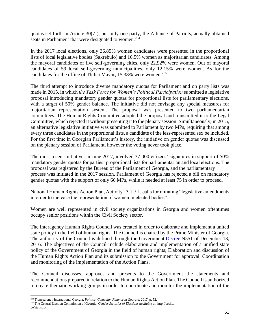quotas set forth in Article  $30(7<sup>1</sup>)$ , but only one party, the Alliance of Patriots, actually obtained seats in Parliament that were designated to women.<sup>234</sup>

In the 2017 local elections, only 36.85% women candidates were presented in the proportional lists of local legislative bodies (Sakrebulo) and 16.5% women as majoritarian candidates. Among the mayoral candidates of five self-governing cities, only 22.92% were women. Out of mayoral candidates of 59 local self-governing municipalities, only 12.15% were women. As for the candidates for the office of Tbilisi Mayor, 15.38% were women.<sup>235</sup>

The third attempt to introduce diverse mandatory quotas for Parliament and on party lists was made in 2015, in which *the Task Force for Women's Political Participation* submitted a legislative proposal introducing mandatory gender quotas for proportional lists for parliamentary elections, with a target of 50% gender balance. The initiative did not envisage any special measures for majoritarian representation system. The proposal was presented to two parliamentarian committees. The Human Rights Committee adopted the proposal and transmitted it to the Legal Committee, which rejected it without presenting it to the plenary session. Simultaneously, in 2015, an alternative legislative initiative was submitted to Parliament by two MPs, requiring that among every three candidates in the proportional lists, a candidate of the less-represented sex be included. For the first time in Georgian Parliament's history, the initiative on gender quotas was discussed on the plenary session of Parliament, however the voting never took place.

The most recent initiative, in June 2017, involved 37 000 citizens' signatures in support of 50% mandatory gender quotas for parties' proportional lists for parliamentarian and local elections. The proposal was registered by the Bureau of the Parliament of Georgia, and the parliamentary process was initiated in the 2017 session. Parliament of Georgia has rejected a bill on mandatory gender quotas with the support of only 66 MPs, while it needed at least 75 in order to proceed.

National Human Rights Action Plan, Activity 13.1.7.1, calls for initiating "legislative amendments in order to increase the representation of women in elected bodies".

Women are well represented in civil society organizations in Georgia and women oftentimes occupy senior positions within the Civil Society sector.

The Interagency Human Rights Council was created in order to elaborate and implement a united state policy in the field of human rights. The Council is chaired by the Prime Minister of Georgia. The authority of the Council is defined through the Government [Decree](https://matsne.gov.ge/en/document/view/3465313) N551 of December 13, 2016. The objectives of the Council include elaboration and implementation of a unified state policy of the Government of Georgia in the field of human rights; Elaboration and discussion of the Human Rights Action Plan and its submission to the Government for approval; Coordination and monitoring of the implementation of the Action Plans.

The Council discusses, approves and presents to the Government the statements and recommendations prepared in relation to the Human Rights Action Plan. The Council is authorized to create thematic working groups in order to coordinate and monitor the implementation of the

 $\overline{a}$ <sup>234</sup> Transparency International Georgia, *Political Campaign Finance in Georgia*, 2017, p. 52.

<sup>235</sup> The Central Election Commission of Georgia, *Gender Statistics of Elections available at:* http://cesko. ge/statistic/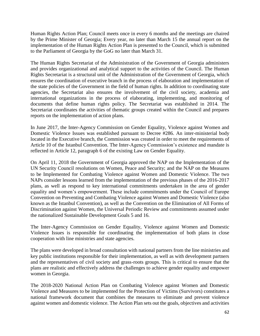Human Rights Action Plan; Council meets once in every 6 months and the meetings are chaired by the Prime Minister of Georgia; Every year, no later than March 15 the annual report on the implementation of the Human Rights Action Plan is presented to the Council, which is submitted to the Parliament of Georgia by the GoG no later than March 31.

The Human Rights Secretariat of the Administration of the Government of Georgia administers and provides organizational and analytical support to the activities of the Council. The Human Rights Secretariat is a structural unit of the Administration of the Government of Georgia, which ensures the coordination of executive branch in the process of elaboration and implementation of the state policies of the Government in the field of human rights. In addition to coordinating state agencies, the Secretariat also ensures the involvement of the civil society, academia and international organizations in the process of elaborating, implementing, and monitoring of documents that define human rights policy. The Secretariat was established in 2014. The Secretariat coordinates the activities of thematic groups created within the Council and prepares reports on the implementation of action plans.

In June 2017, the Inter-Agency Commission on Gender Equality, Violence against Women and Domestic Violence Issues was established pursuant to Decree #286. An inter-ministerial body located in the Executive branch, the Commission was created in order to meet the requirements of Article 10 of the Istanbul Convention. The Inter-Agency Commission's existence and mandate is reflected in Article 12, paragraph 6 of the existing Law on Gender Equality.

On April 11, 2018 the Government of Georgia approved the NAP on the Implementation of the UN Security Council resolutions on Women, Peace and Security; and the NAP on the Measures to be Implemented for Combating Violence against Women and Domestic Violence. The two NAPs consider lessons learned from the implementation of the previous phases of the 2016-2017 plans, as well as respond to key international commitments undertaken in the area of gender equality and women's empowerment. These include commitments under the Council of Europe Convention on Preventing and Combating Violence against Women and Domestic Violence (also known as the Istanbul Convention), as well as the Convention on the Elimination of All Forms of Discrimination against Women, the Universal Periodic Review and commitments assumed under the nationalized Sustainable Development Goals 5 and 16.

The Inter-Agency Commission on Gender Equality, Violence against Women and Domestic Violence Issues is responsible for coordinating the implementation of both plans in close cooperation with line ministries and state agencies.

The plans were developed in broad consultation with national partners from the line ministries and key public institutions responsible for their implementation, as well as with development partners and the representatives of civil society and grass-roots groups. This is critical to ensure that the plans are realistic and effectively address the challenges to achieve gender equality and empower women in Georgia.

The 2018-2020 National Action Plan on Combating Violence against Women and Domestic Violence and Measures to be implemented for the Protection of Victims (Survivors) constitutes a national framework document that combines the measures to eliminate and prevent violence against women and domestic violence. The Action Plan sets out the goals, objectives and activities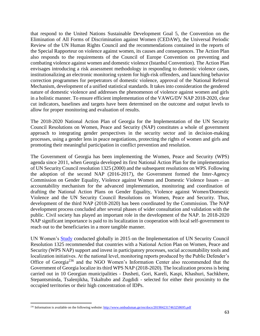that respond to the United Nations Sustainable Development Goal 5, the Convention on the Elimination of All Forms of Discrimination against Women (CEDAW), the Universal Periodic Review of the UN Human Rights Council and the recommendations contained in the reports of the Special Rapporteur on violence against women, its causes and consequences. The Action Plan also responds to the requirements of the Council of Europe Convention on preventing and combating violence against women and domestic violence (Istanbul Convention). The Action Plan envisages introducing a risk assessment methodology in responding to domestic violence cases, institutionalizing an electronic monitoring system for high-risk offenders, and launching behavior correction programmes for perpetrators of domestic violence, approval of the National Referral Mechanism, development of a unified statistical standards. It takes into consideration the gendered nature of domestic violence and addresses the phenomenon of violence against women and girls in a holistic manner. To ensure efficient implementation of the VAWG/DV NAP 2018-2020, clear cut indicators, baselines and targets have been determined on the outcome and output levels to allow for proper monitoring and evaluation of results.

The 2018-2020 National Action Plan of Georgia for the Implementation of the UN Security Council Resolutions on Women, Peace and Security (NAP) constitutes a whole of government approach to integrating gender perspectives in the security sector and in decision-making processes, using a gender lens in peace negotiations, protecting the rights of women and girls and promoting their meaningful participation in conflict prevention and resolution.

The Government of Georgia has been implementing the Women, Peace and Security (WPS) agenda since 2011, when Georgia developed its first National Action Plan for the implementation of UN Security Council resolution 1325 (2000) and the subsequent resolutions on WPS. Following the adoption of the second NAP (2016-2017), the Government formed the Inter-Agency Commission on Gender Equality, Violence against Women and Domestic Violence Issues – an accountability mechanism for the advanced implementation, monitoring and coordination of drafting the National Action Plans on Gender Equality, Violence against Women/Domestic Violence and the UN Security Council Resolutions on Women, Peace and Security. Thus, development of the third NAP (2018-2020) has been coordinated by the Commission. The NAP development process concluded after several phases of wider consultation and validation with the public. Civil society has played an important role in the development of the NAP. In 2018-2020 NAP significant importance is paid to its localization in cooperation with local self-government to reach out to the beneficiaries in a more tangible manner.

UN Women's [Study](http://www.unwomen.org/~/media/files/un%20women/wps/highlights/unw-global-study-1325-2015.pdf) conducted globally in 2015 on the Implementation of UN Security Council Resolution 1325 recommended that countries with a National Action Plan on Women, Peace and Security (WPS NAP) support and invest in participatory processes, social accountability tools and localization initiatives. At the national level, monitoring reports produced by the Public Defender's Office of Georgia<sup>236</sup> and the NGO Women's Information Center also recommended that the Government of Georgia localize its third WPS NAP (2018-2020). The localization process is being carried out in 10 Georgian municipalities - Dusheti, Gori, Kareli, Kaspi, Khashuri, Sachkhere, Stepantsminda, Tsalenjikha, Tskaltubo and Zugdidi - selected for either their proximity to the occupied territories or their high concentration of IDPs.

<sup>&</sup>lt;sup>236</sup> Information is available on the following website[: http://www.ombudsman.ge/res/docs/2019042317463258695.pdf](http://www.ombudsman.ge/res/docs/2019042317463258695.pdf)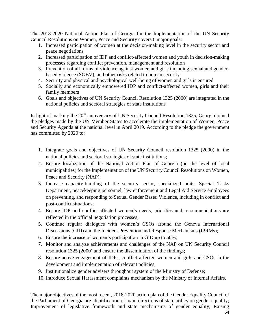The 2018-2020 National Action Plan of Georgia for the Implementation of the UN Security Council Resolutions on Women, Peace and Security covers 6 major goals:

- 1. Increased participation of women at the decision-making level in the security sector and peace negotiations
- 2. Increased participation of IDP and conflict-affected women and youth in decision-making processes regarding conflict prevention, management and resolution
- 3. Prevention of all forms of violence against women and girls including sexual and genderbased violence (SGBV), and other risks related to human security
- 4. Security and physical and psychological well-being of women and girls is ensured
- 5. Socially and economically empowered IDP and conflict-affected women, girls and their family members
- 6. Goals and objectives of UN Security Council Resolution 1325 (2000) are integrated in the national policies and sectoral strategies of state institutions

In light of marking the  $20<sup>th</sup>$  anniversary of UN Security Council Resolution 1325, Georgia joined the pledges made by the UN Member States to accelerate the implementation of Women, Peace and Security Agenda at the national level in April 2019. According to the pledge the government has committed by 2020 to:

- 1. Integrate goals and objectives of UN Security Council resolution 1325 (2000) in the national policies and sectoral strategies of state institutions;
- 2. Ensure localization of the National Action Plan of Georgia (on the level of local municipalities) for the Implementation of the UN Security Council Resolutions on Women, Peace and Security (NAP);
- 3. Increase capacity-building of the security sector, specialized units, Special Tasks Department, peacekeeping personnel, law enforcement and Legal Aid Service employees on preventing, and responding to Sexual Gender Based Violence, including in conflict and post-conflict situations;
- 4. Ensure IDP and conflict-affected women's needs, priorities and recommendations are reflected in the official negotiation processes;
- 5. Continue regular dialogues with women's CSOs around the Geneva International Discussions (GID) and the Incident Prevention and Response Mechanisms (IPRMs);
- 6. Ensure the increase of women's participation in GID up to 50%;
- 7. Monitor and analyze achievements and challenges of the NAP on UN Security Council resolution 1325 (2000) and ensure the dissemination of the findings;
- 8. Ensure active engagement of IDPs, conflict-affected women and girls and CSOs in the development and implementation of relevant policies;
- 9. Institutionalize gender advisers throughout system of the Ministry of Defense;
- 10. Introduce Sexual Harassment complaints mechanism by the Ministry of Internal Affairs.

The major objectives of the most recent, 2018-2020 action plan of the Gender Equality Council of the Parliament of Georgia are identification of main directions of state policy on gender equality; Improvement of legislative framework and state mechanisms of gender equality; Raising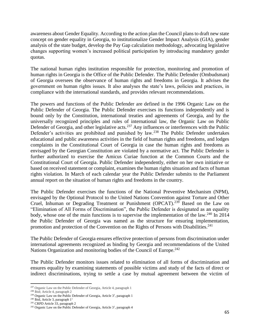awareness about Gender Equality. According to the action plan the Council plans to draft new state concept on gender equality in Georgia, to institutionalize Gender Impact Analysis (GIA), gender analysis of the state budget, develop the Pay Gap calculation methodology, advocating legislative changes supporting women's increased political participation by introducing mandatory gender quotas.

The national human rights institution responsible for protection, monitoring and promotion of human rights in Georgia is the Office of the Public Defender. The Public Defender (Ombudsman) of Georgia oversees the observance of human rights and freedoms in Georgia. It advises the government on human rights issues. It also analyses the state's laws, policies and practices, in compliance with the international standards, and provides relevant recommendations.

The powers and functions of the Public Defender are defined in the 1996 Organic Law on the Public Defender of Georgia. The Public Defender exercises its functions independently and is bound only by the Constitution, international treaties and agreements of Georgia, and by the universally recognized principles and rules of international law, the Organic Law on Public Defender of Georgia, and other legislative acts.<sup>237</sup> Any influences or interferences with the Public Defender's activities are prohibited and punished by law.<sup>238</sup> The Public Defender undertakes educational and public awareness activities in the field of human rights and freedoms, and lodges complaints in the Constitutional Court of Georgia in case the human rights and freedoms as envisaged by the Georgian Constitution are violated by a normative act. The Public Defender is further authorized to exercise the Amicus Curiae function at the Common Courts and the Constitutional Court of Georgia. Public Defender independently, either on her own initiative or based on received statement or complaint, examines the human rights situation and facts of human rights violation. In March of each calendar year the Public Defender submits to the Parliament annual report on the situation of human rights and freedoms in the country.

The Public Defender exercises the functions of the National Preventive Mechanism (NPM), envisaged by the Optional Protocol to the United Nations Convention against Torture and Other Cruel, Inhuman or Degrading Treatment or Punishment (OPCAT).<sup>239</sup> Based on the Law on "Elimination of All Forms of Discrimination", the Public Defender is designated as an equality body, whose one of the main functions is to supervise the implementation of the law.<sup>240</sup> In 2014 the Public Defender of Georgia was named as the structure for ensuring implementation, promotion and protection of the Convention on the Rights of Persons with Disabilities.<sup>241</sup>

The Public Defender of Georgia ensures effective protection of persons from discrimination under international agreements recognized as binding by Georgia and recommendations of the United Nations Organization and monitoring bodies of the Council of Europe.<sup>242</sup>

The Public Defender monitors issues related to elimination of all forms of discrimination and ensures equality by examining statements of possible victims and study of the facts of direct or indirect discriminations, trying to settle a case by mutual agreement between the victim of

l

<sup>&</sup>lt;sup>237</sup> Organic Law on the Public Defender of Georgia, Article 4, paragraph 1

<sup>238</sup> Ibid; Article 4, paragraph 2

<sup>&</sup>lt;sup>239</sup> Organic Law on the Public Defender of Georgia, Article  $3<sup>1</sup>$ , paragraph 1

<sup>&</sup>lt;sup>240</sup> Ibid, Article 3, paragraph  $1<sup>1</sup>$ 

<sup>&</sup>lt;sup>241</sup> CRPD Article 33, paragraph 2

<sup>&</sup>lt;sup>242</sup> Organic Law on the Public Defender of Georgia, Article  $3<sup>1</sup>$ , paragraph 4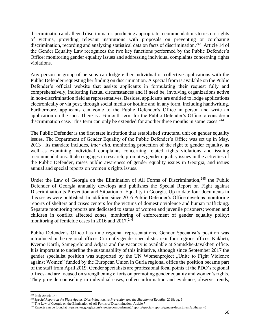discrimination and alleged discriminator, producing appropriate recommendations to restore rights of victims, providing relevant institutions with proposals on preventing or combating discrimination, recording and analyzing statistical data on facts of discrimination.<sup>243</sup> Article 14 of the Gender Equality Law recognizes the two key functions performed by the Public Defender's Office: monitoring gender equality issues and addressing individual complaints concerning rights violations.

Any person or group of persons can lodge either individual or collective applications with the Public Defender requesting her finding on discrimination. A special from is available on the Public Defender's official website that assists applicants in formulating their request fully and comprehensively, indicating factual circumstances and if need be, involving organizations active in non-discrimination field as representatives. Besides, applicants are entitled to lodge applications electronically or via post, through social media or hotline and in any form, including handwriting. Furthermore, applicants can come to the Public Defender's Office in person and write an application on the spot. There is a 6-month term for the Public Defender's Office to consider a discrimination case. This term can only be extended for another three months in some cases.<sup>244</sup>

The Public Defender is the first state institution that established structural unit on gender equality issues. The Department of Gender Equality of the Public Defender's Office was set up in May, 2013 . Its mandate includes, *inter alia*, monitoring protection of the right to gender equality, as well as examining individual complaints concerning related rights violations and issuing recommendations. It also engages in research, promotes gender equality issues in the activities of the Public Defender, raises public awareness of gender equality issues in Georgia, and issues annual and special reports on women's rights issues.

Under the Law of Georgia on the Elimination of All Forms of Discrimination, $245$  the Public Defender of Georgia annually develops and publishes the Special Report on Fight against Discriminationits Prevention and Situation of Equality in Georgia. Up to date four documents in this series were published. In addition, since 2016 Public Defender's Office develops monitoring reports of shelters and crises centers for the victims of domestic violence and human trafficking. Separate monitoring reports are dedicated to status of women and juvenile prisoners; women and children in conflict affected zones; monitoring of enforcement of gender equality policy; monitoring of femicide cases in 2016 and  $2017.^{246}$ 

Public Defender's Office has nine regional representations. Gender Specialist's position was introduced in the regional offices. Currently gender specialists are in four regions offices: Kakheti, Kvemo Kartli, Samegrelo and Adjara and the vacancy is available at Samtskhe-Javakheti office. It is important to underline the sustainability of this initiative, although since September 2017 the gender specialist position was supported by the UN Womenproject "Unite to Fight Violence against Women" funded by the European Union in Guria regional office the position became part of the staff from April 2019. Gender specialists are professional focal points at the PDO's regional offices and are focused on strengthening efforts on promoting gender equality and women's rights. They provide counseling in individual cases, collect information and evidence, observe trends,

l

<sup>&</sup>lt;sup>243</sup> Ibid; Article 14<sup>1</sup>

<sup>&</sup>lt;sup>244</sup> Special Report on the Fight Against Discrimination, its Prevention and the Situation of Equality, 2018; pg. 6

<sup>&</sup>lt;sup>245</sup> The Law of Georgia on the Elimination of All Forms of Discrimination, Article 7

<sup>246</sup> Reports can be found at https://sites.google.com/view/geoombudsman2/reports/special-reports/gender-department?authuser=0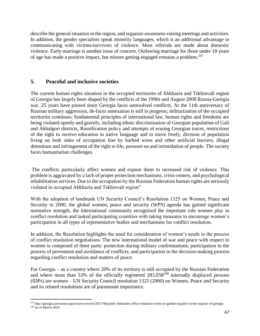describe the general situation in the region, and organize awareness-raising meetings and activities. In addition, the gender specialists speak minority languages, which is an additional advantage in communicating with victims/survivors of violence. Most referrals are made about domestic violence. Early marriage is another issue of concern. Outlawing marriage for those under 18 years of age has made a positive impact, but minors getting engaged remains a problem.<sup>247</sup>

## **5. Peaceful and inclusive societies**

 $\overline{\phantom{a}}$ 

The current human rights situation in the occupied territories of Abkhazia and Tskhinvali region of Georgia has largely been shaped by the conflicts of the 1990s and August 2008 Russia-Georgia war. 25 years have passed since Georgia faces unresolved conflicts. At the 11th anniversary of Russian military aggression, de-facto annexation is still in progress; militarization of the occupied territories continues; fundamental principles of international law, human rights and freedoms are being violated openly and gravely, including ethnic discrimination of Georgian population of Gali and Akhalgori districts, Russification policy and attempts of erasing Georgian traces, restrictions of the right to receive education in native language and to move freely, division of population living on both sides of occupation line by barbed wires and other artificial barriers, illegal detentions and infringement of the right to life, pressure on and intimidation of people. The society faces humanitarian challenges.

The conflicts particularly affect women and expose them to increased risk of violence. This problem is aggravated by a lack of proper protection mechanisms, crisis centers, and psychological rehabilitation services. Due to the occupation by the Russian Federation human rights are seriously violated in occupied Abkhazia and Tskhinvali region"

With the adoption of landmark UN Security Council's Resolution 1325 on Women, Peace and Security in 2000, the global women, peace and security (WPS) agenda has gained significant normative strength, the international community recognized the important role women play in conflict resolution and tasked participating countries with taking measures to encourage women's participation in all types of representative bodies and mechanisms for conflict resolution.

In addition, the Resolution highlights the need for consideration of women's needs in the process of conflict resolution negotiations. The new international model of war and peace with respect to women is composed of three parts: protection during military confrontations; participation in the process of prevention and avoidance of conflicts; and participation in the decision-making process regarding conflict resolution and matters of peace.

For Georgia – as a country where 20% of its territory is still occupied by the Russian Federation and where more than 53% of the officially registered  $283,058^{248}$  internally displaced persons (IDPs) are women – UN Security Council resolution 1325 (2000) on Women, Peace and Security and its related resolutions are of paramount importance.

 $247$  http://georgia.unwomen.org/en/news/stories/2017/08/public-defenders-office-enhances-work-on-gender-equality-in-the-regions-of-georgia  $248$  As of March 2019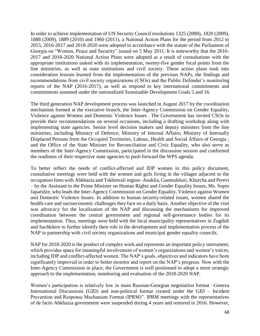In order to achieve implementation of UN Security Council resolutions 1325 (2000), 1820 (2009), 1888 (2009), 1889 (2010) and 1960 (2011), a National Action Plans for the period from 2012 to 2015; 2016-2017 and 2018-2020 were adopted in accordance with the statute of the Parliament of Georgia on "Women, Peace and Security" issued on 5 May 2011. It is noteworthy that the 2016- 2017 and 2018-2020 National Action Plans were adopted as a result of consultations with the appropriate institutions tasked with its implementation, twenty-five gender focal points from the line ministries, as well as state institutions and civil society. These action plans took into consideration lessons learned from the implementation of the previous NAPs, the findings and recommendations from civil society organizations (CSOs) and the Public Defender's monitoring reports of the NAP (2016-2017), as well as respond to key international commitments and commitments assumed under the nationalized Sustainable Development Goals 5 and 16.

The third generation NAP development process was launched in August 2017 by the coordination mechanism formed at the executive branch, the Inter-Agency Commission on Gender Equality, Violence against Women and Domestic Violence Issues . The Government has invited CSOs to provide their recommendations on several occasions, including a drafting workshop along with implementing state agencies. Senior level decision makers and deputy ministers from the line ministries, including Ministry of Defence; Ministry of Internal Affairs; Ministry of Internally Displaced Persons from the Occupied Territories, Labour, Health and Social Affairs of Georgia ; and the Office of the State Minister for Reconciliation and Civic Equality, who also serve as members of the Inter-Agency Commission, participated in the discussion session and confirmed the readiness of their respective state agencies to push forward the WPS agenda.

To better reflect the needs of conflict-affected and IDP women in this policy document, consultative meetings were held with the women and girls living in the villages adjacent to the occupation lines with Abkhazia and Tskhinvali region- Anaklia, Ganmukhuri, Khurcha and Perevi – by the Assistant to the Prime Minister on Human Rights and Gender Equality Issues, Ms. Sopio Japaridze, who leads the Inter-Agency Commission on Gender Equality, Violence against Women and Domestic Violence Issues. In addition to human security-related issues, women shared the health-care and socioeconomic challenges they face on a daily basis. Another objective of the visit was advocacy for the localization of the NAP and discussing the mechanisms for improved coordination between the central government and regional self-governance bodies for its implementation. Thus, meetings were held with the local municipality representatives in Zugdidi and Sachkhere to further identify their role in the development and implementation process of the NAP in partnership with civil society organizations and municipal gender equality councils.

NAP for 2018-2020 is the product of complex work and represents an important policy instrument, which provides space for meaningful involvement of women's organizations and women's voices, including IDP and conflict-affected women. The NAP's goals, objectives and indicators have been significantly improved in order to better monitor and report on the NAP's progress. Now with the Inter-Agency Commission in place, the Government is well positioned to adopt a more strategic approach to the implementation, monitoring and evaluation of the 2018-2020 NAP.

Women's participation is relatively low in main Russian-Georgian negotiation format –Geneva International Discussions (GID) and non-political format created under the GID – Incident Prevention and Response Mechanism Format (IPRM)". IPRM meetings with the representatives of de facto Abkhazia government were suspended during 4 years and restored in 2016. However,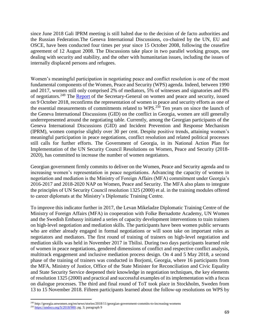since June 2018 Gali IPRM meeting is still halted due to the decision of de facto authorities and the Russian Federation.The Geneva International Discussions, co-chaired by the UN, EU and OSCE, have been conducted four times per year since 15 October 2008, following the ceasefire agreement of 12 August 2008. The Discussions take place in two parallel working groups, one dealing with security and stability, and the other with humanitarian issues, including the issues of internally displaced persons and refugees.

Women's meaningful participation in negotiating peace and conflict resolution is one of the most fundamental components of the Women, Peace and Security (WPS) agenda. Indeed, between 1990 and 2017, women still only comprised 2% of mediators, 5% of witnesses and signatories and 8% of negotiators.<sup>249</sup> The [Report](https://undocs.org/S/2018/900) of the Secretary-General on women and peace and security, issued on 9 October 2018, reconfirms the representation of women in peace and security efforts as one of the essential measurements of commitments related to WPS.<sup>250</sup> Ten years on since the launch of the Geneva International Discussions (GID) on the conflict in Georgia, women are still generally underrepresented around the negotiating table. Currently, among the Georgian participants of the Geneva International Discussions (GID) and Incident Prevention and Response Mechanism (IPRM), women comprise slightly over 30 per cent. Despite positive trends, attaining women's meaningful participation in peace negotiations, conflict resolution and related political processes still calls for further efforts. The Government of Georgia, in its National Action Plan for Implementation of the UN Security Council Resolutions on Women, Peace and Security (2018- 2020), has committed to increase the number of women negotiators.

Georgian government firmly commits to deliver on the Women, Peace and Security agenda and to increasing women's representation in peace negotiations. Advancing the capacity of women in negotiation and mediation is the Ministry of Foreign Affairs (MFA) commitment under Georgia's 2016-2017 and 2018-2020 NAP on Women, Peace and Security. The MFA also plans to integrate the principles of UN Security Council resolution 1325 (2000) et al. in the training modules offered to career diplomats at the Ministry's Diplomatic Training Centre.

To improve this indicator further in 2017, the Levan Mikeladze Diplomatic Training Centre of the Ministry of Foreign Affairs (MFA) in cooperation with Folke Bernadotte Academy, UN Women and the Swedish Embassy initiated a series of capacity development interventions to train trainers on high-level negotiation and mediation skills. The participants have been women public servants who are either already engaged in formal negotiations or will soon take on important roles as negotiators and mediators. The first round of training of trainers on high-level negotiation and mediation skills was held in November 2017 in Tbilisi. During two days participants learned role of women in peace negotiations, gendered dimensions of conflict and respective conflict analysis, multitrack engagement and inclusive mediation process design. On 4 and 5 May 2018, a second phase of the training of trainers was conducted in Borjomi, Georgia, where 16 participants from the MFA, Ministry of Justice, Office of the State Minister for Reconciliation and Civic Equality and State Security Service deepened their knowledge in negotiation techniques, the key elements of resolution 1325 (2000) and practical and successful examples of its implementation with a focus on dialogue processes. The third and final round of ToT took place in Stockholm, Sweden from 13 to 15 November 2018. Fifteen participants learned about the follow-up resolutions on WPS by

<sup>249</sup> http://georgia.unwomen.org/en/news/stories/2018/11/georgian-government-commits-to-increasing-womens

<sup>&</sup>lt;sup>250</sup> [https://undocs.org/S/2018/900;](https://undocs.org/S/2018/900) pg. 3; paragraph 9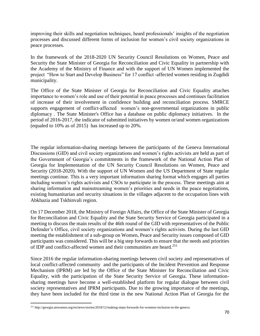improving their skills and negotiation techniques, heard professionals' insights of the negotiation processes and discussed different forms of inclusion for women's civil society organizations in peace processes.

In the framework of the 2018-2020 UN Security Council Resolutions on Women, Peace and Security the State Minister of Georgia for Reconciliation and Civic Equality in partnership with the Academy of the Ministry of Finance and with the support of UN Women implemented the project "How to Start and Develop Business" for 17 conflict -affected women residing in Zugdidi municipality.

The Office of the State Minister of Georgia for Reconciliation and Civic Equality attaches importance to women's role and use of their potential in peace processes and continues facilitation of increase of their involvement in confidence building and reconciliation process. SMRCE supports engagement of conflict-affected women's non-governmental organizations in public diplomacy . The State Minister's Office has a database on public diplomacy initiatives. In the period of 2016-2017, the indicator of submitted initiatives by women or/and women organizations (equaled to 10% as of 2015) has increased up to 20%.

The regular information-sharing meetings between the participants of the Geneva International Discussions (GID) and civil society organizations and women's rights activists are held as part of the Government of Georgia's commitments in the framework of the National Action Plan of Georgia for Implementation of the UN Security Council Resolutions on Women, Peace and Security (2018-2020). With the support of UN Women and the US Department of State regular meetings continue. This is a very important information sharing format which engages all parties including women's rights activists and CSOs to participate in the process. These meetings aim at sharing information and mainstreaming women's priorities and needs in the peace negotiations, existing humanitarian and security situations in the villages adjacent to the occupation lines with Abkhazia and Tskhinvali region.

On 17 December 2018, the Ministry of Foreign Affairs, the Office of the State Minister of Georgia for Reconciliation and Civic Equality and the State Security Service of Georgia participated in a meeting to discuss the main results of the 46th round of the GID with representatives of the Public Defender's Office, civil society organizations and women's rights activists. During the last GID meeting the establishment of a sub-group on Women, Peace and Security issues composed of GID participants was considered. This will be a big step forwards to ensure that the needs and priorities of IDP and conflict-affected women and their communities are heard.<sup>251</sup>

Since 2016 the regular information-sharing meetings between civil society and representatives of local conflict-affected community and the participants of the Incident Prevention and Response Mechanism (IPRM) are led by the Office of the State Minister for Reconciliation and Civic Equality, with the participation of the State Security Service of Georgia. These informationsharing meetings have become a well-established platform for regular dialogue between civil society representatives and IPRM participants. Due to the growing importance of the meetings, they have been included for the third time in the new National Action Plan of Georgia for the

 $\overline{\phantom{a}}$ <sup>251</sup> http://georgia.unwomen.org/en/news/stories/2018/12/making-steps-forwards-for-womens-inclusion-in-the-geneva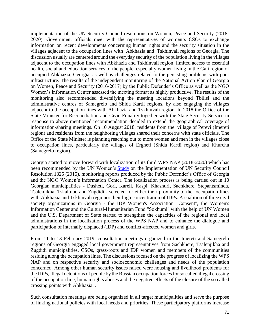implementation of the UN Security Council resolutions on Women, Peace and Security (2018- 2020). Government officials meet with the representatives of women's CSOs to exchange information on recent developments concerning human rights and the security situation in the villages adjacent to the occupation lines with Abkhazia and Tskhinvali regions of Georgia. The discussion usually are centered around the everyday security of the population living in the villages adjacent to the occupation lines with Abkhazia and Tskhinvali region, limited access to essential health, social and education services of the people, especially women living in the Gali region of occupied Abkhazia, Georgia, as well as challenges related to the persisting problems with poor infrastructure. The results of the independent monitoring of the National Action Plan of Georgia on Women, Peace and Security (2016-2017) by the Public Defender's Office as well as the NGO Women's Information Center assessed the meeting format as highly productive. The results of the monitoring also recommended diversifying the meeting locations beyond Tbilisi and the administrative centres of Samegrelo and Shida Kartli regions, by also engaging the villages adjacent to the occupation lines with Abkhazia and Tskhinvali region. In 2018 the Office of the State Minister for Reconciliation and Civic Equality together with the State Security Service in response to above mentioned recommendation decided to extend the geographical coverage of information-sharing meetings. On 10 August 2018, residents from the village of Perevi (Imereti region) and residents from the neighboring villages shared their concerns with state officials. The Office of the State Minister is planning reaching out to more women and men in the villages close to occupation lines, particularly the villages of Ergneti (Shida Kartli region) and Khurcha (Samegrelo region).

Georgia started to move forward with localization of its third WPS NAP (2018-2020) which has been recommended by the UN Women's [Study](http://www.unwomen.org/~/media/files/un%20women/wps/highlights/unw-global-study-1325-2015.pdf) on the Implementation of UN Security Council Resolution 1325 (2015), monitoring reports produced by the Public Defender's Office of Georgia and the NGO Women's Information Center. The localization process is being carried out in 10 Georgian municipalities - Dusheti, Gori, Kareli, Kaspi, Khashuri, Sachkhere, Stepantsminda, Tsalenjikha, Tskaltubo and Zugdidi - selected for either their proximity to the occupation lines with Abkhazia and Tskhinvali regionor their high concentration of IDPs. A coalition of three civil society organizations in Georgia - the IDP Women's Association "Consent", the Women's Information Center and the Cultural-Humanitarian Fund "Sokhumi" with the help of UN Women and the U.S. Department of State started to strengthen the capacities of the regional and local administrations in the localization process of the WPS NAP and to enhance the dialogue and participation of internally displaced (IDP) and conflict-affected women and girls.

From 11 to 13 February 2019, consultation meetings organized in the Imereti and Samegrelo regions of Georgia engaged local government representatives from Sachkhere, Tsalenjikha and Zugdidi municipalities, CSOs, grass-roots and IDP women and members of the communities residing along the occupation lines. The discussions focused on the progress of localizing the WPS NAP and on respective security and socioeconomic challenges and needs of the population concerned. Among other human security issues raised were housing and livelihood problems for the IDPs, illegal detentions of people by the Russian occupation forces for so called illegal crossing of the occupation line, human rights abuses and the negative effects of the closure of the so called crossing points with Abkhazia. .

Such consultation meetings are being organized in all target municipalities and serve the purpose of linking national policies with local needs and priorities. These participatory platforms increase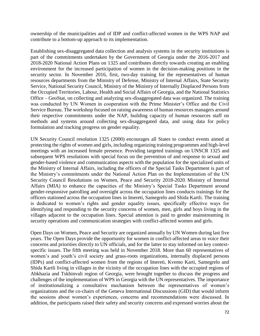ownership of the municipalities and of IDP and conflict-affected women in the WPS NAP and contribute to a bottom-up approach to its implementation.

Establishing sex-disaggregated data collection and analysis systems in the security institutions is part of the commitments undertaken by the Government of Georgia under the 2016-2017 and 2018-2020 National Action Plans on 1325 and contributes directly towards creating an enabling environment for the increased participation of women in the decision-making positions in the security sector. In November 2016, first, two-day training for the representatives of human resources departments from the Ministry of Defense, Ministry of Internal Affairs, State Security Service, National Security Council, Ministry of the Ministry of Internally Displaced Persons from the Occupied Territories, Labour, Health and Social Affairs of Georgia, and the National Statistics Office – GeoStat, on collecting and analyzing sex-disaggregated data was organized. The training was conducted by UN Women in cooperation with the Prime Minister's Office and the Civil Service Bureau. The workshop focused on raising awareness of human resources managers around their respective commitments under the NAP, building capacity of human resources staff on methods and systems around collecting sex-disaggregated data, and using data for policy formulation and tracking progress on gender equality.

UN Security Council resolution 1325 (2000) encourages all States to conduct events aimed at protecting the rights of women and girls, including organizing training programmes and high-level meetings with an increased female presence. Providing targeted trainings on UNSCR 1325 and subsequent WPS resolutions with special focus on the prevention of and response to sexual and gender-based violence and communication aspects with the population for the specialized units of the Ministry of Internal Affairs, including the officers of the Special Tasks Department is part of the Ministry's commitments under the National Action Plan on the Implementation of the UN Security Council Resolutions on Women, Peace and Security 2018-2020. Ministry of Internal Affairs (MIA) to enhance the capacities of the Ministry's Special Tasks Department around gender-responsive patrolling and oversight across the occupation lines conducts trainings for the officers stationed across the occupation lines in Imereti, Samegrelo and Shida Kartli. The training is dedicated to women's rights and gender equality issues, specifically effective ways for identifying and responding to the security concerns of women, men, girls and boys living in the villages adjacent to the occupation lines. Special attention is paid to gender mainstreaming in security operations and communication strategies with conflict-affected women and girls.

Open Days on Women, Peace and Security are organized annually by UN Women during last five years. The Open Days provide the opportunity for women in conflict-affected areas to voice their concerns and priorities directly to UN officials, and for the latter to stay informed on key contextspecific issues. The fifth meeting was held in November 2018. More than 60 representatives of women's and youth's civil society and grass-roots organizations, internally displaced persons (IDPs) and conflict-affected women from the regions of Imereti, Kvemo Karti, Samegrelo and Shida Kartli living in villages in the vicinity of the occupation lines with the occupied regions of Abkhazia and Tskhinvali region of Georgia, were brought together to discuss the progress and challenges of the implementation of WPS in Georgia with the UN representatives. The importance of institutionalizing a consultative mechanism between the representatives of women's organizations and the co-chairs of the Geneva International Discussions (GID) that would inform the sessions about women's experiences, concerns and recommendations were discussed. In addition, the participants raised their safety and security concerns and expressed worries about the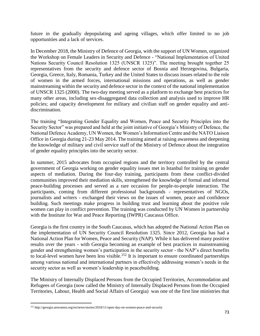future in the gradually depopulating and ageing villages, which offer limited to no job opportunities and a lack of services.

In December 2018, the Ministry of Defence of Georgia, with the support of UN Women, organized the Workshop on Female Leaders in Security and Defence - "National Implementation of United Nations Security Council Resolution 1325 (UNSCR 1325)". The meeting brought together 25 representatives from the security and defence sector of Bosnia and Herzegovina, Bulgaria, Georgia, Greece, Italy, Romania, Turkey and the United States to discuss issues related to the role of women in the armed forces, international missions and operations, as well as gender mainstreaming within the security and defence sector in the context of the national implementation of UNSCR 1325 (2000). The two-day meeting served as a platform to exchange best practices for many other areas, including sex-disaggregated data collection and analysis used to improve HR policies; and capacity development for military and civilian staff on gender equality and antidiscrimination.

The training "Integrating Gender Equality and Women, Peace and Security Principles into the Security Sector" was prepared and held at the joint initiative of Georgia's Ministry of Defence, the National Defence Academy, UN Women, the Women's Information Centre and the NATO Liaison Office in Georgia during 21-23 May 2014. The training aimed at raising awareness and deepening the knowledge of military and civil service staff of the Ministry of Defence about the integration of gender equality principles into the security sector.

In summer, 2015 advocates from occupied regions and the territory controlled by the central government of Georgia working on gender equality issues met in Istanbul for training on gender aspects of mediation. During the four-day training, participants from these conflict-divided communities improved their mediation skills, strengthened the knowledge of formal and informal peace-building processes and served as a rare occasion for people-to-people interaction. The participants, coming from different professional backgrounds - representatives of NGOs, journalists and writers - exchanged their views on the issues of women, peace and confidence building. Such meetings make progress in building trust and learning about the positive role women can play in conflict prevention. The training was conducted by UN Women in partnership with the Institute for War and Peace Reporting (IWPR) Caucasus Office.

Georgia is the first country in the South Caucasus, which has adopted the National Action Plan on the implementation of UN Security Council Resolution 1325. Since 2012, Georgia has had a National Action Plan for Women, Peace and Security (NAP). While it has delivered many positive results over the years - with Georgia becoming an example of best practices in mainstreaming gender and strengthening women's participation in the security sector - the NAP's direct benefits to local-level women have been less visible.<sup>252</sup> It is important to ensure coordinated partnerships among various national and international partners in effectively addressing women's needs in the security sector as well as women's leadership in peacebuilding.

The Ministry of Internally Displaced Persons from the Occupied Territories, Accommodation and Refugees of Georgia (now called the Ministry of Internally Displaced Persons from the Occupied Territories, Labour, Health and Social Affairs of Georgia) was one of the first line ministries that

 $\overline{\phantom{a}}$ 

<sup>252</sup> http://georgia.unwomen.org/en/news/stories/2018/11/open-day-on-women-peace-and-security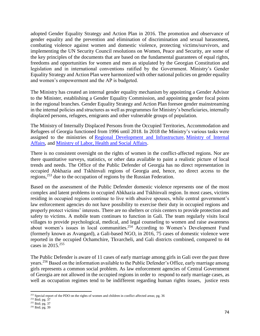adopted Gender Equality Strategy and Action Plan in 2016. The promotion and observance of gender equality and the prevention and elimination of discrimination and sexual harassment**,** combating violence against women and domestic violence, protecting victims/survivors, and implementing the UN Security Council resolutions on Women, Peace and Security, are some of the key principles of the documents that are based on the fundamental guarantees of equal rights, freedoms and opportunities for women and men as stipulated by the Georgian Constitution and legislation and in international conventions ratified by the Government. Ministry's Gender Equality Strategy and Action Plan were harmonized with other national policies on gender equality and women's empowerment and the AP is budgeted.

The Ministry has created an internal gender equality mechanism by appointing a Gender Advisor to the Minister, establishing a Gender Equality Commission, and appointing gender focal points in the regional branches. Gender Equality Strategy and Action Plan foresee gender mainstreaming in the internal policies and structures as well as programmes for Ministry's beneficiaries, internally displaced persons, refugees, emigrants and other vulnerable groups of population.

The Ministry of Internally Displaced Persons from the Occupied Territories, Accommodation and Refugees of Georgia functioned from 1996 until 2018. In 2018 the Ministry's various tasks were assigned to the ministries of [Regional Development and Infrastructure,](https://en.wikipedia.org/wiki/Ministry_of_Regional_Development_and_Infrastructure_of_Georgia) [Ministry](https://en.wikipedia.org/wiki/Ministry_of_Internal_Affairs_of_Georgia) of Internal Affairs, and [Ministry of Labor, Health and Social Affairs.](https://en.wikipedia.org/wiki/Ministry_of_Health,_Labour_and_Social_Affairs_of_Georgia)

There is no consistent oversight on the rights of women in the conflict-affected regions. Nor are there quantitative surveys, statistics, or other data available to paint a realistic picture of local trends and needs. The Office of the Public Defender of Georgia has no direct representation in occupied Abkhazia and Tskhinvali regions of Georgia and, hence, no direct access to the regions, <sup>253</sup> due to the occupation of regions by the Russian Federation.

Based on the assessment of the Public Defender domestic violence represents one of the most complex and latent problems in occupied Abkhazia and Tskhinvali region. In most cases, victims residing in occupied regions continue to live with abusive spouses, while central government's law enforcement agencies do not have possibility to exercise their duty in occupied regions and properly protect victims' interests. There are no shelters or crisis centers to provide protection and safety to victims. A mobile team continues to function in Gali. The team regularly visits local villages to provide psychological, medical, and legal counseling to women and raise awareness about women's issues in local communities.<sup>254</sup> According to Women's Development Fund (formerly known as Avangard), a Gali-based NGO, in 2016, 75 cases of domestic violence were reported in the occupied Ochamchire, Tkvarcheli, and Gali districts combined, compared to 44 cases in 2015.<sup>255</sup>

The Public Defender is aware of 11 cases of early marriage among girls in Gali over the past three years.<sup>256</sup> Based on the information available to the Public Defender's Office, early marriage among girls represents a common social problem. As law enforcement agencies of Central Government of Georgia are not allowed in the occupied regions in order to respond to early marriage cases, as well as occupation regimes tend to be indifferent regarding human rights issues, justice rests

l <sup>253</sup> Special report of the PDO on the rights of women and children in conflict affected areas; pg. 36

<sup>254</sup> Ibid; pg. 37

<sup>&</sup>lt;sup>255</sup> Ibid; pg. 37

<sup>256</sup> Ibid; pg. 39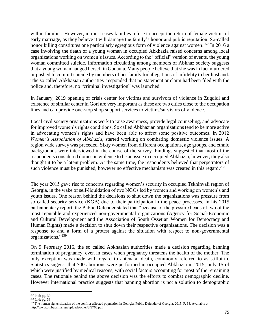within families. However, in most cases families refuse to accept the return of female victims of early marriage, as they believe it will damage the family's honor and public reputation. So-called honor killing constitutes one particularly egregious form of violence against women.<sup>257</sup> In 2016 a case involving the death of a young woman in occupied Abkhazia raised concerns among local organizations working on women's issues. According to the "official" version of events, the young woman committed suicide. Information circulating among members of Abkhaz society suggests that a young woman hanged herself in Gudauta. Many people believe that she was in fact murdered or pushed to commit suicide by members of her family for allegations of infidelity to her husband. The so called Abkhazian authorities responded that no statement or claim had been filed with the police and, therefore, no "criminal investigation" was launched.

In January, 2019 opening of crisis center for victims and survivors of violence in Zugdidi and existence of similar center in Gori are very important as these are two cities close to the occupation lines and can provide one-stop shop support services to victims/survivors of violence.

Local civil society organizations work to raise awareness, provide legal counseling, and advocate for improved women's rights conditions. So called Abkhazian organizations tend to be more active in advocating women's rights and have been able to affect some positive outcomes. In 2012 *Women's Association of Abkhazia*, started working on combating domestic violence issues. A region wide survey was preceded. Sixty women from different occupations, age groups, and ethnic backgrounds were interviewed in the course of the survey. Findings suggested that most of the respondents considered domestic violence to be an issue in occupied Abkhazia, however, they also thought it to be a latent problem. At the same time, the respondents believed that perpetrators of such violence must be punished, however no effective mechanism was created in this regard.<sup>258</sup>

The year 2015 gave rise to concerns regarding women's security in occupied Tskhinvali region of Georgia, in the wake of self-liquidation of two NGOs led by women and working on women's and youth issues. One reason behind the decisions to shut down the organizations was pressure from so called security service (KGB) due to their participation in the peace processes. In his 2015 parliamentary report, the Public Defender stated that "because of the pressure heads of two of the most reputable and experienced non-governmental organizations (Agency for Social-Economic and Cultural Development and the Association of South Ossetian Women for Democracy and Human Rights) made a decision to shut down their respective organizations. The decision was a response to and a form of a protest against the situation with respect to non-governmental organizations."<sup>259</sup>

On 9 February 2016, the so called Abkhazian authorities made a decision regarding banning termination of pregnancy, even in cases when pregnancy threatens the health of the mother. The only exception was made with regard to antenatal death, commonly referred to as stillbirth. Statistics suggest that 700 abortions were performed in occupied Abkhazia in 2015, only 15 of which were justified by medical reasons, with social factors accounting for most of the remaining cases. The rationale behind the above decision was the efforts to combat demographic decline. However international practice suggests that banning abortion is not a solution to demographic

l

<sup>&</sup>lt;sup>257</sup> Ibid; pg. 39

 $258$  Ibid; pg. 38

<sup>&</sup>lt;sup>259</sup> The human rights situation of the conflict-affected population in Georgia, Public Defender of Georgia, 2015, P. 68. Available at: http://www.ombudsman.ge/uploads/other/3/3768.pdf.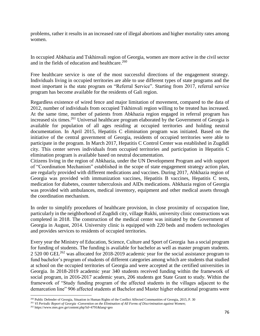problems, rather it results in an increased rate of illegal abortions and higher mortality rates among women.

In occupied Abkhazia and Tskhinvali region of Georgia, women are more active in the civil sector and in the fields of education and healthcare.<sup>260</sup>

Free healthcare service is one of the most successful directions of the engagement strategy. Individuals living in occupied territories are able to use different types of state programs and the most important is the state program on "Referral Service". Starting from 2017, referral service program has become available for the residents of Gali region.

Regardless existence of wired fence and major limitation of movement, compared to the data of 2012, number of individuals from occupied Tskhinvali region willing to be treated has increased. At the same time, number of patients from Abkhazia region engaged in referral program has increased six times.<sup>261</sup> Universal healthcare program elaborated by the Government of Georgia is available for population of all ages residing at occupied territories and holding neutral documentation. In April 2015, Hepatitis C elimination program was initiated. Based on the initiative of the central government of Georgia, residents of occupied territories were able to participate in the program. In March 2017, Hepatitis C Control Center was established in Zugdidi city. This center serves individuals from occupied territories and participation in Hepatitis C elimination program is available based on neutral documentation.

Citizens living in the region of Abkhazia, under the UN Development Program and with support of "Coordination Mechanism" established in the scope of state engagement strategy action plan, are regularly provided with different medications and vaccines. During 2017, Abkhazia region of Georgia was provided with immunization vaccines, Hepatitis B vaccines, Hepatitis C tests, medication for diabetes, counter tuberculosis and AIDs medications. Abkhazia region of Georgia was provided with ambulances, medical inventory, equipment and other medical assets through the coordination mechanism.

In order to simplify procedures of healthcare provision, in close proximity of occupation line, particularly in the neighborhood of Zugdidi city, village Rukhi, university clinic constructions was completed in 2018. The construction of the medical center was initiated by the Government of Georgia in August, 2014. University clinic is equipped with 220 beds and modern technologies and provides services to residents of occupied territories.

Every year the Ministry of Education, Science, Culture and Sport of Georgia has a social program for funding of students. The funding is available for bachelor as well as master program students. 2 520 00 GEL<sup>262</sup> was allocated for 2018-2019 academic year for the social assistance program to fund bachelor's program of students of different categories among which are students that studied at school on the occupied territories of Georgia and were accepted at the certified universities in Georgia. In 2018-2019 academic year 340 students received funding within the framework of social program, in 2016-2017 academic years, 206 students got State Grant to study. Within the framework of "Study funding program of the affected students in the villages adjacent to the demarcation line" 906 affected students at Bachelor and Master higher educational programs were

 $\overline{a}$ <sup>260</sup> Public Defender of Georgia, Situation in Human Rights of the Conflict Affected Communities of Georgia, 2015, P. 30

<sup>261</sup> *VI Periodic Report of Georgia -Convention on the Elimination of All Forms of Discrimination against Women*;

<sup>262</sup> https://www.mes.gov.ge/content.php?id=4791&lang=geo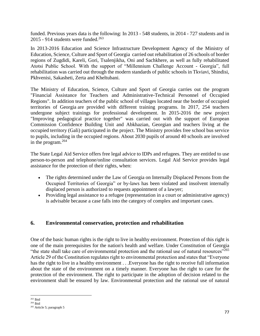funded. Previous years data is the following: In 2013 - 548 students, in 2014 - 727 students and in 2015 - 914 students were funded. $263$ 

In 2013-2016 Education and Science Infrastructure Development Agency of the Ministry of Education, Science, Culture and Sport of Georgia carried out rehabilitation of 26 schools of border regions of Zugdidi, Kareli, Gori, Tsalenjikha, Oni and Sachkhere, as well as fully rehabilitated Atotsi Public School. With the support of "Millennium Challenge Account - Georgia", full rehabilitation was carried out through the modern standards of public schools in Tkviavi, Shindisi, Pkhvenisi, Sakasheti, Zerta and Kheltubani.

The Ministry of Education, Science, Culture and Sport of Georgia carries out the program "Financial Assistance for Teachers and Administrative-Technical Personnel of Occupied Regions". In addition teachers of the public school of villages located near the border of occupied territories of Georgia are provided with different training programs. In 2017, 254 teachers undergone subject trainings for professional development. In 2015-2016 the new project "Improving pedagogical practice together" was carried out with the support of European Commission Confidence Building Unit and Abkhazian, Georgian and teachers living at the occupied territory (Gali) participated in the project. The Ministry provides free school bus service to pupils, including in the occupied regions. About 2030 pupils of around 40 schools are involved in the program. $264$ 

The State Legal Aid Service offers free legal advice to IDPs and refugees. They are entitled to use person-to-person and telephone/online consultation services. Legal Aid Service provides legal assistance for the protection of their rights, when:

- The rights determined under the Law of Georgia on Internally Displaced Persons from the Occupied Territories of Georgia" or by-laws has been violated and insolvent internally displaced person is authorized to requests appointment of a lawyer;
- Providing legal assistance to a refugee (representation in a court or administrative agency) is advisable because a case falls into the category of complex and important cases.

### **6. Environmental conservation, protection and rehabilitation**

One of the basic human rights is the right to live in healthy environment. Protection of this right is one of the main prerequisites for the nation's health and welfare. Under Constitution of Georgia "the state shall take care of environmental protection and the rational use of natural resources"<sup>265</sup> Article 29 of the Constitution regulates right to environmental protection and states that "Everyone has the right to live in a healthy environment . . .Everyone has the right to receive full information about the state of the environment on a timely manner. Everyone has the right to care for the protection of the environment. The right to participate in the adoption of decision related to the environment shall be ensured by law. Environmental protection and the rational use of natural

 $\overline{a}$  $263$  Ibid

 $^{\rm 264}$  Ibid

<sup>&</sup>lt;sup>265</sup> Article 5; paragraph 5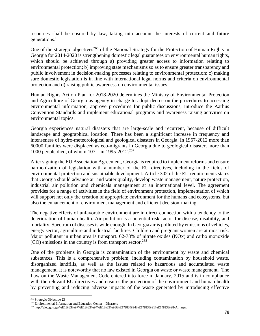resources shall be ensured by law, taking into account the interests of current and future generations."

One of the strategic objectives<sup>266</sup> of the National Strategy for the Protection of Human Rights in Georgia for 2014-2020 is strengthening domestic legal guarantees on environmental human rights, which should be achieved through a) providing greater access to information relating to environmental protection; b) improving state mechanisms so as to ensure greater transparency and public involvement in decision-making processes relating to environmental protection; c) making sure domestic legislation is in line with international legal norms and criteria on environmental protection and d) raising public awareness on environmental issues.

Human Rights Action Plan for 2018-2020 determines the Ministry of Environmental Protection and Agriculture of Georgia as agency in charge to adopt decree on the procedures to accessing environmental information, approve procedures for public discussions, introduce the Aarhus Convention Standards and implement educational programs and awareness raising activities on environmental topics.

Georgia experiences natural disasters that are large-scale and recurrent, because of difficult landscape and geographical location. There has been a significant increase in frequency and intenseness of hydro-meteorological and geological disasters in Georgia. In 1967-2012 more than 60000 families were displaced as eco-migrants in Georgia due to geological disaster, more than 1000 people died, of whom  $107 - in 1995-2012.<sup>267</sup>$ 

After signing the EU Association Agreement, Georgia is required to implement reforms and ensure harmonization of legislation with a number of the EU directives, including in the fields of environmental protection and sustainable development. Article 302 of the EU requirements states that Georgia should advance air and water quality, develop waste management, nature protection, industrial air pollution and chemicals management at an international level. The agreement provides for a range of activities in the field of environment protection, implementation of which will support not only the creation of appropriate environment for the humans and ecosystems, but also the enhancement of environment management and efficient decision-making.

The negative effects of unfavorable environment are in direct connection with a tendency to the deterioration of human health. Air pollution is a potential risk-factor for disease, disability, and mortality. Spectrum of diseases is wide enough. In Georgia air is polluted by emissions of vehicles, energy sector, agriculture and industrial facilities. Children and pregnant women are at most risk. Major pollutant in urban area is transport. 62-78% of nitrate oxides (NOx) and carbo monoxide (CO) emissions in the country is from transport sector.<sup>268</sup>

One of the problems in Georgia is contamination of the environment by waste and chemical substances. This is a comprehensive problem, including contamination by household waste, disorganized landfills, as well as the issues related to hazardous and accumulated waste management. It is noteworthy that no law existed in Georgia on waste or waste management. The Law on the Waste Management Code entered into force in January, 2015 and is in compliance with the relevant EU directives and ensures the protection of the environment and human health by preventing and reducing adverse impacts of the waste generated by introducing effective

 $\overline{a}$ <sup>266</sup> Strategic Objective 23

<sup>267</sup> Environmental Information and Education Center – Disasters

<sup>268</sup> http://eiec.gov.ge/%E1%83%97%E1%83%94%E1%83%9B%E1%83%94%E1%83%91%E1%83%98/Air.aspx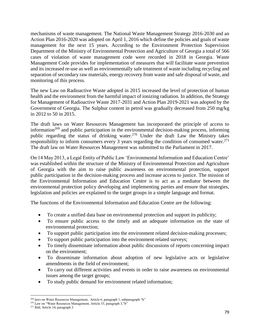mechanisms of waste management. The National Waste Management Strategy 2016-2030 and an Action Plan 2016-2020 was adopted on April 1, 2016 which define the policies and goals of waste management for the next 15 years. According to the Environment Protection Supervision Department of the Ministry of Environmental Protection and Agriculture of Georgia a total of 566 cases of violation of waste management code were recorded in 2018 in Georgia. Waste Management Code provides for implementation of measures that will facilitate waste prevention and its increased re-use as well as environmentally safe treatment of waste including recycling and separation of secondary raw materials, energy recovery from waste and safe disposal of waste, and monitoring of this process.

The new Law on Radioactive Waste adopted in 2015 increased the level of protection of human health and the environment from the harmful impact of ionizing radiation. In addition, the Strategy for Management of Radioactive Waste 2017-2031 and Action Plan 2019-2021 was adopted by the Government of Georgia. The Sulphur content in petrol was gradually decreased from 250 mg/kg in 2012 to 50 in 2015.

The draft laws on Water Resources Management has incorporated the principle of access to information<sup>269</sup> and public participation in the environmental decision-making process, informing public regarding the status of drinking water.<sup>270</sup> Under the draft Law the Ministry takes responsibility to inform consumers every 3 years regarding the condition of consumed water.<sup>271</sup> The draft law on Water Resources Management was submitted to the Parliament in 2017.

On 14 May 2013, a Legal Entity of Public Law 'Environmental Information and Education Centre' was established within the structure of the Ministry of Environmental Protection and Agriculture of Georgia with the aim to raise public awareness on environmental protection, support public participation in the decision-making process and increase access to justice. The mission of the Environmental Information and Education Centre is to act as a mediator between the environmental protection policy developing and implementing parties and ensure that strategies, legislation and policies are explained to the target groups in a simple language and format.

The functions of the Environmental Information and Education Centre are the following:

- To create a unified data base on environmental protection and support its publicity;
- To ensure public access to the timely and an adequate information on the state of environmental protection;
- To support public participation into the environment related decision-making processes;
- To support public participation into the environment related surveys;
- To timely disseminate information about public discussions of reports concerning impact on the environment;
- To disseminate information about adoption of new legislative acts or legislative amendments in the field of environment;
- To carry out different activities and events in order to raise awareness on environmental issues among the target groups;
- To study public demand for environment related information;

 $\overline{a}$ <sup>269</sup> laws on Water Resources Management, Article 6, paragraph 1, subparagraph "h"

<sup>&</sup>lt;sup>270</sup> Law on "Water Resources Management, Article 33, paragraph 3,"b"

<sup>271</sup> Ibid, Article 14, paragraph 3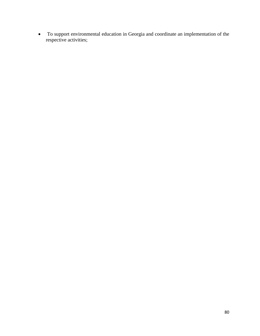• To support environmental education in Georgia and coordinate an implementation of the respective activities;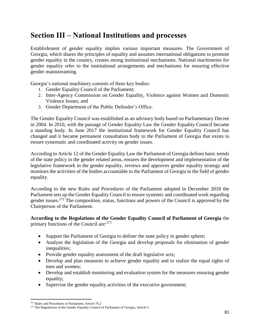# **Section III – National Institutions and processes**

Establishment of gender equality implies various important measures. The Government of Georgia, which shares the principles of equality and assumes international obligations to promote gender equality in the country, creates strong institutional mechanisms. National machineries for gender equality refer to the institutional arrangements and mechanisms for ensuring effective gender mainstreaming.

Georgia's national machinery consists of three key bodies:

- 1. Gender Equality Council of the Parliament;
- 2. Inter-Agency Commission on Gender Equality, Violence against Women and Domestic Violence Issues; and
- 3. Gender Department of the Public Defender's Office.

The Gender Equality Council was established as an advisory body based on Parliamentary Decree in 2004. In 2010, with the passage of Gender Equality Law the Gender Equality Council became a standing body. In June 2017 the institutional framework for Gender Equality Council has changed and it became permanent consultation body to the Parliament of Georgia that exists to ensure systematic and coordinated activity on gender issues.

According to Article 12 of the Gender Equality Law the Parliament of Georgia defines basic trends of the state policy in the gender related areas, ensures the development and implementation of the legislative framework in the gender equality, reviews and approves gender equality strategy and monitors the activities of the bodies accountable to the Parliament of Georgia in the field of gender equality.

According to the new Rules and Procedures of the Parliament adopted in December 2018 the Parliament sets up the Gender Equality Council to ensure systemic and coordinated work regarding gender issues.<sup>272</sup> The composition, status, functions and powers of the Council is approved by the Chairperson of the Parliament.

#### **According to the Regulations of the Gender Equality Council of Parliament of Georgia** the primary functions of the Council are: <sup>273</sup>

- Support the Parliament of Georgia to definer the state policy in gender sphere;
- Analyze the legislation of the Georgia and develop proposals for elimination of gender inequalities;
- Provide gender equality assessment of the draft legislative acts;
- Develop and plan measures to achieve gender equality and to realize the equal rights of men and women;
- Develop and establish monitoring and evaluation system for the measures ensuring gender equality;
- Supervise the gender equality activities of the executive government;

 $\overline{\phantom{a}}$ <sup>272</sup> Rules and Procedures of Parliament; Article 76.2

<sup>&</sup>lt;sup>273</sup> The Regulations of the Gender Equality Council of Parliament of Georgia, Article 3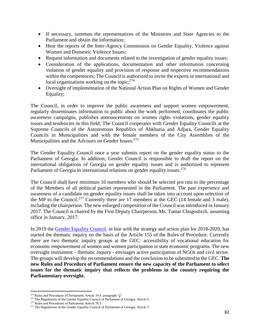- If necessary, summon the representatives of the Ministries and State Agencies to the Parliament and obtain the information;
- Hear the reports of the Inter-Agency Commission on Gender Equality, Violence against Women and Domestic Violence Issues;
- Request information and documents related to the investigation of gender equality issues;
- Consideration of the applications, documentation and other information concerning violation of gender equality and provision of response and respective recommendations within the competences; The Council is authorized to invite the experts or international and local organizations working on the topic; $^{274}$
- Oversight of implementation of the National Action Plan on Rights of Women and Gender Equality;

The Council, in order to improve the public awareness and support women empowerment, regularly disseminates information to public about the work performed, coordinates the public awareness campaigns, publishes announcements on women rights violations, gender equality issues and tendencies in this field; The Council cooperates with Gender Equality Councils at the Supreme Councils of the Autonomous Republics of Abkhazia and Adjara, Gender Equality Councils in Municipalities and with the female members of the City Assemblies of the Municipalities and the Advisors on Gender Issues.<sup>275</sup>

The Gender Equality Council once a year submits report on the gender equality status to the Parliament of Georgia. In addition, Gender Council is responsible to draft the report on the international obligations of Georgia on gender equality issues and is authorized to represent Parliament of Georgia in international relations on gender equality issues.<sup>276</sup>

The Council shall have minimum 10 members who should be selected pro rata to the percentage of the Members of all political parties represented in the Parliament. The past experience and awareness of a candidate on gender equality issues shall be taken into account upon selection of the MP to the Council.<sup>277</sup> Currently there are 17 members at the GEC (14 female and 3 male), including the chairperson. The new enlarged composition of the Council was introduced in January 2017. The Council is chaired by the First Deputy Chairperson, Ms. Tamar Chugoshvili, assuming office in January, 2017.

In 2019 the [Gender Equality Council,](http://parliament.ge/en/saparlamento-saqmianoba/komisiebi-da-sabchoebi-8/genderuli-tanasworobis-sabcho) in line with the strategy and action plan for 2018-2020, has started the thematic inquiry on the basis of the Article 155 of the Rules of Procedure. Currently there are two thematic inquiry groups at the GEC: accessibility of vocational education for economic empowerment of women and women participation in state economic programs. The new oversight instrument – thematic inquiry - envisages active participation of NGOs and civil sector. The groups will develop the recommendations and the conclusion to be submitted to the GEC. **The new Rules and Procedure of Parliament ensure the new capacity of the Parliament to select issues for the thematic inquiry that reflects the problems in the country requiring the Parliamentary oversight.** 

 $\overline{a}$ <sup>274</sup> Rules and Procedures of Parliament; Article 76.4. paragraph "g"

<sup>&</sup>lt;sup>275</sup> The Regulations of the Gender Equality Council of Parliament of Georgia, Article 4

<sup>276</sup> Rules and Procedures of Parliament; Article 76.5

<sup>&</sup>lt;sup>277</sup> The Regulations of the Gender Equality Council of Parliament of Georgia, Article 7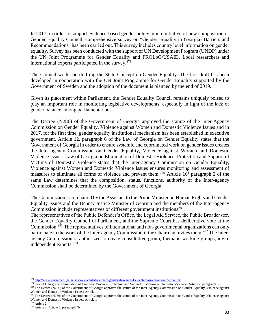In 2017, in order to support evidence-based gender policy, upon initiative of new composition of Gender Equality Council, comprehensive survey on "Gender Equality in Georgia- Barriers and Recommendations" has been carried out. This survey includes country level information on gender equality. Survey has been conducted with the support of UN Development Program (UNDP) under the UN Joint Programme for Gender Equality and PROLoG/USAID. Local researchers and international experts participated in the survey.<sup>278</sup>

The Council works on drafting the State Concept on Gender Equality. The first draft has been developed in cooperation with the UN Joint Programme for Gender Equality supported by the Government of Sweden and the adoption of the document is planned by the end of 2019.

Given its placement within Parliament, the Gender Equality Council remains uniquely poised to play an important role in monitoring legislative developments, especially in light of the lack of gender balance among parliamentarians.

The Decree (N286) of the Government of Georgia approved the statute of the Inter-Agency Commission on Gender Equality, Violence against Women and Domestic Violence Issues and in 2017, for the first time, gender equality institutional mechanism has been established in executive government. Article 12, paragraph 6 of the Law of Georgia on Gender Equality states that the Government of Georgia in order to ensure systemic and coordinated work on gender issues creates the Inter-agency Commission on Gender Equality, Violence against Women and Domestic Violence Issues. Law of Georgia on Elimination of Domestic Violence, Protection and Support of Victims of Domestic Violence states that the Inter-agency Commission on Gender Equality, Violence against Women and Domestic Violence Issues ensures monitoring and assessment of measures to eliminate all forms of violence and prevent them.<sup>279</sup> Article  $16<sup>1</sup>$  paragraph 2 of the same Law determines that the composition, status, functions, authority of the Inter-agency Commission shall be determined by the Government of Georgia.

The Commission is co-chaired by the Assistant to the Prime Minister on Human Rights and Gender Equality Issues and the Deputy Justice Minister of Georgia and the members of the Inter-agency Commission include representatives of different government institutions<sup>280</sup>.

The representatives of the Public Defender's Office, the Legal Aid Service, the Public Broadcaster, the Gender Equality Council of Parliament, and the Supreme Court has deliberative vote at the Commission.<sup>281</sup> The representatives of international and non-governmental organizations can only participate in the work of the Inter-agency Commission if the Chairman invites them.<sup>282</sup> The Interagency Commission is authorized to create consultative group, thematic working groups, invite independent experts. 283

<sup>282</sup> Article 2

 $\overline{\phantom{a}}$ <sup>278</sup> <http://www.parliament.ge/ge/sascavlo-centri/resursebi/genderuli-resursi/kvlevebi/barriers-recommendations>

<sup>&</sup>lt;sup>279</sup> Law of Georgia on Elimination of Domestic Violence, Protection and Support of Victims of Domestic Violence; Article 7; paragraph 3

<sup>&</sup>lt;sup>280</sup> The Decree (N286) of the Government of Georgia approves the statute of the Inter-Agency Commission on Gender Equality, Violence against Women and Domestic Violence Issues; Article 1

<sup>&</sup>lt;sup>281</sup> The Decree (N286) of the Government of Georgia approves the statute of the Inter-Agency Commission on Gender Equality, Violence against Women and Domestic Violence Issues; Article 1

<sup>283</sup> Article 3; Article 5, paragraph "b"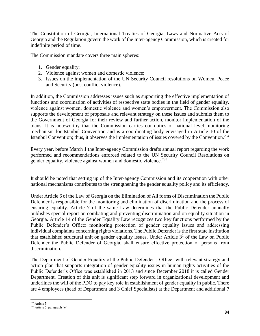The Constitution of Georgia, International Treaties of Georgia, Laws and Normative Acts of Georgia and the Regulation govern the work of the Inter-agency Commission, which is created for indefinite period of time.

The Commission mandate covers three main spheres:

- 1. Gender equality;
- 2. Violence against women and domestic violence;
- 3. Issues on the implementation of the UN Security Council resolutions on Women, Peace and Security (post conflict violence).

In addition, the Commission addresses issues such as supporting the effective implementation of functions and coordination of activities of respective state bodies in the field of gender equality, violence against women, domestic violence and women's empowerment. The Commission also supports the development of proposals and relevant strategy on these issues and submits them to the Government of Georgia for their review and further action, monitor implementation of the plans. It is noteworthy that the Commission carries out duties of national level monitoring mechanism for Istanbul Convention and is a coordinating body envisaged in Article 10 of the Istanbul Convention; thus, it observes the implementation of issues covered by the Convention.<sup>284</sup>

Every year, before March 1 the Inter-agency Commission drafts annual report regarding the work performed and recommendations enforced related to the UN Security Council Resolutions on gender equality, violence against women and domestic violence.<sup>285</sup>

It should be noted that setting up of the Inter-agency Commission and its cooperation with other national mechanisms contributes to the strengthening the gender equality policy and its efficiency.

Under Article 6 of the Law of Georgia on the Elimination of All forms of Discrimination the Public Defender is responsible for the monitoring and elimination of discrimination and the process of ensuring equality. Article 7 of the same Law determines that the Public Defender annually publishes special report on combating and preventing discrimination and on equality situation in Georgia. Article 14 of the Gender Equality Law recognizes two key functions performed by the Public Defender's Office: monitoring protection of gender equality issues and addressing individual complaints concerning rights violations. The Public Defender is the first state institution that established structural unit on gender equality issues. Under Article  $3<sup>1</sup>$  of the Law on Public Defender the Public Defender of Georgia, shall ensure effective protection of persons from discrimination.

The Department of Gender Equality of the Public Defender's Office -with relevant strategy and action plan that supports integration of gender equality issues in human rights activities of the Public Defender's Office was established in 2013 and since December 2018 it is called Gender Department. Creation of this unit is significant step forward in organizational development and underlines the will of the PDO to pay key role in establishment of gender equality in public. There are 4 employees (head of Department and 3 Chief Specialists) at the Department and additional 7

 $\overline{\phantom{a}}$ <sup>284</sup> Article 5

<sup>&</sup>lt;sup>285</sup> Article 5, paragraph "e"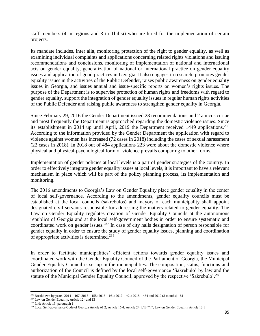staff members (4 in regions and 3 in Tbilisi) who are hired for the implementation of certain projects.

Its mandate includes, inter alia, monitoring protection of the right to gender equality, as well as examining individual complaints and applications concerning related rights violations and issuing recommendations and conclusions, monitoring of implementation of national and international acts on gender equality, generalization of national or international practice on gender equality issues and application of good practices in Georgia. It also engages in research, promotes gender equality issues in the activities of the Public Defender, raises public awareness on gender equality issues in Georgia, and issues annual and issue-specific reports on women's rights issues. The purpose of the Department is to supervise protection of human rights and freedoms with regard to gender equality, support the integration of gender equality issues in regular human rights activities of the Public Defender and raising public awareness to strengthen gender equality in Georgia.

Since February 29, 2016 the Gender Department issued 28 recommendations and 2 amicus curiae and most frequently the Department is approached regarding the domestic violence issues. Since its establishment in 2014 up until April, 2019 the Department received 1449 applications.<sup>286</sup> According to the information provided by the Gender Department the application with regard to violence against women has increased (72 cases in 2018) including the cases of sexual harassment (22 cases in 2018). In 2018 out of 484 applications 223 were about the domestic violence where physical and physical-psychological form of violence prevails comparing to other forms.

Implementation of gender policies at local levels is a part of gender strategies of the country. In order to effectively integrate gender equality issues at local levels, it is important to have a relevant mechanism in place which will be part of the policy planning process, its implementation and monitoring.

The 2016 amendments to Georgia's Law on Gender Equality place gender equality in the center of local self-governance. According to the amendments, gender equality councils must be established at the local councils (sakrebulos) and mayors of each municipality shall appoint designated civil servants responsible for addressing the matters related to gender equality. The Law on Gender Equality regulates creation of Gender Equality Councils at the autonomous republics of Georgia and at the local self-government bodies in order to ensure systematic and coordinated work on gender issues.<sup>287</sup> In case of city halls designation of person responsible for gender equality in order to ensure the study of gender equality issues, planning and coordination of appropriate activities is determined.<sup>288</sup>

In order to facilitate municipalities' efficient actions towards gender equality issues and coordinated work with the Gender Equality Council of the Parliament of Georgia, the Municipal Gender Equality Council is set up in the municipalities. The composition, status, functions and authorization of the Council is defined by the local self-governance 'Sakrebulo' by law and the statute of the Municipal Gender Equality Council, approved by the respective 'Sakrebulo'.<sup>289</sup>

l <sup>286</sup> Breakdown by years: 2014 – 167; 2015 – 155; 2016 – 161; 2017 – 401; 2018 – 484 and 2019 (3 months) - 81

 $287$  Law on Gender Equality, Article  $12<sup>1</sup>$  and 13

<sup>&</sup>lt;sup>288</sup> Ibid; Article 13; paragraph  $1<sup>1</sup>$ 

<sup>&</sup>lt;sup>289</sup> Local Self-governance Code of Georgia Article 61.2; Article 16.4; Article 24.1."B""h"; Law on Gender Equality Article 13.1<sup>1</sup>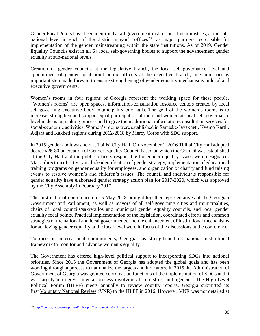Gender Focal Points have been identified at all government institutions, line ministries, at the subnational level in each of the district mayor's offices<sup>290</sup> as major partners responsible for implementation of the gender mainstreaming within the state institutions. As of 2019, Gender Equality Councils exist in all 64 local self-governing bodies to support the advancement gender equality at sub-national levels.

Creation of gender councils at the legislative branch, the local self-governance level and appointment of gender focal point public officers at the executive branch, line ministries is important step made forward to ensure strengthening of gender equality mechanisms in local and executive governments.

Women's rooms in four regions of Georgia represent the working space for these people. "Women's rooms" are open spaces, information-consultation resource centers created by local self-governing executive body, municipality city halls. The goal of the women's rooms is to increase, strengthen and support equal participation of men and women at local self-governance level in decision making process and to give them additional information-consultation services for social-economic activities. Women's rooms were established in Samtske-Javakheti, Kvemo Kartli, Adjara and Kakheti regions during 2012-2018 by Mercy Corps with SDC support.

In 2015 gender audit was held at Tbilisi City Hall. On November 1, 2016 Tbilisi City Hall adopted decree #26-80 on creation of Gender Equality Council based on which the Council was established at the City Hall and the public officers responsible for gender equality issues were designated. Major direction of activity include identification of gender strategy, implementation of educational training programs on gender equality for employees, and organization of charity and fund raising events to resolve women's and children's issues. The council and individuals responsible for gender equality have elaborated gender strategy action plan for 2017-2020, which was approved by the City Assembly in February 2017.

The first national conference on 15 May 2018 brought together representatives of the Georgian Government and Parliament, as well as mayors of all self-governing cities and municipalities, chairs of local councils/sakrebulos and municipal gender equality councils, and local gender equality focal points. Practical implementation of the legislation, coordinated efforts and common strategies of the national and local governments, and the enhancement of institutional mechanisms for achieving gender equality at the local level were in focus of the discussions at the conference.

To meet its international commitments, Georgia has strengthened its national institutional framework to monitor and advance women's equality.

The Government has offered high-level political support to incorporating SDGs into national priorities. Since 2015 the Government of Georgia has adopted the global goals and has been working through a process to nationalize the targets and indicators. In 2015 the Administration of Government of Georgia was granted coordination functions of the implementation of SDGs and it was largely intra-governmental process involving all ministries and agencies. The High-Level Political Forum (HLPF) meets annually to review country reports. Georgia submitted its first [Voluntary](https://sustainabledevelopment.un.org/content/documents/1511Georgia%20national%20reviews.pdf) National Review (VNR) to the HLPF in 2016. However, VNR was not detailed at

 $\overline{\phantom{a}}$  $^{290}$  [http://www.ginsc.net/map\\_html/index.php?lev=0&cat=0&sub=0&lang=en](http://www.ginsc.net/map_html/index.php?lev=0&cat=0&sub=0&lang=en)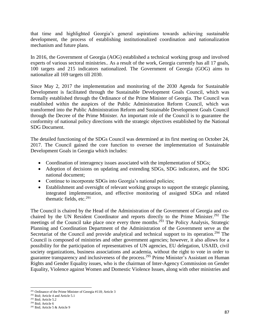that time and highlighted Georgia's general aspirations towards achieving sustainable development, the process of establishing institutionalized coordination and nationalization mechanism and future plans.

In 2016, the Government of Georgia (AOG) established a technical working group and involved experts of various sectoral ministries.. As a result of the work, Georgia currently has all 17 goals, 100 targets and 215 indicators nationalized. The Government of Georgia (GOG) aims to nationalize all 169 targets till 2030.

Since May 2, 2017 the implementation and monitoring of the 2030 Agenda for Sustainable Development is facilitated through the Sustainable Development Goals Council, which was formally established through the Ordinance of the Prime Minister of Georgia. The Council was established within the auspices of the Public Administration Reform Council, which was transformed into the Public Administration Reform and Sustainable Development Goals Council through the Decree of the Prime Minister. An important role of the Council is to guarantee the conformity of national policy directions with the strategic objectives established by the National SDG Document.

The detailed functioning of the SDGs Council was determined at its first meeting on October 24, 2017. The Council gained the core function to oversee the implementation of Sustainable Development Goals in Georgia which includes:

- Coordination of interagency issues associated with the implementation of SDGs;
- Adoption of decisions on updating and extending SDGs, SDG indicators, and the SDG national document;
- Continue to incorporate SDGs into Georgia's national policies;
- Establishment and oversight of relevant working groups to support the strategic planning, integrated implementation, and effective monitoring of assigned SDGs and related thematic fields, etc. $^{291}$

The Council is chaired by the Head of the Administration of the Government of Georgia and cochaired by the UN Resident Coordinator and reports directly to the Prime Minister.<sup>292</sup> The meetings of the Council take place once every three months.<sup>293</sup> The Policy Analysis, Strategic Planning and Coordination Department of the Administration of the Government serve as the Secretariat of the Council and provide analytical and technical support to its operation.<sup>294</sup> The Council is composed of ministries and other government agencies; however, it also allows for a possibility for the participation of representatives of UN agencies, EU delegation, USAID, civil society organizations, business associations and academia, without the right to vote in order to guarantee transparency and inclusiveness of the process.<sup>295</sup> Prime Minister's Assistant on Human Rights and Gender Equality issues, who is the chairman of Inter-Agency Commission on Gender Equality, Violence against Women and Domestic Violence Issues, along with other ministries and

 $\overline{a}$ 

<sup>&</sup>lt;sup>291</sup> Ordinance of the Prime Minister of Georgia #118; Article 3

 $292$  Ibid; Article 4 and Article 5.1

<sup>293</sup> Ibid; Article 5.2

<sup>294</sup> Ibid; Article 6

<sup>295</sup> Ibid; Article 5 & Article 9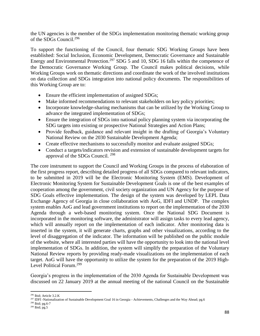the UN agencies is the member of the SDGs implementation monitoring thematic working group of the SDGs Council.<sup>296</sup>

To support the functioning of the Council, four thematic SDG Working Groups have been established: Social Inclusion, Economic Development, Democratic Governance and Sustainable Energy and Environmental Protection.<sup>297</sup> SDG 5 and 10, SDG 16 falls within the competence of the Democratic Governance Working Group. The Council makes political decisions, while Working Groups work on thematic directions and coordinate the work of the involved institutions on data collection and SDGs integration into national policy documents. The responsibilities of this Working Group are to:

- Ensure the efficient implementation of assigned SDGs;
- Make informed recommendations to relevant stakeholders on key policy priorities;
- Incorporate knowledge-sharing mechanisms that can be utilized by the Working Group to advance the integrated implementation of SDGs;
- Ensure the integration of SDGs into national policy planning system via incorporating the SDG targets into existing or prospective National Strategies and Action Plans;
- Provide feedback, guidance and relevant insight in the drafting of Georgia's Voluntary National Review on the 2030 Sustainable Development Agenda;
- Create effective mechanisms to successfully monitor and evaluate assigned SDGs;
- Conduct a targets/indicators revision and extension of sustainable development targets for approval of the SDGs Council. <sup>298</sup>

The core instrument to support the Council and Working Groups in the process of elaboration of the first progress report, describing detailed progress of all SDGs compared to relevant indicators, to be submitted in 2019 will be the Electronic Monitoring System (EMS). Development of Electronic Monitoring System for Sustainable Development Goals is one of the best examples of cooperation among the government, civil society organization and UN Agency for the purpose of SDG Goals effective implementation. The design of the system was developed by LEPL Data Exchange Agency of Georgia in close collaboration with AoG, IDFI and UNDP. The complex system enables AoG and lead government institutions to report on the implementation of the 2030 Agenda through a web-based monitoring system. Once the National SDG Document is incorporated in the monitoring software, the administrator will assign tasks to every lead agency, which will annually report on the implementation of each indicator. After monitoring data is inserted in the system, it will generate charts, graphs and other visualizations, according to the level of disaggregation of the indicator. The information will be published on the public module of the website, where all interested parties will have the opportunity to look into the national level implementation of SDGs. In addition, the system will simplify the preparation of the Voluntary National Review reports by providing ready-made visualizations on the implementation of each target. AoG will have the opportunity to utilize the system for the preparation of the 2019 High-Level Political Forum.<sup>299</sup>

Georgia's progress in the implementation of the 2030 Agenda for Sustainable Development was discussed on 22 January 2019 at the annual meeting of the national Council on the Sustainable

l <sup>296</sup> Ibid; Article 3.2.K

<sup>&</sup>lt;sup>297</sup> IDFI -Nationalization of Sustainable Development Goal 16 in Georgia - Achievements, Challenges and the Way Ahead; pg.6

<sup>298</sup> Ibid; pg.6-7

 $^{299}$  Ibid; pg.5  $\,$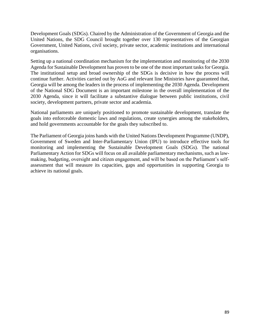Development Goals (SDGs). Chaired by the Administration of the Government of Georgia and the United Nations, the SDG Council brought together over 130 representatives of the Georgian Government, United Nations, civil society, private sector, academic institutions and international organisations.

Setting up a national coordination mechanism for the implementation and monitoring of the 2030 Agenda for Sustainable Development has proven to be one of the most important tasks for Georgia. The institutional setup and broad ownership of the SDGs is decisive in how the process will continue further. Activities carried out by AoG and relevant line Ministries have guaranteed that, Georgia will be among the leaders in the process of implementing the 2030 Agenda. Development of the National SDG Document is an important milestone in the overall implementation of the 2030 Agenda, since it will facilitate a substantive dialogue between public institutions, civil society, development partners, private sector and academia.

National parliaments are uniquely positioned to promote sustainable development, translate the goals into enforceable domestic laws and regulations, create synergies among the stakeholders, and hold governments accountable for the goals they subscribed to.

The Parliament of Georgia joins hands with the United Nations Development Programme (UNDP), Government of Sweden and Inter-Parliamentary Union (IPU) to introduce effective tools for monitoring and implementing the Sustainable Development Goals (SDGs). The national Parliamentary Action for SDGs will focus on all available parliamentary mechanisms, such as lawmaking, budgeting, oversight and citizen engagement, and will be based on the Parliament's selfassessment that will measure its capacities, gaps and opportunities in supporting Georgia to achieve its national goals.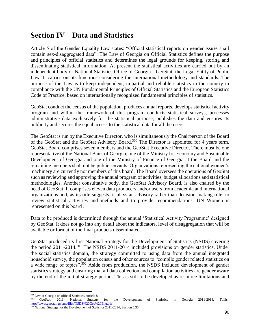## **Section IV – Data and Statistics**

Article 5 of the Gender Equality Law states: "Official statistical reports on gender issues shall contain sex-disaggregated data". The Law of Georgia on Official Statistics defines the purpose and principles of official statistics and determines the legal grounds for keeping, storing and disseminating statistical information. At present the statistical activities are carried out by an independent body of National Statistics Office of Georgia - GeoStat, the Legal Entity of Public Law. It carries out its functions considering the international methodology and standards. The purpose of the Law is to keep independent, impartial and reliable statistics in the country in compliance with the UN Fundamental Principles of Official Statistics and the European Statistics Code of Practice, based on internationally recognized fundamental principles of statistics.

GeoStat conduct the census of the population, produces annual reports, develops statistical activity program and within the framework of this program conducts statistical surveys, processes administrative data exclusively for the statistical purpose; publishes the data and ensures its publicity and secures the equal access to the statistical data for all the users.

The GeoStat is run by the Executive Director, who is simultaneously the Chairperson of the Board of the GeoStat and the GeoStat Advisory Board.<sup>300</sup> The Director is appointed for 4 years term. GeoStat Board comprises seven members and the GeoStat Executive Director. There must be one representative of the National Bank of Georgia, one of the Ministry for Economy and Sustainable Development of Georgia and one of the Ministry of Finance of Georgia at the Board and the remaining members shall not be public servants. Organizations representing the national women's machinery are currently not members of this board. The Board oversees the operations of GeoStat such as reviewing and approving the annual program of activities, budget allocations and statistical methodologies. Another consultative body, the GeoStat Advisory Board, is also chaired by the head of GeoStat. It comprises eleven data producers and/or users from academia and international organizations and, as its title suggests, it plays an advisory rather than decision-making role; to review statistical activities and methods and to provide recommendations. UN Women is represented on this board .

Data to be produced is determined through the annual 'Statistical Activity Programme' designed by GeoStat. It does not go into any detail about the indicators, level of disaggregation that will be available or format of the final products disseminated.

GeoStat produced its first National Strategy for the Development of Statistics (NSDS) covering the period  $2011$ - $2014$ <sup>301</sup>. The NSDS 2011-2014 included provisions on gender statistics. Under the social statistics domain, the strategy committed to using data from the annual integrated household survey, the population census and other sources to "compile gender related statistics on a wide range of topics".<sup>302</sup> Aside from production, the NSDS included development of gender statistics strategy and ensuring that all data collection and compilation activities are gender aware by the end of the initial strategy period. This is still to be developed as resource limitations and

l <sup>300</sup> Law of Georgia on official Statistics, Article 8

<sup>&</sup>lt;sup>301</sup> GeoStat. 2011. National Strategy for the Development of Statistics in Georgia 2011-2014. Tbilisi. <http://www.geostat.ge/cms/files/NSDS%20Geo%20Eng.pdf>

<sup>&</sup>lt;sup>302</sup> National Strategy for the Development of Statistics 2011-2014; Section 5.36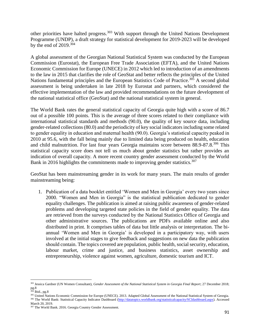other priorities have halted progress.<sup>303</sup> With support through the United Nations Development Programme (UNDP), a draft strategy for statistical development for 2019-2023 will be developed by the end of  $2019.^{304}$ 

A global assessment of the Georgian National Statistical System was conducted by the European Commission (Eurostat), the European Free Trade Association (EFTA), and the United Nations Economic Commission for Europe (UNECE) in 2012 which led to introduction of an amendments to the law in 2015 that clarifies the role of GeoStat and better reflects the principles of the United Nations fundamental principles and the European Statistics Code of Practice.<sup>305</sup> A second global assessment is being undertaken in late 2018 by Eurostat and partners, which considered the effective implementation of the law and provided recommendations on the future development of the national statistical office (GeoStat) and the national statistical system in general.

The World Bank rates the general statistical capacity of Georgia quite high with a score of 86.7 out of a possible 100 points. This is the average of three scores related to their compliance with international statistical standards and methods (90.0), the quality of key source data, including gender-related collections (80.0) and the periodicity of key social indicators including some related to gender equality in education and maternal health (90.0). Georgia's statistical capacity peaked in 2010 at 95.6, with the fall being mainly due to limited data being produced on health, education and child malnutrition. For last four years Georgia maintains score between 88.9-87.8.<sup>306</sup> This statistical capacity score does not tell us much about gender statistics but rather provides an indication of overall capacity. A more recent country gender assessment conducted by the World Bank in 2016 highlights the commitments made to improving gender statistics.<sup>307</sup>

GeoStat has been mainstreaming gender in its work for many years. The main results of gender mainstreaming being:

1. Publication of a data booklet entitled 'Women and Men in Georgia' every two years since 2000. "Women and Men in Georgia" is the statistical publication dedicated to gender equality challenges. The publication is aimed at raising public awareness of gender-related problems and developing targeted state policies in the field of gender equality. The data are retrieved from the surveys conducted by the National Statistics Office of Georgia and other administrative sources. The publications are PDFs available online and also distributed in print. It comprises tables of data but little analysis or interpretation. The biannual 'Women and Men in Georgia' is developed in a participatory way, with users involved at the initial stages to give feedback and suggestions on new data the publication should contain. The topics covered are population, public health, social security, education, labour market, crime and justice, and business statistics, asset ownership and entrepreneurship, violence against women, agriculture, domestic tourism and ICT.

 $\overline{\phantom{a}}$ <sup>303</sup> Jessica Gardner (UN Women Consultant), *Gender Assessment of the National Statistical System in Georgia Final Report*; 27 December 2018; pg.8

 $304$  Ibid., pg. 8

<sup>&</sup>lt;sup>305</sup> United Nations Economic Commission for Europe (UNECE). 2013. Adapted Global Assessment of the National Statistical System of Georgia. <sup>306</sup> The World Bank: Statistical Capacity Indicator Dashboard [\(http://datatopics.worldbank.org/statisticalcapacity/SCIdashboard.aspx\)](http://datatopics.worldbank.org/statisticalcapacity/SCIdashboard.aspx). Accessed March 20, 2019.

<sup>307</sup> The World Bank. 2016. Georgia Country Gender Assessment.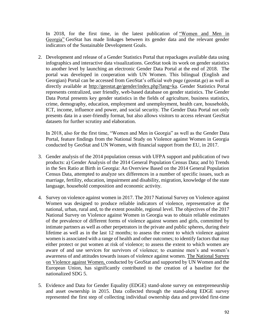In 2018, for the first time, in the latest publication of ["Women](http://geostat.ge/gender/doc/W&M%20ENG-2018.pdf) and Men in [Georgia"](http://geostat.ge/gender/doc/W&M%20ENG-2018.pdf) GeoStat has made linkages between its gender data and the relevant gender indicators of the Sustainable Development Goals.

2. Development and release of a Gender Statistics Portal that repackages available data using infographics and interactive data visualizations. GeoStat took its work on gender statistics to another level by launching an electronic Gender Data Portal at the end of 2018. The portal was developed in cooperation with UN Women. This bilingual (English and Georgian) Portal can be accessed from GeoStat's official web page (geostat.ge) as well as directly available at [http://geostat.ge/gender/index.php?lang=ka.](http://geostat.ge/gender/index.php?lang=ka) Gender Statistics Portal represents centralized, user friendly, web-based database on gender statistics. The Gender Data Portal presents key gender statistics in the fields of agriculture, business statistics, crime, demography, education, employment and unemployment, health care, households, ICT, income, influence and power, and social security. The Gender Data Portal not only presents data in a user-friendly format, but also allows visitors to access relevant GeoStat datasets for further scrutiny and elaboration.

In 2018, also for the first time, "Women and Men in Georgia" as well as the Gender Data Portal, feature findings from the National Study on Violence against Women in Georgia conducted by GeoStat and UN Women, with financial support from the EU, in 2017.

- 3. Gender analysis of the 2014 population census with UFPA support and publication of two products: a) Gender Analysis of the 2014 General Population Census Data; and b) Trends in the Sex Ratio at Birth in Georgia: An Overview Based on the 2014 General Population Census Data, attempted to analyze sex differences in a number of specific issues, such as marriage, fertility, education, impairment and disability, migration, knowledge of the state language, household composition and economic activity.
- 4. Survey on violence against women in 2017. The 2017 National Survey on Violence against Women was designed to produce reliable indicators of violence, representative at the national, urban, rural and, to the extent possible, regional level. The objectives of the 2017 National Survey on Violence against Women in Georgia was to obtain reliable estimates of the prevalence of different forms of violence against women and girls, committed by intimate partners as well as other perpetrators in the private and public spheres, during their lifetime as well as in the last 12 months; to assess the extent to which violence against women is associated with a range of health and other outcomes; to identify factors that may either protect or put women at risk of violence; to assess the extent to which women are aware of and use services for survivors of violence; to examine men's and women's awareness of and attitudes towards issues of violence against women. The [National](http://georgia.unwomen.org/en/digital-library/publications/2018/03/national-study-on-violence-against-women-in-georgia-2017) Survey on [Violence](http://georgia.unwomen.org/en/digital-library/publications/2018/03/national-study-on-violence-against-women-in-georgia-2017) against Women, conducted by GeoStat and supported by UN Women and the European Union, has significantly contributed to the creation of a baseline for the nationalized SDG 5.
- 5. Evidence and Data for Gender Equality (EDGE) stand-alone survey on entrepreneurship and asset ownership in 2015. Data collected through the stand-along EDGE survey represented the first step of collecting individual ownership data and provided first-time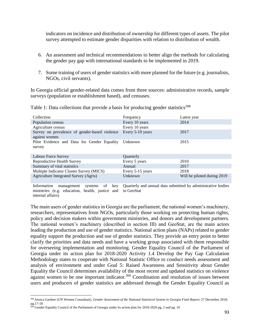indicators on incidence and distribution of ownership for different types of assets. The pilot survey attempted to estimate gender disparities with relation to distribution of wealth.

- 6. An assessment and technical recommendations to better align the methods for calculating the gender pay gap with international standards to be implemented in 2019.
- 7. Some training of users of gender statistics with more planned for the future (e.g. journalists, NGOs, civil servants).

In Georgia official gender-related data comes from three sources: administrative records, sample surveys (population or establishment based), and censuses.

| Collection                                    | Frequency        | Latest year                 |
|-----------------------------------------------|------------------|-----------------------------|
| Population census                             | Every 10 years   | 2014                        |
| Agriculture census                            | Every 10 years   |                             |
| Survey on prevalence of gender-based violence | Every 5-10 years | 2017                        |
| against women                                 |                  |                             |
| Pilot Evidence and Data for Gender Equality   | Unknown          | 2015                        |
| survey                                        |                  |                             |
|                                               |                  |                             |
| Labour Force Survey                           | Quarterly        |                             |
| Reproductive Health Survey                    | Every 5 years    | 2010                        |
| Summary of vital statistics                   | Annual           | 2017                        |
| Multiple Indicator Cluster Survey (MICS)      | Every 5-15 years | 2018                        |
| Agriculture Integrated Survey (Agris)         | Unknown          | Will be piloted during 2019 |
|                                               |                  |                             |

Table 1: Data collections that provide a basis for producing gender statistics $308$ 

Information management systems of key ministries (e.g. education, health, justice and internal affairs) Quarterly and annual data submitted by administrative bodies to GeoStat

The main users of gender statistics in Georgia are the parliament, the national women's machinery, researchers, representatives from NGOs, particularly those working on protecting human rights, policy and decision makers within government ministries, and donors and development partners. The national women's machinery (described in section III) and GeoStat, are the main actors leading the production and use of gender statistics. National action plans (NAPs) related to gender equality support the production and use of gender statistics. They provide an entry point to better clarify the priorities and data needs and have a working group associated with them responsible for overseeing implementation and monitoring. Gender Equality Council of the Parliament of Georgia under its action plan for 2018-2020 Activity 1.4 Develop the Pay Gap Calculation Methodology states to cooperate with National Statistic Office to conduct needs assessment and analysis of environment and under Goal 5: Raised Awareness and Sensitivity about Gender Equality the Council determines availability of the most recent and updated statistics on violence against women to be one important indicator.<sup>309</sup> Coordination and resolution of issues between users and producers of gender statistics are addressed through the Gender Equality Council as

 $\overline{a}$ <sup>308</sup> Jessica Gardner (UN Women Consultant), *Gender Assessment of the National Statistical System in Georgia Final Report*; 27 December 2018;  $pg.17-18$ 

Gender Equality Council of the Parliament of Georgia under its action plan for 2018-2020 pg. 2 and pg. 10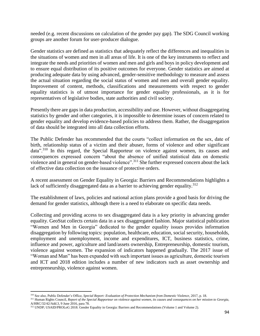needed (e.g. recent discussions on calculation of the gender pay gap). The SDG Council working groups are another forum for user-producer dialogue.

Gender statistics are defined as statistics that adequately reflect the differences and inequalities in the situations of women and men in all areas of life. It is one of the key instruments to reflect and integrate the needs and priorities of women and men and girls and boys in policy development and to ensure equal distribution of its positive outcomes for everyone. Gender statistics are aimed at producing adequate data by using advanced, gender-sensitive methodology to measure and assess the actual situation regarding the social status of women and men and overall gender equality. Improvement of content, methods, classifications and measurements with respect to gender equality statistics is of utmost importance for gender equality professionals, as it is for representatives of legislative bodies, state authorities and civil society.

Presently there are gaps in data production, accessibility and use. However, without disaggregating statistics by gender and other categories, it is impossible to determine issues of concern related to gender equality and develop evidence-based policies to address them. Rather, the disaggregation of data should be integrated into all data collection efforts.

The Public Defender has recommended that the courts "collect information on the sex, date of birth, relationship status of a victim and their abuser, forms of violence and other significant data".<sup>310</sup> In this regard, the Special Rapporteur on violence against women, its causes and consequences expressed concern "about the absence of unified statistical data on domestic violence and in general on gender-based violence".<sup>311</sup> She further expressed concern about the lack of effective data collection on the issuance of protective orders.

A recent assessment on Gender Equality in Georgia: Barriers and Recommendations highlights a lack of sufficiently disaggregated data as a barrier to achieving gender equality.<sup>312</sup>

The establishment of laws, policies and national action plans provide a good basis for driving the demand for gender statistics, although there is a need to elaborate on specific data needs.

Collecting and providing access to sex disaggregated data is a key priority in advancing gender equality. GeoStat collects certain data in a sex disaggregated fashion. Major statistical publication "Women and Men in Georgia" dedicated to the gender equality issues provides information disaggregation by following topics: population, healthcare, education, social security, households, employment and unemployment, income and expenditures, ICT, business statistics, crime, influence and power, agriculture and land/assets ownership, Entrepreneurship, domestic tourism, violence against women. The expansion of indicators happened gradually. The 2017 issue of "Woman and Man" has been expanded with such important issues as agriculture, domestic tourism and ICT and 2018 edition includes a number of new indicators such as asset ownership and entrepreneurship, violence against women.

l

<sup>310</sup> See also, Public Defender's Office, *Special Report: Evaluation of Protection Mechanism from Domestic Violence*, 2017, p. 18.

<sup>&</sup>lt;sup>311</sup> Human Rights Council, *Report of the Special Rapporteur on violence against women, its causes and consequences on her mission to Georgia,* A/HRC/32/42/Add.3, 9 June 2016, para 78.

<sup>&</sup>lt;sup>312</sup> UNDP; USAID/PROLoG 2018. Gender Equality in Georgia: Barriers and Recommendations (Volume 1 and Volume 2).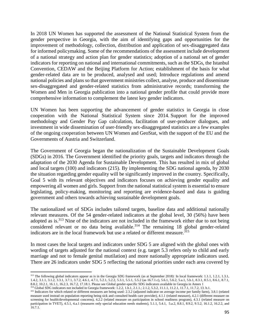In 2018 UN Women has supported the assessment of the National Statistical System from the gender perspective in Georgia, with the aim of identifying gaps and opportunities for the improvement of methodology, collection, distribution and application of sex-disaggregated data for informed policymaking. Some of the recommendations of the assessment include development of a national strategy and action plan for gender statistics; adoption of a national set of gender indicators for reporting on national and international commitments, such as the SDGs, the Istanbul Convention, CEDAW and the Beijing Platform for Action; establishment of the basis for what gender-related data are to be produced, analysed and used; Introduce regulations and amend national policies and plans so that government ministries collect, analyse, produce and disseminate sex-disaggregated and gender-related statistics from administrative records; transforming the Women and Men in Georgia publication into a national gender profile that could provide more comprehensive information to complement the latest key gender indicators.

UN Women has been supporting the advancement of gender statistics in Georgia in close cooperation with the National Statistical System since 2014. Support for the improved methodology and Gender Pay Gap calculation, facilitation of user-producer dialogues, and investment in wide dissemination of user-friendly sex-disaggregated statistics are a few examples of the ongoing cooperation between UN Women and GeoStat, with the support of the EU and the Governments of Austria and Switzerland.

The Government of Georgia began the nationalization of the Sustainable Development Goals (SDGs) in 2016. The Government identified the priority goals, targets and indicators through the adaptation of the 2030 Agenda for Sustainable Development. This has resulted in mix of global and local targets (100) and indicators (215). By implementing the SDG national agenda, by 2030 the situation regarding gender equality will be significantly improved in the country. Specifically, Goal 5 with its relevant objectives and indicators focuses on achieving gender equality and empowering all women and girls. Support from the national statistical system is essential to ensure legislating, policy-making, monitoring and reporting are evidence-based and data is guiding government and others towards achieving sustainable development goals.

The nationalized set of SDGs includes tailored targets, baseline data and additional nationally relevant measures. Of the 54 gender-related indicators at the global level, 30 (56%) have been adopted as is.<sup>313</sup> Nine of the indicators are not included in the framework either due to not being considered relevant or no data being available.<sup>314</sup> The remaining 18 global gender-related indicators are in the local framework but use a related or different measure.<sup>315</sup>

In most cases the local targets and indicators under SDG 5 are aligned with the global ones with wording of targets adjusted for the national context (e.g. target 5.3 refers only to child and early marriage and not to female genital mutilation) and more nationally appropriate indicators used. There are 26 indicators under SDG 5 reflecting the national priorities under each area covered by

 $\overline{\phantom{a}}$ 

<sup>&</sup>lt;sup>313</sup> The following global indicators appear as is in the Georgia SDG framework (as at September 2018): In local framework: 1.1.1, 1.2.1, 1.3.1, 1.4.2, 3.1.1, 3.1.2, 3.3.1, 3.7.1, 3.7.2, 4.6.1, 4.7.1, 5.2.1, 5.2.2, 5.3.1, 5.5.1, 5.5.2 (as 16.7.1.c), 5.6.1, 5.6.2, 5.a.1, 5.b.1, 8.3.1, 8.5.1, 8.6.1, 8.7.1, 8.8.2, 10.2.1, 16.1.1, 16.2.3, 16.7.2, 17.18.1. Please see Global gender-specific SDG indicators available in Georgia in Annex 1

<sup>&</sup>lt;sup>314</sup> Global SDG indicators not included in Georgia framework: 1.2.2, 1.b.1, 2.1.1.; 2.1.2, 5.3.2, 11.1.1, 11.2.1, 11.7.1, 11.7.2, 13. b.1.

<sup>&</sup>lt;sup>315</sup> Indicators for which related or different measures are being used: 2.3.2 (adjusted indicator on average income per family farm), 3.8.1 (related measure used instead on population reporting being sick and consulted health care provider), 4.1.1 (related measure), 4.2.1 (different measure on screening for health/developmental concerns), 4.2.2 (related measure on participation in school readiness program), 4.3.1 (related measure on participation in TVET), 4.5.1, 4.a.1 (measures only special education needs students), 5.1.1, 5.4.1, 5.a.2, 8.8.1, 8.9.2, 9.5.2, 16.1.2, 16.2.2, and 16.7.1.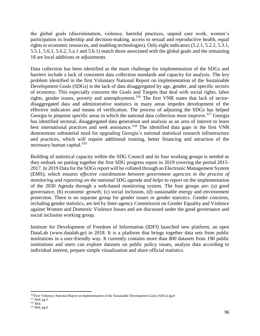the global goals (discrimination, violence, harmful practices, unpaid care work, women's participation in leadership and decision-making, access to sexual and reproductive health, equal rights to economic resources, and enabling technologies). Only eight indicators (5.2.1, 5.2.2, 5.3.1, 5.5.1, 5.6.1, 5.6.2, 5.a.1 and 5.b.1) match those associated with the global goals and the remaining 18 are local additions or adjustments.

Data collection has been identified as the main challenge for implementation of the SDGs and barriers include a lack of consistent data collection standards and capacity for analysis. The key problem identified in the first Voluntary National Report on implementation of the Sustainable Development Goals (SDGs) is the lack of data disaggregated by age, gender, and specific sectors of economy. This especially concerns the Goals and Targets that deal with social rights, labor rights, gender issues, poverty and unemployment.<sup>316</sup> The first VNR states that lack of sectordisaggregated data and administrative statistics in many areas impedes development of the effective indicators and means of verification. The process of adjusting the SDGs has helped Georgia to pinpoint specific areas in which the national data collection must improve.<sup>317</sup> Georgia has identified sectoral, disaggregated data generation and analysis as an area of interest to learn best international practices and seek assistance.<sup>318</sup> The identified data gaps in the first VNR demonstrate substantial need for upgrading Georgia's national statistical research infrastructure and practices, which will require additional training, better financing and attraction of the necessary human capital.<sup>319</sup>

Building of statistical capacity within the SDG Council and its four working groups is needed as they embark on putting together the first SDG progress report in 2019 covering the period 2015- 2017. In 2019 Data for the SDGs report will be collated through an Electronic Management System (EMS), which ensures e*ffective coordination between government agencies in the process of monitoring and reporting on the national SDG agenda and helps* to report on the implementation of the 2030 Agenda through a web-based monitoring system. The four groups are: (a) good governance, (b) economic growth; (c) social inclusion, (d) sustainable energy and environment protection. There is no separate group for gender issues or gender statistics. Gender concerns, including gender statistics, are led by Inter-agency Commission on Gender Equality and Violence against Women and Domestic Violence Issues and are discussed under the good governance and social inclusion working group.

Institute for Development of Freedom of Information (IDFI) launched new platform, an open DataLab [\(www.datalab.ge\)](http://www.datalab.ge/) in 2018. It is a platform that brings together data sets from public institutions in a user-friendly way. It currently contains more than 800 datasets from 190 public institutions and users can explore datasets on public policy issues, analyze data according to individual interest, prepare simple visualization and share official statistics.

l

<sup>&</sup>lt;sup>316</sup>First Voluntary National Report on implementation of the Sustainable Development Goals (SDGs) pg.8

<sup>317</sup> Ibid; pg.3

<sup>318</sup> Ibid;

<sup>319</sup> Ibid, pg.8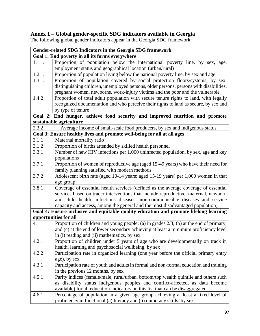#### **Annex 1 – Global gender-specific SDG indicators available in Georgia**

The following global gender indicators appear in the Georgia SDG framework:

| Gender-related SDG Indicators in the Georgia SDG framework |                                                                                           |  |
|------------------------------------------------------------|-------------------------------------------------------------------------------------------|--|
| Goal 1: End poverty in all its forms everywhere            |                                                                                           |  |
| 1.1.1.                                                     | Proportion of population below the international poverty line, by sex, age,               |  |
|                                                            | employment status and geographical location (urban/rural)                                 |  |
| 1.2.1.                                                     | Proportion of population living below the national poverty line, by sex and age           |  |
| 1.3.1.                                                     | Proportion of population covered by social protection floors/systems, by sex,             |  |
|                                                            | distinguishing children, unemployed persons, older persons, persons with disabilities,    |  |
|                                                            | pregnant women, newborns, work-injury victims and the poor and the vulnerable             |  |
| 1.4.2                                                      | Proportion of total adult population with secure tenure rights to land, with legally      |  |
|                                                            | recognized documentation and who perceive their rights to land as secure, by sex and      |  |
|                                                            | by type of tenure                                                                         |  |
|                                                            | Goal 2: End hunger, achieve food security and improved nutrition and promote              |  |
|                                                            | sustainable agriculture                                                                   |  |
| 2.3.2                                                      | Average income of small-scale food producers, by sex and indigenous status                |  |
|                                                            | Goal 3: Ensure healthy lives and promote well-being for all at all ages                   |  |
| 3.1.1                                                      | Maternal mortality ratio                                                                  |  |
| 3.1.2                                                      | Proportion of births attended by skilled health personnel                                 |  |
| 3.3.1                                                      | Number of new HIV infections per 1,000 uninfected population, by sex, age and key         |  |
|                                                            | populations                                                                               |  |
| 3.7.1                                                      | Proportion of women of reproductive age (aged 15-49 years) who have their need for        |  |
|                                                            | family planning satisfied with modern methods                                             |  |
| 3.7.2                                                      | Adolescent birth rate (aged 10-14 years; aged 15-19 years) per 1,000 women in that        |  |
|                                                            | age group                                                                                 |  |
| 3.8.1                                                      | Coverage of essential health services (defined as the average coverage of essential       |  |
|                                                            | services based on tracer interventions that include reproductive, maternal, newborn       |  |
|                                                            | and child health, infectious diseases, non-communicable diseases and service              |  |
|                                                            | capacity and access, among the general and the most disadvantaged population)             |  |
|                                                            | Goal 4: Ensure inclusive and equitable quality education and promote lifelong learning    |  |
|                                                            | opportunities for all                                                                     |  |
| 4.1.1                                                      | Proportion of children and young people: (a) in grades $2/3$ ; (b) at the end of primary; |  |
|                                                            | and (c) at the end of lower secondary achieving at least a minimum proficiency level      |  |
|                                                            | in (i) reading and (ii) mathematics, by sex                                               |  |
| 4.2.1                                                      | Proportion of children under 5 years of age who are developmentally on track in           |  |
|                                                            | health, learning and psychosocial wellbeing, by sex                                       |  |
| 4.2.2                                                      | Participation rate in organized learning (one year before the official primary entry      |  |
|                                                            | age), by sex                                                                              |  |
| 4.3.1                                                      | Participation rate of youth and adults in formal and non-formal education and training    |  |
|                                                            | in the previous 12 months, by sex                                                         |  |
| 4.5.1                                                      | Parity indices (female/male, rural/urban, bottom/top wealth quintile and others such      |  |
|                                                            | as disability status indigenous peoples and conflict-affected, as data become             |  |
|                                                            | available) for all education indicators on this list that can be disaggregated            |  |
| 4.6.1                                                      | Percentage of population in a given age group achieving at least a fixed level of         |  |
|                                                            | proficiency in functional (a) literacy and (b) numeracy skills, by sex                    |  |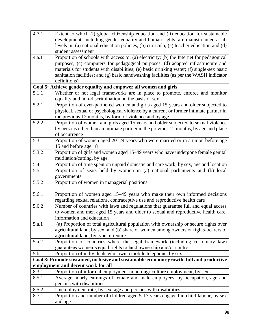| 4.7.1 | Extent to which (i) global citizenship education and (ii) education for sustainable       |
|-------|-------------------------------------------------------------------------------------------|
|       | development, including gender equality and human rights, are mainstreamed at all          |
|       | levels in: (a) national education policies, (b) curricula, (c) teacher education and (d)  |
|       | student assessment                                                                        |
| 4.a.1 | Proportion of schools with access to: (a) electricity; (b) the Internet for pedagogical   |
|       | purposes; (c) computers for pedagogical purposes; (d) adapted infrastructure and          |
|       | materials for students with disabilities; (e) basic drinking water; (f) single-sex basic  |
|       | sanitation facilities; and (g) basic handwashing facilities (as per the WASH indicator    |
|       | definitions)                                                                              |
|       | Goal 5: Achieve gender equality and empower all women and girls                           |
| 5.1.1 | Whether or not legal frameworks are in place to promote, enforce and monitor              |
|       | equality and non-discrimination on the basis of sex                                       |
| 5.2.1 | Proportion of ever-partnered women and girls aged 15 years and older subjected to         |
|       | physical, sexual or psychological violence by a current or former intimate partner in     |
|       | the previous 12 months, by form of violence and by age                                    |
| 5.2.2 | Proportion of women and girls aged 15 years and older subjected to sexual violence        |
|       | by persons other than an intimate partner in the previous 12 months, by age and place     |
|       | of occurrence                                                                             |
| 5.3.1 | Proportion of women aged 20–24 years who were married or in a union before age            |
|       | 15 and before age 18                                                                      |
| 5.3.2 | Proportion of girls and women aged 15-49 years who have undergone female genital          |
|       | mutilation/cutting, by age                                                                |
| 5.4.1 | Proportion of time spent on unpaid domestic and care work, by sex, age and location       |
| 5.5.1 | Proportion of seats held by women in (a) national parliaments and (b) local               |
|       | governments                                                                               |
| 5.5.2 | Proportion of women in managerial positions                                               |
| 5.6.1 | Proportion of women aged 15–49 years who make their own informed decisions                |
|       | regarding sexual relations, contraceptive use and reproductive health care                |
| 5.6.2 | Number of countries with laws and regulations that guarantee full and equal access        |
|       | to women and men aged 15 years and older to sexual and reproductive health care,          |
|       | information and education                                                                 |
| 5.a.1 | (a) Proportion of total agricultural population with ownership or secure rights over      |
|       | agricultural land, by sex; and (b) share of women among owners or rights-bearers of       |
|       | agricultural land, by type of tenure                                                      |
| 5.a.2 | Proportion of countries where the legal framework (including customary law)               |
|       | guarantees women's equal rights to land ownership and/or control                          |
| 5.b.1 | Proportion of individuals who own a mobile telephone, by sex                              |
|       | Goal 8: Promote sustained, inclusive and sustainable economic growth, full and productive |
|       | employment and decent work for all                                                        |
| 8.3.1 | Proportion of informal employment in non-agriculture employment, by sex                   |
| 8.5.1 | Average hourly earnings of female and male employees, by occupation, age and              |
|       | persons with disabilities                                                                 |
| 8.5.2 | Unemployment rate, by sex, age and persons with disabilities                              |
| 8.7.1 | Proportion and number of children aged 5-17 years engaged in child labour, by sex         |
|       | and age                                                                                   |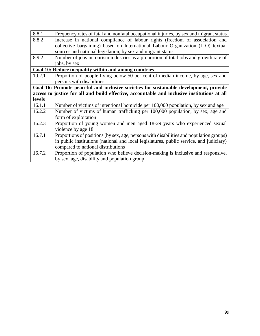| 8.8.1                                                                                        | Frequency rates of fatal and nonfatal occupational injuries, by sex and migrant status  |  |
|----------------------------------------------------------------------------------------------|-----------------------------------------------------------------------------------------|--|
| 8.8.2                                                                                        | Increase in national compliance of labour rights (freedom of association and            |  |
|                                                                                              | collective bargaining) based on International Labour Organization (ILO) textual         |  |
|                                                                                              | sources and national legislation, by sex and migrant status                             |  |
| 8.9.2                                                                                        | Number of jobs in tourism industries as a proportion of total jobs and growth rate of   |  |
|                                                                                              | jobs, by sex                                                                            |  |
| Goal 10: Reduce inequality within and among countries                                        |                                                                                         |  |
| 10.2.1                                                                                       | Proportion of people living below 50 per cent of median income, by age, sex and         |  |
|                                                                                              | persons with disabilities                                                               |  |
|                                                                                              | Goal 16: Promote peaceful and inclusive societies for sustainable development, provide  |  |
| access to justice for all and build effective, accountable and inclusive institutions at all |                                                                                         |  |
| <b>levels</b>                                                                                |                                                                                         |  |
|                                                                                              |                                                                                         |  |
| 16.1.1                                                                                       | Number of victims of intentional homicide per 100,000 population, by sex and age        |  |
| 16.2.2                                                                                       | Number of victims of human trafficking per 100,000 population, by sex, age and          |  |
|                                                                                              | form of exploitation                                                                    |  |
| 16.2.3                                                                                       | Proportion of young women and men aged 18-29 years who experienced sexual               |  |
|                                                                                              | violence by age 18                                                                      |  |
| 16.7.1                                                                                       | Proportions of positions (by sex, age, persons with disabilities and population groups) |  |
|                                                                                              | in public institutions (national and local legislatures, public service, and judiciary) |  |
|                                                                                              | compared to national distributions                                                      |  |
| 16.7.2                                                                                       | Proportion of population who believe decision-making is inclusive and responsive,       |  |